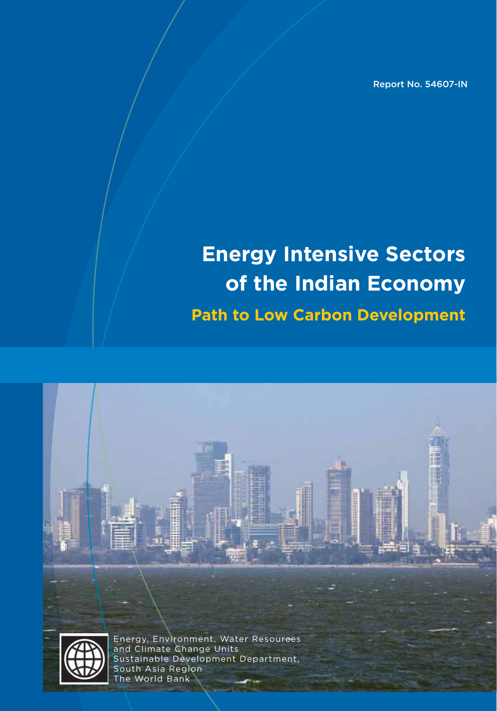Report No. 54607-IN

# **Energy Intensive Sectors of the Indian Economy Path to Low Carbon Development**

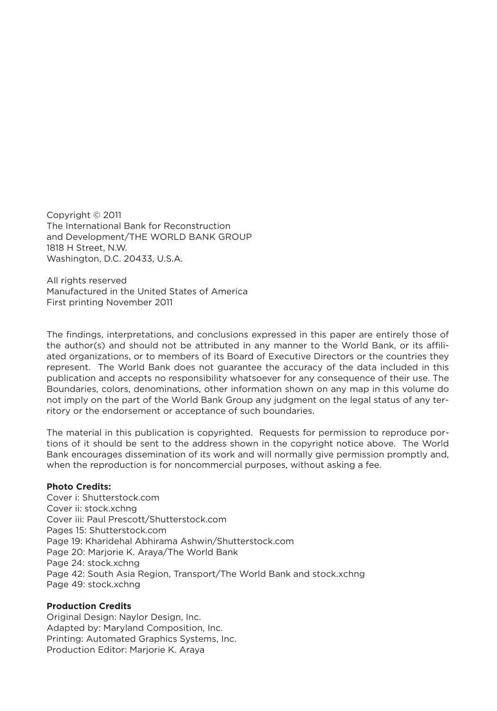Copyright © 2011 The International Bank for Reconstruction and Development/THE WORLD BANK GROUP 1818 H Street, N.W. Washington, D.C. 20433, U.S.A.

All rights reserved Manufactured in the United States of America First printing November 2011

The findings, interpretations, and conclusions expressed in this paper are entirely those of the author(s) and should not be attributed in any manner to the World Bank, or its affiliated organizations, or to members of its Board of Executive Directors or the countries they represent. The World Bank does not guarantee the accuracy of the data included in this publication and accepts no responsibility whatsoever for any consequence of their use. The Boundaries, colors, denominations, other information shown on any map in this volume do not imply on the part of the World Bank Group any judgment on the legal status of any territory or the endorsement or acceptance of such boundaries.

The material in this publication is copyrighted. Requests for permission to reproduce portions of it should be sent to the address shown in the copyright notice above. The World Bank encourages dissemination of its work and will normally give permission promptly and, when the reproduction is for noncommercial purposes, without asking a fee.

#### **Photo Credits:**

Cover i: Shutterstock.com Cover ii: stock.xchng Cover iii: Paul Prescott/Shutterstock.com Pages 15: Shutterstock.com Page 19: Kharidehal Abhirama Ashwin/Shutterstock.com Page 20: Marjorie K. Araya/The World Bank Page 24: stock.xchng Page 42: South Asia Region, Transport/The World Bank and stock.xchngPage 49: stock.xchng

#### **Production Credits**

Original Design: Naylor Design, Inc. Adapted by: Maryland Composition, Inc. Printing: Automated Graphics Systems, Inc. Production Editor: Marjorie K. Araya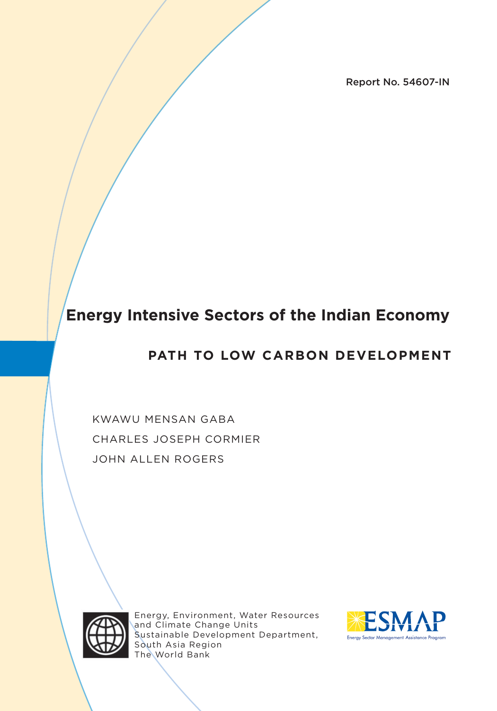Report No. 54607-IN

# **Energy Intensive Sectors of the Indian Economy**

# **PATH TO LOW CARBON DEVELOPMENT**

KWAWU MENSAN GABA CHARLES JOSEPH CORMIER JOHN ALLEN ROGERS



Energy, Environment, Water Resources and Climate Change Units Sustainable Development Department, South Asia Region The World Bank

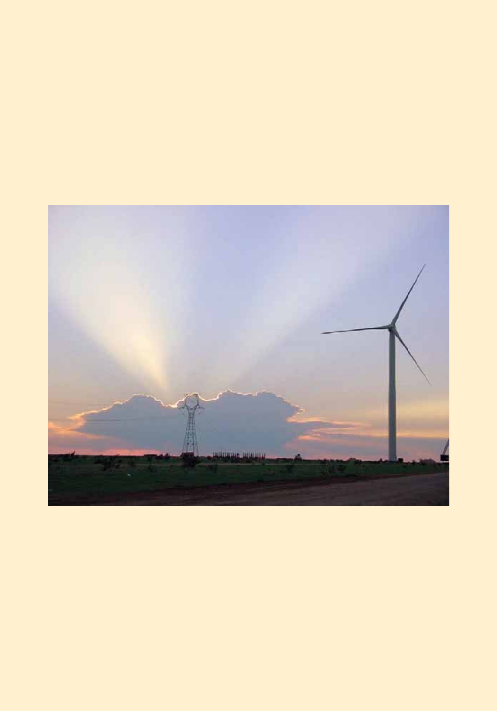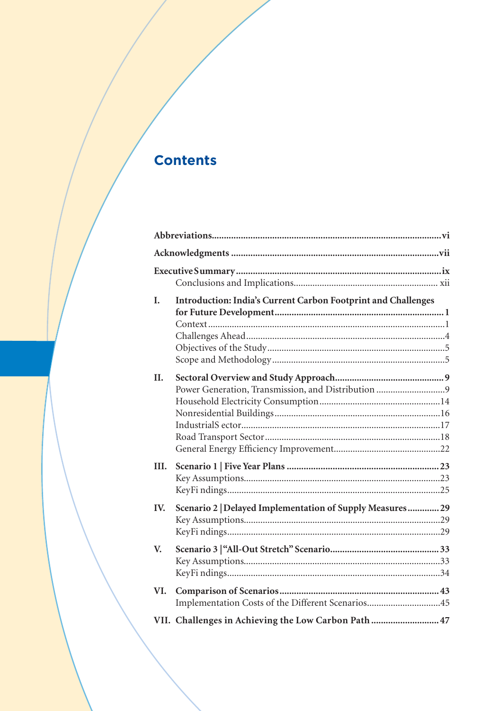# **Contents**

| L.   | Introduction: India's Current Carbon Footprint and Challenges |  |  |  |
|------|---------------------------------------------------------------|--|--|--|
| II.  |                                                               |  |  |  |
| III. |                                                               |  |  |  |
| IV.  | Scenario 2   Delayed Implementation of Supply Measures 29     |  |  |  |
| V.   |                                                               |  |  |  |
| VI.  | Implementation Costs of the Different Scenarios45             |  |  |  |
|      | VII. Challenges in Achieving the Low Carbon Path  47          |  |  |  |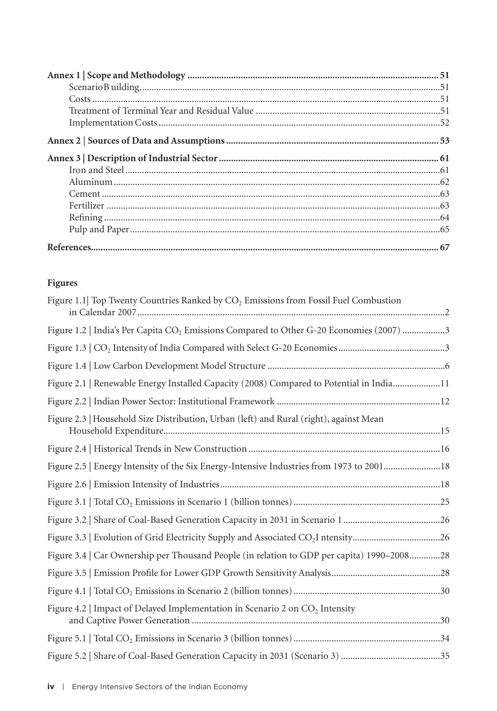### **Figures**

| Figure 1.1 Top Twenty Countries Ranked by $CO2$ Emissions from Fossil Fuel Combustion               |  |
|-----------------------------------------------------------------------------------------------------|--|
| Figure 1.2   India's Per Capita CO <sub>2</sub> Emissions Compared to Other G-20 Economies (2007) 3 |  |
|                                                                                                     |  |
|                                                                                                     |  |
| Figure 2.1   Renewable Energy Installed Capacity (2008) Compared to Potential in India11            |  |
|                                                                                                     |  |
| Figure 2.3   Household Size Distribution, Urban (left) and Rural (right), against Mean              |  |
|                                                                                                     |  |
| Figure 2.5   Energy Intensity of the Six Energy-Intensive Industries from 1973 to 200118            |  |
|                                                                                                     |  |
|                                                                                                     |  |
|                                                                                                     |  |
| Figure 3.3   Evolution of Grid Electricity Supply and Associated CO <sub>2</sub> I ntensity26       |  |
| Figure 3.4   Car Ownership per Thousand People (in relation to GDP per capita) 1990–200828          |  |
|                                                                                                     |  |
|                                                                                                     |  |
| Figure 4.2   Impact of Delayed Implementation in Scenario 2 on $CO2$ Intensity                      |  |
|                                                                                                     |  |
|                                                                                                     |  |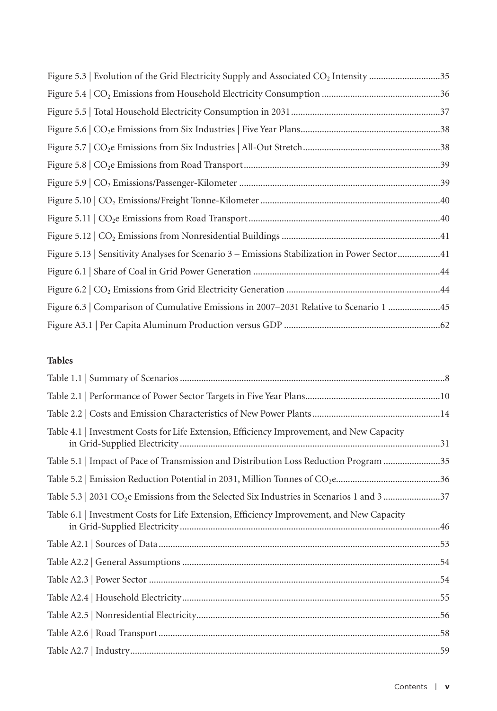| Figure 5.3   Evolution of the Grid Electricity Supply and Associated CO <sub>2</sub> Intensity 35 |  |
|---------------------------------------------------------------------------------------------------|--|
|                                                                                                   |  |
|                                                                                                   |  |
|                                                                                                   |  |
|                                                                                                   |  |
|                                                                                                   |  |
|                                                                                                   |  |
|                                                                                                   |  |
|                                                                                                   |  |
|                                                                                                   |  |
| Figure 5.13   Sensitivity Analyses for Scenario 3 – Emissions Stabilization in Power Sector41     |  |
|                                                                                                   |  |
|                                                                                                   |  |
| Figure 6.3   Comparison of Cumulative Emissions in 2007–2031 Relative to Scenario 1 45            |  |
|                                                                                                   |  |

#### **Tables**

| Table 5.1   Impact of Pace of Transmission and Distribution Loss Reduction Program 35                 |
|-------------------------------------------------------------------------------------------------------|
|                                                                                                       |
| Table 5.3   2031 CO <sub>2</sub> e Emissions from the Selected Six Industries in Scenarios 1 and 3 37 |
|                                                                                                       |
|                                                                                                       |
|                                                                                                       |
|                                                                                                       |
|                                                                                                       |
|                                                                                                       |
|                                                                                                       |
|                                                                                                       |
|                                                                                                       |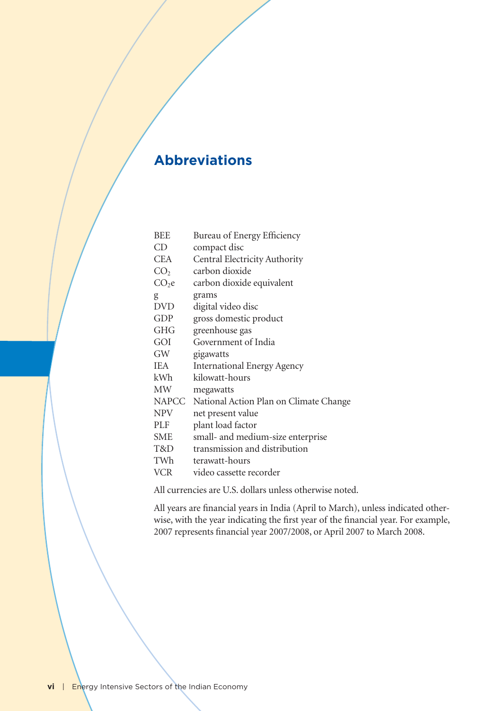# **Abbreviations**

BEE Bureau of Energy Efficiency CD compact disc CEA Central Electricity Authority  $CO<sub>2</sub>$  carbon dioxide  $CO<sub>2</sub>e$  carbon dioxide equivalent g grams DVD digital video disc GDP gross domestic product GHG greenhouse gas GOI Government of India GW gigawatts IEA International Energy Agency kWh kilowatt-hours MW megawatts NAPCC National Action Plan on Climate Change NPV net present value PLF plant load factor SME small- and medium-size enterprise T&D transmission and distribution TWh terawatt-hours VCR video cassette recorder All currencies are U.S. dollars unless otherwise noted.

All years are financial years in India (April to March), unless indicated otherwise, with the year indicating the first year of the financial year. For example, 2007 represents financial year 2007/2008, or April 2007 to March 2008.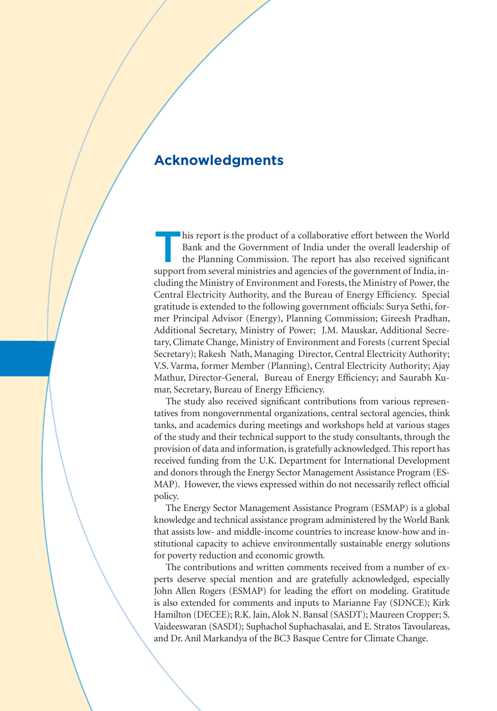# **Acknowledgments**

Inis report is the product of a collaborative effort between the World Bank and the Government of India under the overall leadership of the Planning Commission. The report has also received significant support from several ministries and agencies of the government of India, including the Ministry of Environment and Forests, the Ministry of Power, the Central Electricity Authority, and the Bureau of Energy Efficiency. Special gratitude is extended to the following government officials: Surya Sethi, former Principal Advisor (Energy), Planning Commission; Gireesh Pradhan, Additional Secretary, Ministry of Power; J.M. Mauskar, Additional Secretary, Climate Change, Ministry of Environment and Forests (current Special Secretary); Rakesh Nath, Managing Director, Central Electricity Authority; V.S. Varma, former Member (Planning), Central Electricity Authority; Ajay Mathur, Director-General, Bureau of Energy Efficiency; and Saurabh Kumar, Secretary, Bureau of Energy Efficiency.

The study also received significant contributions from various representatives from nongovernmental organizations, central sectoral agencies, think tanks, and academics during meetings and workshops held at various stages of the study and their technical support to the study consultants, through the provision of data and information, is gratefully acknowledged. This report has received funding from the U.K. Department for International Development and donors through the Energy Sector Management Assistance Program (ES-MAP). However, the views expressed within do not necessarily reflect official policy.

The Energy Sector Management Assistance Program (ESMAP) is a global knowledge and technical assistance program administered by the World Bank that assists low- and middle-income countries to increase know-how and institutional capacity to achieve environmentally sustainable energy solutions for poverty reduction and economic growth.

The contributions and written comments received from a number of experts deserve special mention and are gratefully acknowledged, especially John Allen Rogers (ESMAP) for leading the effort on modeling. Gratitude is also extended for comments and inputs to Marianne Fay (SDNCE); Kirk Hamilton (DECEE); R.K. Jain, Alok N. Bansal (SASDT); Maureen Cropper; S. Vaideeswaran (SASDI); Suphachol Suphachasalai, and E. Stratos Tavoulareas, and Dr. Anil Markandya of the BC3 Basque Centre for Climate Change.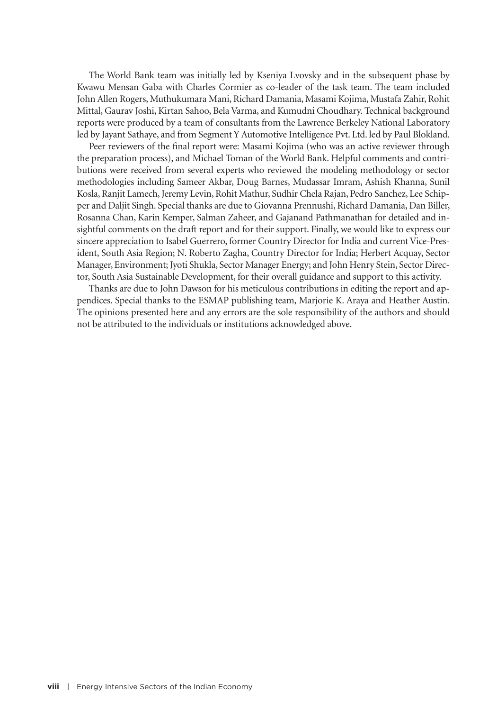The World Bank team was initially led by Kseniya Lvovsky and in the subsequent phase by Kwawu Mensan Gaba with Charles Cormier as co-leader of the task team. The team included John Allen Rogers, Muthukumara Mani, Richard Damania, Masami Kojima, Mustafa Zahir, Rohit Mittal, Gaurav Joshi, Kirtan Sahoo, Bela Varma, and Kumudni Choudhary. Technical background reports were produced by a team of consultants from the Lawrence Berkeley National Laboratory led by Jayant Sathaye, and from Segment Y Automotive Intelligence Pvt. Ltd. led by Paul Blokland.

Peer reviewers of the final report were: Masami Kojima (who was an active reviewer through the preparation process), and Michael Toman of the World Bank. Helpful comments and contributions were received from several experts who reviewed the modeling methodology or sector methodologies including Sameer Akbar, Doug Barnes, Mudassar Imram, Ashish Khanna, Sunil Kosla, Ranjit Lamech, Jeremy Levin, Rohit Mathur, Sudhir Chela Rajan, Pedro Sanchez, Lee Schipper and Daljit Singh. Special thanks are due to Giovanna Prennushi, Richard Damania, Dan Biller, Rosanna Chan, Karin Kemper, Salman Zaheer, and Gajanand Pathmanathan for detailed and insightful comments on the draft report and for their support. Finally, we would like to express our sincere appreciation to Isabel Guerrero, former Country Director for India and current Vice-President, South Asia Region; N. Roberto Zagha, Country Director for India; Herbert Acquay, Sector Manager, Environment; Jyoti Shukla, Sector Manager Energy; and John Henry Stein, Sector Director, South Asia Sustainable Development, for their overall guidance and support to this activity.

Thanks are due to John Dawson for his meticulous contributions in editing the report and appendices. Special thanks to the ESMAP publishing team, Marjorie K. Araya and Heather Austin. The opinions presented here and any errors are the sole responsibility of the authors and should not be attributed to the individuals or institutions acknowledged above.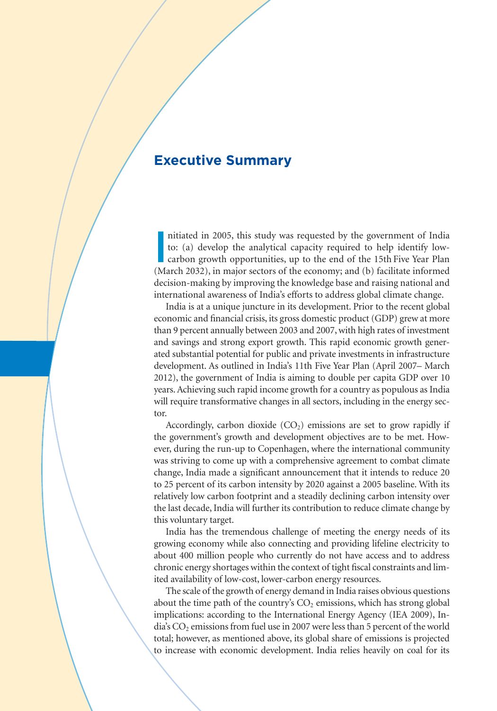### **Executive Summary**

 $\overline{\phantom{a}}$ nitiated in 2005, this study was requested by the government of India to: (a) develop the analytical capacity required to help identify lowcarbon growth opportunities, up to the end of the 15th Five Year Plan (March 2032), in major sectors of the economy; and (b) facilitate informed decision-making by improving the knowledge base and raising national and international awareness of India's efforts to address global climate change.

India is at a unique juncture in its development. Prior to the recent global economic and financial crisis, its gross domestic product (GDP) grew at more than 9 percent annually between 2003 and 2007, with high rates of investment and savings and strong export growth. This rapid economic growth generated substantial potential for public and private investments in infrastructure development. As outlined in India's 11th Five Year Plan (April 2007– March 2012), the government of India is aiming to double per capita GDP over 10 years. Achieving such rapid income growth for a country as populous as India will require transformative changes in all sectors, including in the energy sector.

Accordingly, carbon dioxide  $(CO<sub>2</sub>)$  emissions are set to grow rapidly if the government's growth and development objectives are to be met. However, during the run-up to Copenhagen, where the international community was striving to come up with a comprehensive agreement to combat climate change, India made a significant announcement that it intends to reduce 20 to 25 percent of its carbon intensity by 2020 against a 2005 baseline. With its relatively low carbon footprint and a steadily declining carbon intensity over the last decade, India will further its contribution to reduce climate change by this voluntary target.

India has the tremendous challenge of meeting the energy needs of its growing economy while also connecting and providing lifeline electricity to about 400 million people who currently do not have access and to address chronic energy shortages within the context of tight fiscal constraints and limited availability of low-cost, lower-carbon energy resources.

The scale of the growth of energy demand in India raises obvious questions about the time path of the country's  $CO<sub>2</sub>$  emissions, which has strong global implications: according to the International Energy Agency (IEA 2009), India's  $CO<sub>2</sub>$  emissions from fuel use in 2007 were less than 5 percent of the world total; however, as mentioned above, its global share of emissions is projected to increase with economic development. India relies heavily on coal for its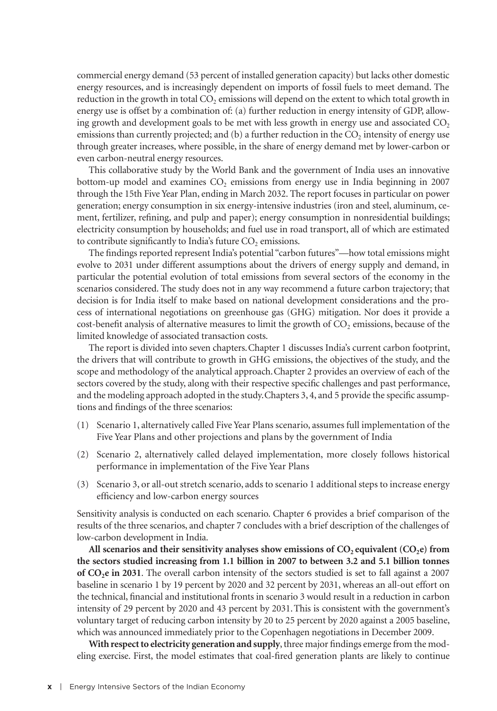commercial energy demand (53 percent of installed generation capacity) but lacks other domestic energy resources, and is increasingly dependent on imports of fossil fuels to meet demand. The reduction in the growth in total  $CO<sub>2</sub>$  emissions will depend on the extent to which total growth in energy use is offset by a combination of: (a) further reduction in energy intensity of GDP, allowing growth and development goals to be met with less growth in energy use and associated  $CO<sub>2</sub>$ emissions than currently projected; and (b) a further reduction in the  $CO<sub>2</sub>$  intensity of energy use through greater increases, where possible, in the share of energy demand met by lower-carbon or even carbon-neutral energy resources.

This collaborative study by the World Bank and the government of India uses an innovative bottom-up model and examines  $CO<sub>2</sub>$  emissions from energy use in India beginning in 2007 through the 15th Five Year Plan, ending in March 2032. The report focuses in particular on power generation; energy consumption in six energy-intensive industries (iron and steel, aluminum, cement, fertilizer, refining, and pulp and paper); energy consumption in nonresidential buildings; electricity consumption by households; and fuel use in road transport, all of which are estimated to contribute significantly to India's future  $CO<sub>2</sub>$  emissions.

The findings reported represent India's potential "carbon futures"—how total emissions might evolve to 2031 under different assumptions about the drivers of energy supply and demand, in particular the potential evolution of total emissions from several sectors of the economy in the scenarios considered. The study does not in any way recommend a future carbon trajectory; that decision is for India itself to make based on national development considerations and the process of international negotiations on greenhouse gas (GHG) mitigation. Nor does it provide a cost-benefit analysis of alternative measures to limit the growth of  $CO<sub>2</sub>$  emissions, because of the limited knowledge of associated transaction costs.

The report is divided into seven chapters.Chapter 1 discusses India's current carbon footprint, the drivers that will contribute to growth in GHG emissions, the objectives of the study, and the scope and methodology of the analytical approach.Chapter 2 provides an overview of each of the sectors covered by the study, along with their respective specific challenges and past performance, and the modeling approach adopted in the study. Chapters 3, 4, and 5 provide the specific assumptions and findings of the three scenarios:

- (1) Scenario 1, alternatively called Five Year Plans scenario, assumes full implementation of the Five Year Plans and other projections and plans by the government of India
- (2) Scenario 2, alternatively called delayed implementation, more closely follows historical performance in implementation of the Five Year Plans
- (3) Scenario 3, or all-out stretch scenario, adds to scenario 1 additional steps to increase energy efficiency and low-carbon energy sources

Sensitivity analysis is conducted on each scenario. Chapter 6 provides a brief comparison of the results of the three scenarios, and chapter 7 concludes with a brief description of the challenges of low-carbon development in India.

All scenarios and their sensitivity analyses show emissions of  $CO_2$  equivalent  $(CO_2e)$  from **the sectors studied increasing from 1.1 billion in 2007 to between 3.2 and 5.1 billion tonnes of CO2e in 2031**. The overall carbon intensity of the sectors studied is set to fall against a 2007 baseline in scenario 1 by 19 percent by 2020 and 32 percent by 2031, whereas an all-out effort on the technical, financial and institutional fronts in scenario 3 would result in a reduction in carbon intensity of 29 percent by 2020 and 43 percent by 2031.This is consistent with the government's voluntary target of reducing carbon intensity by 20 to 25 percent by 2020 against a 2005 baseline, which was announced immediately prior to the Copenhagen negotiations in December 2009.

With respect to electricity generation and supply, three major findings emerge from the modeling exercise. First, the model estimates that coal-fired generation plants are likely to continue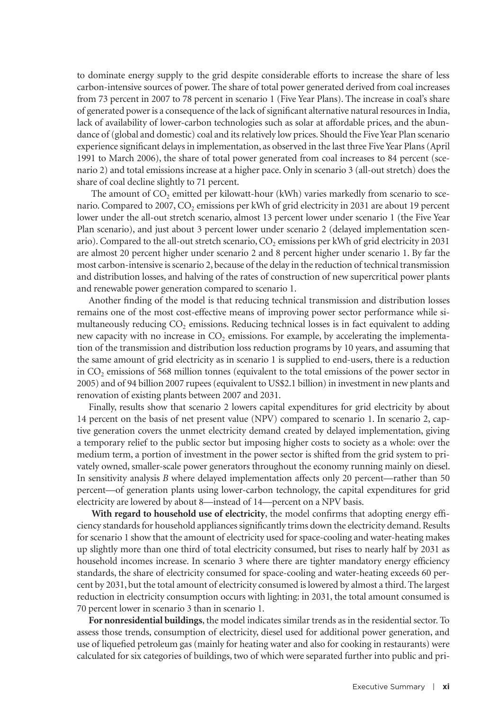to dominate energy supply to the grid despite considerable efforts to increase the share of less carbon-intensive sources of power. The share of total power generated derived from coal increases from 73 percent in 2007 to 78 percent in scenario 1 (Five Year Plans). The increase in coal's share of generated power is a consequence of the lack of significant alternative natural resources in India, lack of availability of lower-carbon technologies such as solar at affordable prices, and the abundance of (global and domestic) coal and its relatively low prices. Should the Five Year Plan scenario experience significant delays in implementation, as observed in the last three Five Year Plans (April 1991 to March 2006), the share of total power generated from coal increases to 84 percent (scenario 2) and total emissions increase at a higher pace. Only in scenario 3 (all-out stretch) does the share of coal decline slightly to 71 percent.

The amount of  $CO<sub>2</sub>$  emitted per kilowatt-hour (kWh) varies markedly from scenario to scenario. Compared to 2007,  $CO<sub>2</sub>$  emissions per kWh of grid electricity in 2031 are about 19 percent lower under the all-out stretch scenario, almost 13 percent lower under scenario 1 (the Five Year Plan scenario), and just about 3 percent lower under scenario 2 (delayed implementation scenario). Compared to the all-out stretch scenario,  $CO<sub>2</sub>$  emissions per kWh of grid electricity in 2031 are almost 20 percent higher under scenario 2 and 8 percent higher under scenario 1. By far the most carbon-intensive is scenario 2, because of the delay in the reduction of technical transmission and distribution losses, and halving of the rates of construction of new supercritical power plants and renewable power generation compared to scenario 1.

Another finding of the model is that reducing technical transmission and distribution losses remains one of the most cost-effective means of improving power sector performance while simultaneously reducing  $CO<sub>2</sub>$  emissions. Reducing technical losses is in fact equivalent to adding new capacity with no increase in  $CO<sub>2</sub>$  emissions. For example, by accelerating the implementation of the transmission and distribution loss reduction programs by 10 years, and assuming that the same amount of grid electricity as in scenario 1 is supplied to end-users, there is a reduction in CO<sub>2</sub> emissions of 568 million tonnes (equivalent to the total emissions of the power sector in 2005) and of 94 billion 2007 rupees (equivalent to US\$2.1 billion) in investment in new plants and renovation of existing plants between 2007 and 2031.

Finally, results show that scenario 2 lowers capital expenditures for grid electricity by about 14 percent on the basis of net present value (NPV) compared to scenario 1. In scenario 2, captive generation covers the unmet electricity demand created by delayed implementation, giving a temporary relief to the public sector but imposing higher costs to society as a whole: over the medium term, a portion of investment in the power sector is shifted from the grid system to privately owned, smaller-scale power generators throughout the economy running mainly on diesel. In sensitivity analysis *B* where delayed implementation affects only 20 percent—rather than 50 percent—of generation plants using lower-carbon technology, the capital expenditures for grid electricity are lowered by about 8—instead of 14—percent on a NPV basis.

With regard to household use of electricity, the model confirms that adopting energy efficiency standards for household appliances significantly trims down the electricity demand. Results for scenario 1 show that the amount of electricity used for space-cooling and water-heating makes up slightly more than one third of total electricity consumed, but rises to nearly half by 2031 as household incomes increase. In scenario 3 where there are tighter mandatory energy efficiency standards, the share of electricity consumed for space-cooling and water-heating exceeds 60 percent by 2031, but the total amount of electricity consumed is lowered by almost a third. The largest reduction in electricity consumption occurs with lighting: in 2031, the total amount consumed is 70 percent lower in scenario 3 than in scenario 1.

**For nonresidential buildings**, the model indicates similar trends as in the residential sector. To assess those trends, consumption of electricity, diesel used for additional power generation, and use of liquefied petroleum gas (mainly for heating water and also for cooking in restaurants) were calculated for six categories of buildings, two of which were separated further into public and pri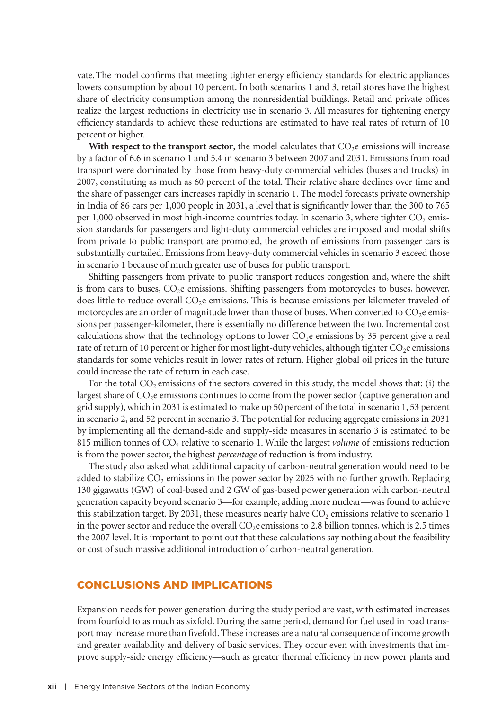vate. The model confirms that meeting tighter energy efficiency standards for electric appliances lowers consumption by about 10 percent. In both scenarios 1 and 3, retail stores have the highest share of electricity consumption among the nonresidential buildings. Retail and private offices realize the largest reductions in electricity use in scenario 3. All measures for tightening energy efficiency standards to achieve these reductions are estimated to have real rates of return of 10 percent or higher.

With respect to the transport sector, the model calculates that CO<sub>2</sub>e emissions will increase by a factor of 6.6 in scenario 1 and 5.4 in scenario 3 between 2007 and 2031. Emissions from road transport were dominated by those from heavy-duty commercial vehicles (buses and trucks) in 2007, constituting as much as 60 percent of the total. Their relative share declines over time and the share of passenger cars increases rapidly in scenario 1. The model forecasts private ownership in India of 86 cars per 1,000 people in 2031, a level that is significantly lower than the 300 to 765 per 1,000 observed in most high-income countries today. In scenario 3, where tighter  $CO<sub>2</sub>$  emission standards for passengers and light-duty commercial vehicles are imposed and modal shifts from private to public transport are promoted, the growth of emissions from passenger cars is substantially curtailed. Emissions from heavy-duty commercial vehicles in scenario 3 exceed those in scenario 1 because of much greater use of buses for public transport.

Shifting passengers from private to public transport reduces congestion and, where the shift is from cars to buses,  $CO<sub>2</sub>e$  emissions. Shifting passengers from motorcycles to buses, however, does little to reduce overall  $CO<sub>2</sub>e$  emissions. This is because emissions per kilometer traveled of motorcycles are an order of magnitude lower than those of buses. When converted to  $CO<sub>2</sub>e$  emissions per passenger-kilometer, there is essentially no difference between the two. Incremental cost calculations show that the technology options to lower  $CO<sub>2</sub>e$  emissions by 35 percent give a real rate of return of 10 percent or higher for most light-duty vehicles, although tighter  $CO<sub>2</sub>e$  emissions standards for some vehicles result in lower rates of return. Higher global oil prices in the future could increase the rate of return in each case.

For the total  $CO<sub>2</sub>$  emissions of the sectors covered in this study, the model shows that: (i) the largest share of  $CO<sub>2</sub>e$  emissions continues to come from the power sector (captive generation and grid supply), which in 2031 is estimated to make up 50 percent of the total in scenario 1, 53 percent in scenario 2, and 52 percent in scenario 3. The potential for reducing aggregate emissions in 2031 by implementing all the demand-side and supply-side measures in scenario 3 is estimated to be 815 million tonnes of CO2 relative to scenario 1. While the largest *volume* of emissions reduction is from the power sector, the highest *percentage* of reduction is from industry.

The study also asked what additional capacity of carbon-neutral generation would need to be added to stabilize  $CO<sub>2</sub>$  emissions in the power sector by 2025 with no further growth. Replacing 130 gigawatts (GW) of coal-based and 2 GW of gas-based power generation with carbon-neutral generation capacity beyond scenario 3—for example, adding more nuclear—was found to achieve this stabilization target. By 2031, these measures nearly halve  $CO<sub>2</sub>$  emissions relative to scenario 1 in the power sector and reduce the overall  $CO<sub>2</sub>e$  emissions to 2.8 billion tonnes, which is 2.5 times the 2007 level. It is important to point out that these calculations say nothing about the feasibility or cost of such massive additional introduction of carbon-neutral generation.

#### CONCLUSIONS AND IMPLICATIONS

Expansion needs for power generation during the study period are vast, with estimated increases from fourfold to as much as sixfold. During the same period, demand for fuel used in road transport may increase more than fivefold. These increases are a natural consequence of income growth and greater availability and delivery of basic services. They occur even with investments that improve supply-side energy efficiency—such as greater thermal efficiency in new power plants and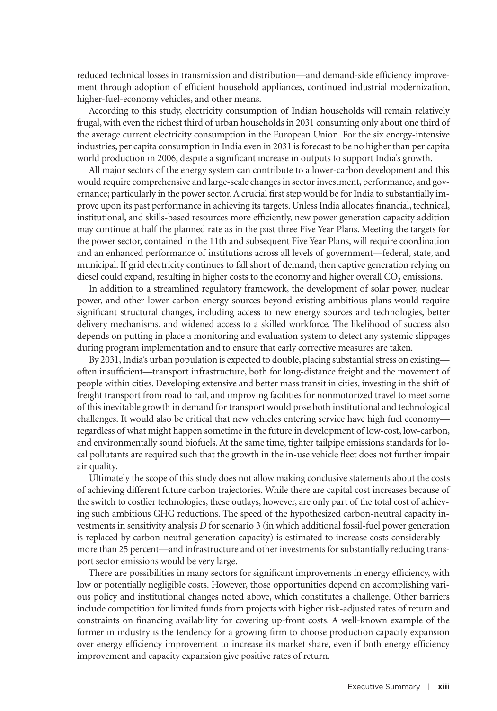reduced technical losses in transmission and distribution—and demand-side efficiency improvement through adoption of efficient household appliances, continued industrial modernization, higher-fuel-economy vehicles, and other means.

According to this study, electricity consumption of Indian households will remain relatively frugal, with even the richest third of urban households in 2031 consuming only about one third of the average current electricity consumption in the European Union. For the six energy-intensive industries, per capita consumption in India even in 2031 is forecast to be no higher than per capita world production in 2006, despite a significant increase in outputs to support India's growth.

All major sectors of the energy system can contribute to a lower-carbon development and this would require comprehensive and large-scale changes in sector investment, performance, and governance; particularly in the power sector. A crucial first step would be for India to substantially improve upon its past performance in achieving its targets. Unless India allocates financial, technical, institutional, and skills-based resources more efficiently, new power generation capacity addition may continue at half the planned rate as in the past three Five Year Plans. Meeting the targets for the power sector, contained in the 11th and subsequent Five Year Plans, will require coordination and an enhanced performance of institutions across all levels of government—federal, state, and municipal. If grid electricity continues to fall short of demand, then captive generation relying on diesel could expand, resulting in higher costs to the economy and higher overall  $CO<sub>2</sub>$  emissions.

In addition to a streamlined regulatory framework, the development of solar power, nuclear power, and other lower-carbon energy sources beyond existing ambitious plans would require significant structural changes, including access to new energy sources and technologies, better delivery mechanisms, and widened access to a skilled workforce. The likelihood of success also depends on putting in place a monitoring and evaluation system to detect any systemic slippages during program implementation and to ensure that early corrective measures are taken.

By 2031, India's urban population is expected to double, placing substantial stress on existing often insufficient—transport infrastructure, both for long-distance freight and the movement of people within cities. Developing extensive and better mass transit in cities, investing in the shift of freight transport from road to rail, and improving facilities for nonmotorized travel to meet some of this inevitable growth in demand for transport would pose both institutional and technological challenges. It would also be critical that new vehicles entering service have high fuel economy regardless of what might happen sometime in the future in development of low-cost, low-carbon, and environmentally sound biofuels. At the same time, tighter tailpipe emissions standards for local pollutants are required such that the growth in the in-use vehicle fleet does not further impair air quality.

Ultimately the scope of this study does not allow making conclusive statements about the costs of achieving different future carbon trajectories. While there are capital cost increases because of the switch to costlier technologies, these outlays, however, are only part of the total cost of achieving such ambitious GHG reductions. The speed of the hypothesized carbon-neutral capacity investments in sensitivity analysis *D* for scenario 3 (in which additional fossil-fuel power generation is replaced by carbon-neutral generation capacity) is estimated to increase costs considerably more than 25 percent—and infrastructure and other investments for substantially reducing transport sector emissions would be very large.

There are possibilities in many sectors for significant improvements in energy efficiency, with low or potentially negligible costs. However, those opportunities depend on accomplishing various policy and institutional changes noted above, which constitutes a challenge. Other barriers include competition for limited funds from projects with higher risk-adjusted rates of return and constraints on financing availability for covering up-front costs. A well-known example of the former in industry is the tendency for a growing firm to choose production capacity expansion over energy efficiency improvement to increase its market share, even if both energy efficiency improvement and capacity expansion give positive rates of return.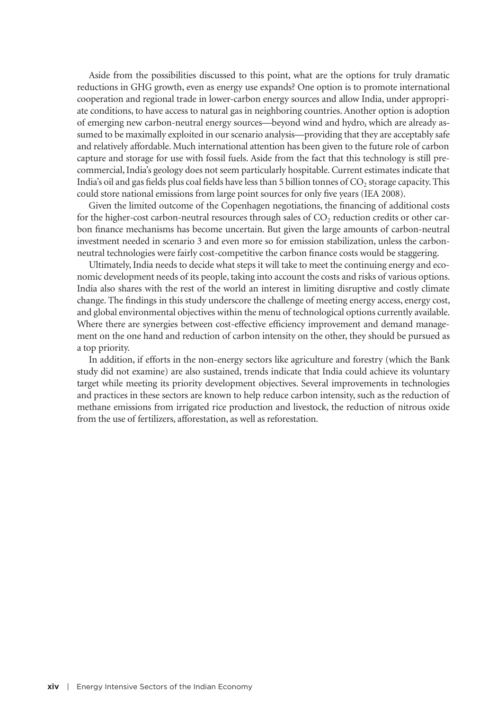Aside from the possibilities discussed to this point, what are the options for truly dramatic reductions in GHG growth, even as energy use expands? One option is to promote international cooperation and regional trade in lower-carbon energy sources and allow India, under appropriate conditions, to have access to natural gas in neighboring countries. Another option is adoption of emerging new carbon-neutral energy sources—beyond wind and hydro, which are already assumed to be maximally exploited in our scenario analysis—providing that they are acceptably safe and relatively affordable. Much international attention has been given to the future role of carbon capture and storage for use with fossil fuels. Aside from the fact that this technology is still precommercial, India's geology does not seem particularly hospitable. Current estimates indicate that India's oil and gas fields plus coal fields have less than 5 billion tonnes of  $CO<sub>2</sub>$  storage capacity. This could store national emissions from large point sources for only five years (IEA 2008).

Given the limited outcome of the Copenhagen negotiations, the financing of additional costs for the higher-cost carbon-neutral resources through sales of  $CO<sub>2</sub>$  reduction credits or other carbon finance mechanisms has become uncertain. But given the large amounts of carbon-neutral investment needed in scenario 3 and even more so for emission stabilization, unless the carbonneutral technologies were fairly cost-competitive the carbon finance costs would be staggering.

Ultimately, India needs to decide what steps it will take to meet the continuing energy and economic development needs of its people, taking into account the costs and risks of various options. India also shares with the rest of the world an interest in limiting disruptive and costly climate change. The findings in this study underscore the challenge of meeting energy access, energy cost, and global environmental objectives within the menu of technological options currently available. Where there are synergies between cost-effective efficiency improvement and demand management on the one hand and reduction of carbon intensity on the other, they should be pursued as a top priority.

In addition, if efforts in the non-energy sectors like agriculture and forestry (which the Bank study did not examine) are also sustained, trends indicate that India could achieve its voluntary target while meeting its priority development objectives. Several improvements in technologies and practices in these sectors are known to help reduce carbon intensity, such as the reduction of methane emissions from irrigated rice production and livestock, the reduction of nitrous oxide from the use of fertilizers, afforestation, as well as reforestation.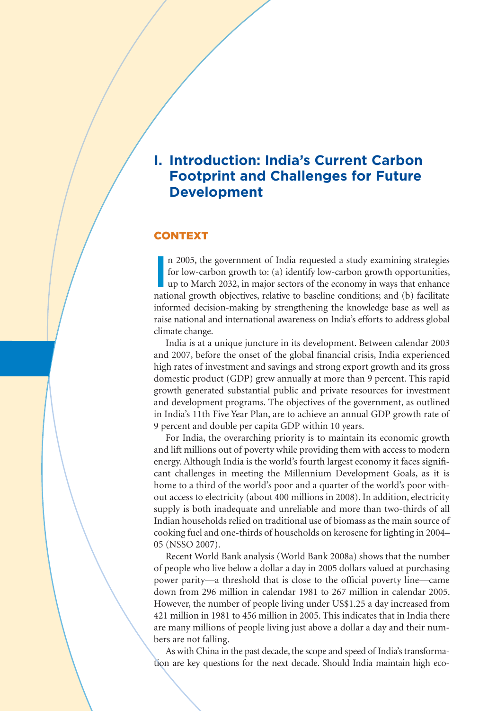# **I. Introduction: India's Current Carbon Footprint and Challenges for Future Development**

#### **CONTEXT**

I n 2005, the government of India requested a study examining strategies for low-carbon growth to: (a) identify low-carbon growth opportunities, up to March 2032, in major sectors of the economy in ways that enhance national growth objectives, relative to baseline conditions; and (b) facilitate informed decision-making by strengthening the knowledge base as well as raise national and international awareness on India's efforts to address global climate change.

India is at a unique juncture in its development. Between calendar 2003 and 2007, before the onset of the global financial crisis, India experienced high rates of investment and savings and strong export growth and its gross domestic product (GDP) grew annually at more than 9 percent. This rapid growth generated substantial public and private resources for investment and development programs. The objectives of the government, as outlined in India's 11th Five Year Plan, are to achieve an annual GDP growth rate of 9 percent and double per capita GDP within 10 years.

For India, the overarching priority is to maintain its economic growth and lift millions out of poverty while providing them with access to modern energy. Although India is the world's fourth largest economy it faces significant challenges in meeting the Millennium Development Goals, as it is home to a third of the world's poor and a quarter of the world's poor without access to electricity (about 400 millions in 2008). In addition, electricity supply is both inadequate and unreliable and more than two-thirds of all Indian households relied on traditional use of biomass as the main source of cooking fuel and one-thirds of households on kerosene for lighting in 2004– 05 (NSSO 2007).

Recent World Bank analysis (World Bank 2008a) shows that the number of people who live below a dollar a day in 2005 dollars valued at purchasing power parity—a threshold that is close to the official poverty line—came down from 296 million in calendar 1981 to 267 million in calendar 2005. However, the number of people living under US\$1.25 a day increased from 421 million in 1981 to 456 million in 2005. This indicates that in India there are many millions of people living just above a dollar a day and their numbers are not falling.

As with China in the past decade, the scope and speed of India's transformation are key questions for the next decade. Should India maintain high eco-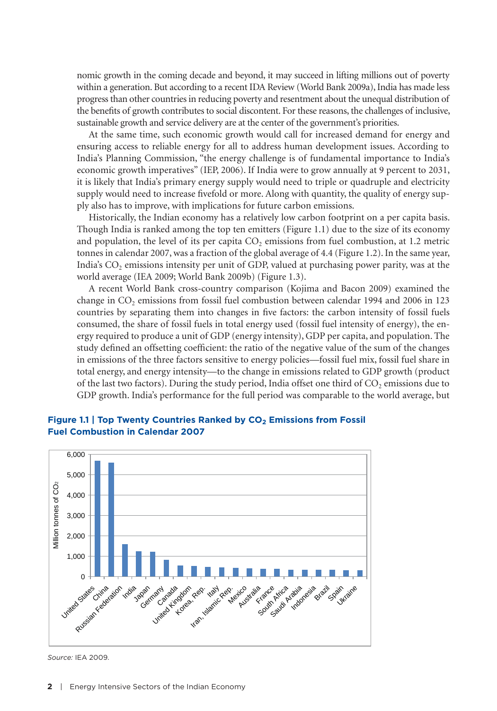nomic growth in the coming decade and beyond, it may succeed in lifting millions out of poverty within a generation. But according to a recent IDA Review (World Bank 2009a), India has made less progress than other countries in reducing poverty and resentment about the unequal distribution of the benefits of growth contributes to social discontent. For these reasons, the challenges of inclusive, sustainable growth and service delivery are at the center of the government's priorities.

At the same time, such economic growth would call for increased demand for energy and ensuring access to reliable energy for all to address human development issues. According to India's Planning Commission, "the energy challenge is of fundamental importance to India's economic growth imperatives" (IEP, 2006). If India were to grow annually at 9 percent to 2031, it is likely that India's primary energy supply would need to triple or quadruple and electricity supply would need to increase fivefold or more. Along with quantity, the quality of energy supply also has to improve, with implications for future carbon emissions.

Historically, the Indian economy has a relatively low carbon footprint on a per capita basis. Though India is ranked among the top ten emitters (Figure 1.1) due to the size of its economy and population, the level of its per capita  $CO<sub>2</sub>$  emissions from fuel combustion, at 1.2 metric tonnes in calendar 2007, was a fraction of the global average of 4.4 (Figure 1.2). In the same year, India's  $CO<sub>2</sub>$  emissions intensity per unit of GDP, valued at purchasing power parity, was at the world average (IEA 2009; World Bank 2009b) (Figure 1.3).

A recent World Bank cross-country comparison (Kojima and Bacon 2009) examined the change in  $CO<sub>2</sub>$  emissions from fossil fuel combustion between calendar 1994 and 2006 in 123 countries by separating them into changes in five factors: the carbon intensity of fossil fuels consumed, the share of fossil fuels in total energy used (fossil fuel intensity of energy), the energy required to produce a unit of GDP (energy intensity), GDP per capita, and population. The study defined an offsetting coefficient: the ratio of the negative value of the sum of the changes in emissions of the three factors sensitive to energy policies—fossil fuel mix, fossil fuel share in total energy, and energy intensity—to the change in emissions related to GDP growth (product of the last two factors). During the study period, India offset one third of  $CO<sub>2</sub>$  emissions due to GDP growth. India's performance for the full period was comparable to the world average, but



**Figure 1.1 | Top Twenty Countries Ranked by CO<sub>2</sub> Emissions from Fossil Fuel Combustion in Calendar 2007**

*Source:* IEA 2009.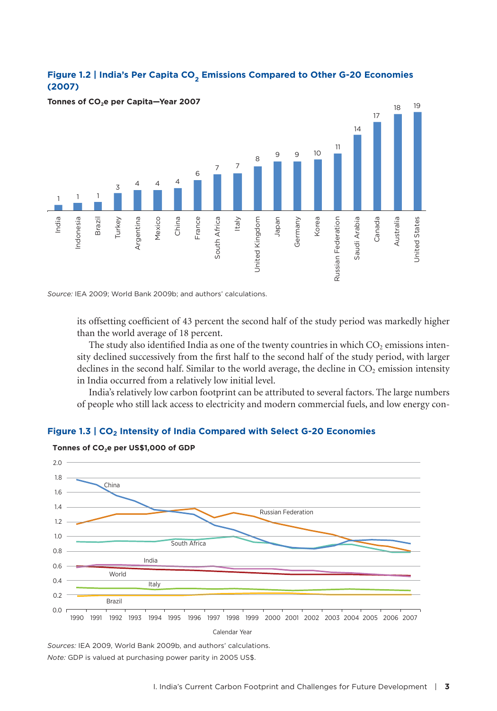#### Figure 1.2 | India's Per Capita CO<sub>2</sub> Emissions Compared to Other G-20 Economies **(2007)**



#### Tonnes of CO<sub>2</sub>e per Capita-Year 2007

*Source:* IEA 2009; World Bank 2009b; and authors' calculations.

its offsetting coefficient of 43 percent the second half of the study period was markedly higher than the world average of 18 percent.

The study also identified India as one of the twenty countries in which  $CO<sub>2</sub>$  emissions intensity declined successively from the first half to the second half of the study period, with larger declines in the second half. Similar to the world average, the decline in  $CO<sub>2</sub>$  emission intensity in India occurred from a relatively low initial level.

India's relatively low carbon footprint can be attributed to several factors. The large numbers of people who still lack access to electricity and modern commercial fuels, and low energy con-

#### Figure 1.3 | CO<sub>2</sub> Intensity of India Compared with Select G-20 Economies



Tonnes of CO<sub>2</sub>e per US\$1,000 of GDP

*Sources:* IEA 2009, World Bank 2009b, and authors' calculations. *Note:* GDP is valued at purchasing power parity in 2005 US\$.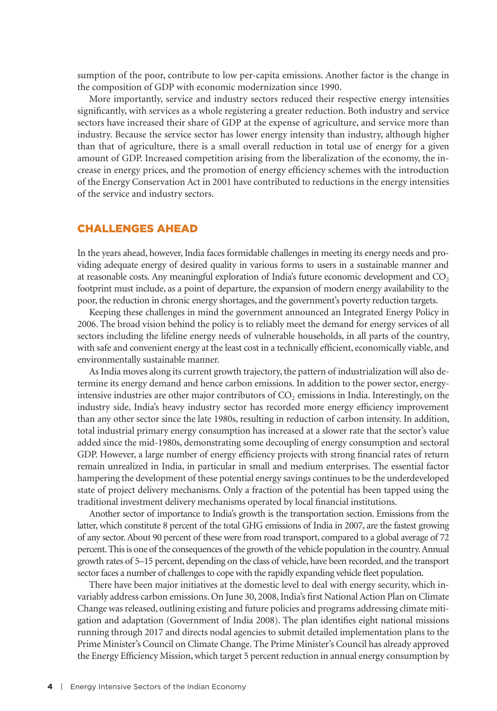sumption of the poor, contribute to low per-capita emissions. Another factor is the change in the composition of GDP with economic modernization since 1990.

More importantly, service and industry sectors reduced their respective energy intensities significantly, with services as a whole registering a greater reduction. Both industry and service sectors have increased their share of GDP at the expense of agriculture, and service more than industry. Because the service sector has lower energy intensity than industry, although higher than that of agriculture, there is a small overall reduction in total use of energy for a given amount of GDP. Increased competition arising from the liberalization of the economy, the increase in energy prices, and the promotion of energy efficiency schemes with the introduction of the Energy Conservation Act in 2001 have contributed to reductions in the energy intensities of the service and industry sectors.

#### CHALLENGES AHEAD

In the years ahead, however, India faces formidable challenges in meeting its energy needs and providing adequate energy of desired quality in various forms to users in a sustainable manner and at reasonable costs. Any meaningful exploration of India's future economic development and  $CO<sub>2</sub>$ footprint must include, as a point of departure, the expansion of modern energy availability to the poor, the reduction in chronic energy shortages, and the government's poverty reduction targets.

Keeping these challenges in mind the government announced an Integrated Energy Policy in 2006. The broad vision behind the policy is to reliably meet the demand for energy services of all sectors including the lifeline energy needs of vulnerable households, in all parts of the country, with safe and convenient energy at the least cost in a technically efficient, economically viable, and environmentally sustainable manner.

As India moves along its current growth trajectory, the pattern of industrialization will also determine its energy demand and hence carbon emissions. In addition to the power sector, energyintensive industries are other major contributors of  $CO<sub>2</sub>$  emissions in India. Interestingly, on the industry side, India's heavy industry sector has recorded more energy efficiency improvement than any other sector since the late 1980s, resulting in reduction of carbon intensity. In addition, total industrial primary energy consumption has increased at a slower rate that the sector's value added since the mid-1980s, demonstrating some decoupling of energy consumption and sectoral GDP. However, a large number of energy efficiency projects with strong financial rates of return remain unrealized in India, in particular in small and medium enterprises. The essential factor hampering the development of these potential energy savings continues to be the underdeveloped state of project delivery mechanisms. Only a fraction of the potential has been tapped using the traditional investment delivery mechanisms operated by local financial institutions.

Another sector of importance to India's growth is the transportation section. Emissions from the latter, which constitute 8 percent of the total GHG emissions of India in 2007, are the fastest growing of any sector. About 90 percent of these were from road transport, compared to a global average of 72 percent. This is one of the consequences of the growth of the vehicle population in the country. Annual growth rates of 5–15 percent, depending on the class of vehicle, have been recorded, and the transport sector faces a number of challenges to cope with the rapidly expanding vehicle fleet population.

There have been major initiatives at the domestic level to deal with energy security, which invariably address carbon emissions. On June 30, 2008, India's first National Action Plan on Climate Change was released, outlining existing and future policies and programs addressing climate mitigation and adaptation (Government of India 2008). The plan identifies eight national missions running through 2017 and directs nodal agencies to submit detailed implementation plans to the Prime Minister's Council on Climate Change. The Prime Minister's Council has already approved the Energy Efficiency Mission, which target 5 percent reduction in annual energy consumption by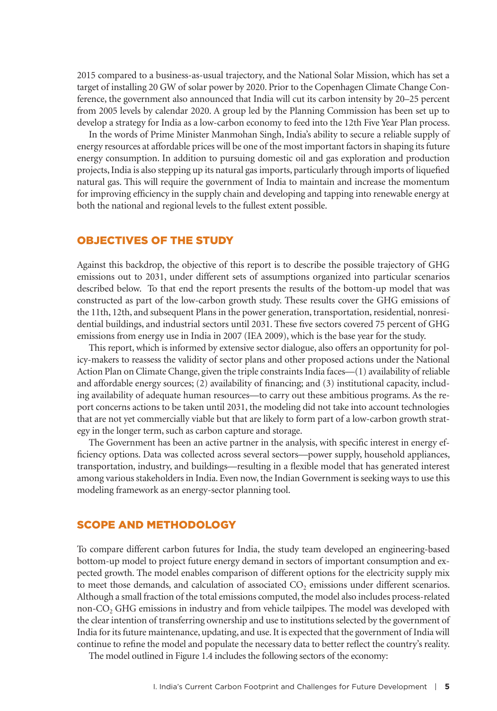2015 compared to a business-as-usual trajectory, and the National Solar Mission, which has set a target of installing 20 GW of solar power by 2020. Prior to the Copenhagen Climate Change Conference, the government also announced that India will cut its carbon intensity by 20–25 percent from 2005 levels by calendar 2020. A group led by the Planning Commission has been set up to develop a strategy for India as a low-carbon economy to feed into the 12th Five Year Plan process.

In the words of Prime Minister Manmohan Singh, India's ability to secure a reliable supply of energy resources at affordable prices will be one of the most important factors in shaping its future energy consumption. In addition to pursuing domestic oil and gas exploration and production projects, India is also stepping up its natural gas imports, particularly through imports of liquefied natural gas. This will require the government of India to maintain and increase the momentum for improving efficiency in the supply chain and developing and tapping into renewable energy at both the national and regional levels to the fullest extent possible.

#### OBJECTIVES OF THE STUDY

Against this backdrop, the objective of this report is to describe the possible trajectory of GHG emissions out to 2031, under different sets of assumptions organized into particular scenarios described below. To that end the report presents the results of the bottom-up model that was constructed as part of the low-carbon growth study. These results cover the GHG emissions of the 11th, 12th, and subsequent Plans in the power generation, transportation, residential, nonresidential buildings, and industrial sectors until 2031. These five sectors covered 75 percent of GHG emissions from energy use in India in 2007 (IEA 2009), which is the base year for the study.

This report, which is informed by extensive sector dialogue, also offers an opportunity for policy-makers to reassess the validity of sector plans and other proposed actions under the National Action Plan on Climate Change, given the triple constraints India faces—(1) availability of reliable and affordable energy sources;  $(2)$  availability of financing; and  $(3)$  institutional capacity, including availability of adequate human resources—to carry out these ambitious programs. As the report concerns actions to be taken until 2031, the modeling did not take into account technologies that are not yet commercially viable but that are likely to form part of a low-carbon growth strategy in the longer term, such as carbon capture and storage.

The Government has been an active partner in the analysis, with specific interest in energy efficiency options. Data was collected across several sectors—power supply, household appliances, transportation, industry, and buildings—resulting in a flexible model that has generated interest among various stakeholders in India. Even now, the Indian Government is seeking ways to use this modeling framework as an energy-sector planning tool.

#### SCOPE AND METHODOLOGY

To compare different carbon futures for India, the study team developed an engineering-based bottom-up model to project future energy demand in sectors of important consumption and expected growth. The model enables comparison of different options for the electricity supply mix to meet those demands, and calculation of associated  $CO<sub>2</sub>$  emissions under different scenarios. Although a small fraction of the total emissions computed, the model also includes process-related non- $CO<sub>2</sub>$  GHG emissions in industry and from vehicle tailpipes. The model was developed with the clear intention of transferring ownership and use to institutions selected by the government of India for its future maintenance, updating, and use. It is expected that the government of India will continue to refine the model and populate the necessary data to better reflect the country's reality.

The model outlined in Figure 1.4 includes the following sectors of the economy: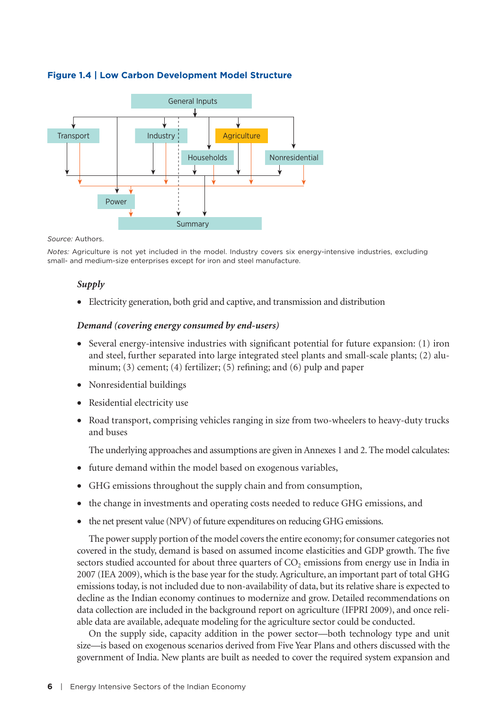#### **Figure 1.4 | Low Carbon Development Model Structure**



*Source:* Authors.

*Notes:* Agriculture is not yet included in the model. Industry covers six energy-intensive industries, excluding small- and medium-size enterprises except for iron and steel manufacture.

#### *Supply*

• Electricity generation, both grid and captive, and transmission and distribution

#### *Demand (covering energy consumed by end-users)*

- Several energy-intensive industries with significant potential for future expansion:  $(1)$  iron and steel, further separated into large integrated steel plants and small-scale plants; (2) aluminum; (3) cement; (4) fertilizer; (5) refining; and (6) pulp and paper
- Nonresidential buildings
- Residential electricity use
- Road transport, comprising vehicles ranging in size from two-wheelers to heavy-duty trucks and buses

The underlying approaches and assumptions are given in Annexes 1 and 2. The model calculates:

- future demand within the model based on exogenous variables,
- GHG emissions throughout the supply chain and from consumption,
- x the change in investments and operating costs needed to reduce GHG emissions, and
- the net present value (NPV) of future expenditures on reducing GHG emissions.

The power supply portion of the model covers the entire economy; for consumer categories not covered in the study, demand is based on assumed income elasticities and GDP growth. The five sectors studied accounted for about three quarters of  $CO<sub>2</sub>$  emissions from energy use in India in 2007 (IEA 2009), which is the base year for the study. Agriculture, an important part of total GHG emissions today, is not included due to non-availability of data, but its relative share is expected to decline as the Indian economy continues to modernize and grow. Detailed recommendations on data collection are included in the background report on agriculture (IFPRI 2009), and once reliable data are available, adequate modeling for the agriculture sector could be conducted.

On the supply side, capacity addition in the power sector—both technology type and unit size—is based on exogenous scenarios derived from Five Year Plans and others discussed with the government of India. New plants are built as needed to cover the required system expansion and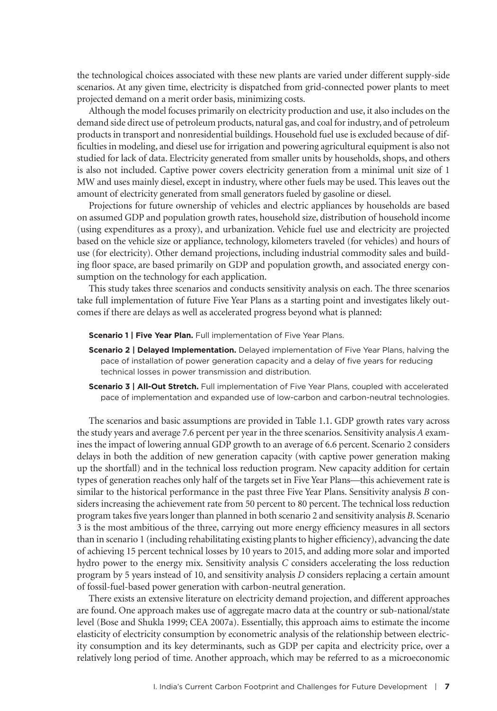the technological choices associated with these new plants are varied under different supply-side scenarios. At any given time, electricity is dispatched from grid-connected power plants to meet projected demand on a merit order basis, minimizing costs.

Although the model focuses primarily on electricity production and use, it also includes on the demand side direct use of petroleum products, natural gas, and coal for industry, and of petroleum products in transport and nonresidential buildings. Household fuel use is excluded because of difficulties in modeling, and diesel use for irrigation and powering agricultural equipment is also not studied for lack of data. Electricity generated from smaller units by households, shops, and others is also not included. Captive power covers electricity generation from a minimal unit size of 1 MW and uses mainly diesel, except in industry, where other fuels may be used. This leaves out the amount of electricity generated from small generators fueled by gasoline or diesel.

Projections for future ownership of vehicles and electric appliances by households are based on assumed GDP and population growth rates, household size, distribution of household income (using expenditures as a proxy), and urbanization. Vehicle fuel use and electricity are projected based on the vehicle size or appliance, technology, kilometers traveled (for vehicles) and hours of use (for electricity). Other demand projections, including industrial commodity sales and building floor space, are based primarily on GDP and population growth, and associated energy consumption on the technology for each application.

This study takes three scenarios and conducts sensitivity analysis on each. The three scenarios take full implementation of future Five Year Plans as a starting point and investigates likely outcomes if there are delays as well as accelerated progress beyond what is planned:

- **Scenario 1 | Five Year Plan.** Full implementation of Five Year Plans.
- **Scenario 2 | Delayed Implementation.** Delayed implementation of Five Year Plans, halving the pace of installation of power generation capacity and a delay of five years for reducing technical losses in power transmission and distribution.
- **Scenario 3 | All-Out Stretch.** Full implementation of Five Year Plans, coupled with accelerated pace of implementation and expanded use of low-carbon and carbon-neutral technologies.

The scenarios and basic assumptions are provided in Table 1.1. GDP growth rates vary across the study years and average 7.6 percent per year in the three scenarios. Sensitivity analysis *A* examines the impact of lowering annual GDP growth to an average of 6.6 percent. Scenario 2 considers delays in both the addition of new generation capacity (with captive power generation making up the shortfall) and in the technical loss reduction program. New capacity addition for certain types of generation reaches only half of the targets set in Five Year Plans—this achievement rate is similar to the historical performance in the past three Five Year Plans. Sensitivity analysis *B* considers increasing the achievement rate from 50 percent to 80 percent. The technical loss reduction program takes five years longer than planned in both scenario 2 and sensitivity analysis *B*. Scenario 3 is the most ambitious of the three, carrying out more energy efficiency measures in all sectors than in scenario 1 (including rehabilitating existing plants to higher efficiency), advancing the date of achieving 15 percent technical losses by 10 years to 2015, and adding more solar and imported hydro power to the energy mix. Sensitivity analysis *C* considers accelerating the loss reduction program by 5 years instead of 10, and sensitivity analysis *D* considers replacing a certain amount of fossil-fuel-based power generation with carbon-neutral generation.

There exists an extensive literature on electricity demand projection, and different approaches are found. One approach makes use of aggregate macro data at the country or sub-national/state level (Bose and Shukla 1999; CEA 2007a). Essentially, this approach aims to estimate the income elasticity of electricity consumption by econometric analysis of the relationship between electricity consumption and its key determinants, such as GDP per capita and electricity price, over a relatively long period of time. Another approach, which may be referred to as a microeconomic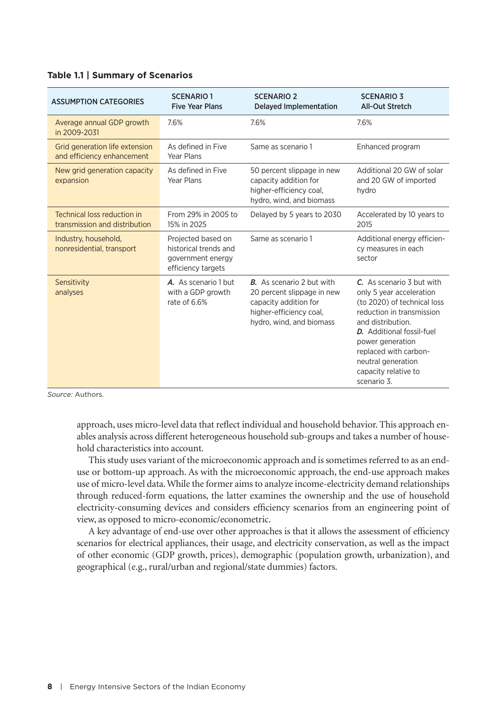|  |  | Table 1.1   Summary of Scenarios |
|--|--|----------------------------------|
|--|--|----------------------------------|

| <b>ASSUMPTION CATEGORIES</b>                                 | <b>SCENARIO1</b><br><b>Five Year Plans</b>                                             | <b>SCENARIO 2</b><br><b>Delayed Implementation</b>                                                                                             | <b>SCENARIO 3</b><br><b>All-Out Stretch</b>                                                                                                                                                                                                                                          |
|--------------------------------------------------------------|----------------------------------------------------------------------------------------|------------------------------------------------------------------------------------------------------------------------------------------------|--------------------------------------------------------------------------------------------------------------------------------------------------------------------------------------------------------------------------------------------------------------------------------------|
| Average annual GDP growth<br>in 2009-2031                    | 7.6%                                                                                   | 7.6%                                                                                                                                           | 7.6%                                                                                                                                                                                                                                                                                 |
| Grid generation life extension<br>and efficiency enhancement | As defined in Five<br>Year Plans                                                       | Same as scenario 1                                                                                                                             | Enhanced program                                                                                                                                                                                                                                                                     |
| New grid generation capacity<br>expansion                    | As defined in Five<br>Year Plans                                                       | 50 percent slippage in new<br>capacity addition for<br>higher-efficiency coal,<br>hydro, wind, and biomass                                     | Additional 20 GW of solar<br>and 20 GW of imported<br>hydro                                                                                                                                                                                                                          |
| Technical loss reduction in<br>transmission and distribution | From 29% in 2005 to<br>15% in 2025                                                     | Delayed by 5 years to 2030                                                                                                                     | Accelerated by 10 years to<br>2015                                                                                                                                                                                                                                                   |
| Industry, household,<br>nonresidential, transport            | Projected based on<br>historical trends and<br>government energy<br>efficiency targets | Same as scenario 1                                                                                                                             | Additional energy efficien-<br>cy measures in each<br>sector                                                                                                                                                                                                                         |
| Sensitivity<br>analyses                                      | <b>A.</b> As scenario 1 but<br>with a GDP growth<br>rate of 6.6%                       | <b>B.</b> As scenario 2 but with<br>20 percent slippage in new<br>capacity addition for<br>higher-efficiency coal,<br>hydro, wind, and biomass | C. As scenario 3 but with<br>only 5 year acceleration<br>(to 2020) of technical loss<br>reduction in transmission<br>and distribution.<br><b>D.</b> Additional fossil-fuel<br>power generation<br>replaced with carbon-<br>neutral generation<br>capacity relative to<br>scenario 3. |

*Source:* Authors.

approach, uses micro-level data that reflect individual and household behavior. This approach enables analysis across different heterogeneous household sub-groups and takes a number of household characteristics into account.

This study uses variant of the microeconomic approach and is sometimes referred to as an enduse or bottom-up approach. As with the microeconomic approach, the end-use approach makes use of micro-level data. While the former aims to analyze income-electricity demand relationships through reduced-form equations, the latter examines the ownership and the use of household electricity-consuming devices and considers efficiency scenarios from an engineering point of view, as opposed to micro-economic/econometric.

A key advantage of end-use over other approaches is that it allows the assessment of efficiency scenarios for electrical appliances, their usage, and electricity conservation, as well as the impact of other economic (GDP growth, prices), demographic (population growth, urbanization), and geographical (e.g., rural/urban and regional/state dummies) factors.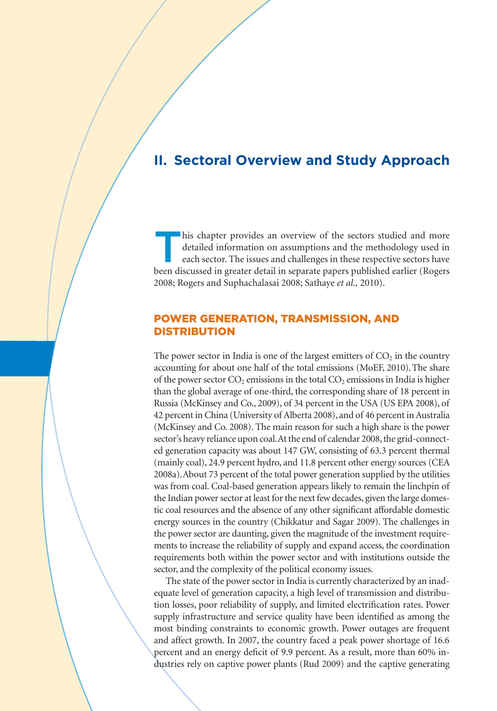## **II. Sectoral Overview and Study Approach**

his chapter provides an overview of the sectors studied and more detailed information on assumptions and the methodology used in each sector. The issues and challenges in these respective sectors have been discussed in greater detail in separate papers published earlier (Rogers 2008; Rogers and Suphachalasai 2008; Sathaye *et al.,* 2010).

#### POWER GENERATION, TRANSMISSION, AND DISTRIBUTION

The power sector in India is one of the largest emitters of  $CO<sub>2</sub>$  in the country accounting for about one half of the total emissions (MoEF, 2010).The share of the power sector  $CO_2$  emissions in the total  $CO_2$  emissions in India is higher than the global average of one-third, the corresponding share of 18 percent in Russia (McKinsey and Co., 2009), of 34 percent in the USA (US EPA 2008), of 42 percent in China (University of Alberta 2008), and of 46 percent in Australia (McKinsey and Co. 2008). The main reason for such a high share is the power sector's heavy reliance upon coal.At the end of calendar 2008, the grid-connected generation capacity was about 147 GW, consisting of 63.3 percent thermal (mainly coal), 24.9 percent hydro, and 11.8 percent other energy sources (CEA 2008a).About 73 percent of the total power generation supplied by the utilities was from coal. Coal-based generation appears likely to remain the linchpin of the Indian power sector at least for the next few decades, given the large domestic coal resources and the absence of any other significant affordable domestic energy sources in the country (Chikkatur and Sagar 2009). The challenges in the power sector are daunting, given the magnitude of the investment requirements to increase the reliability of supply and expand access, the coordination requirements both within the power sector and with institutions outside the sector, and the complexity of the political economy issues.

The state of the power sector in India is currently characterized by an inadequate level of generation capacity, a high level of transmission and distribution losses, poor reliability of supply, and limited electrification rates. Power supply infrastructure and service quality have been identified as among the most binding constraints to economic growth. Power outages are frequent and affect growth. In 2007, the country faced a peak power shortage of 16.6 percent and an energy deficit of 9.9 percent. As a result, more than 60% industries rely on captive power plants (Rud 2009) and the captive generating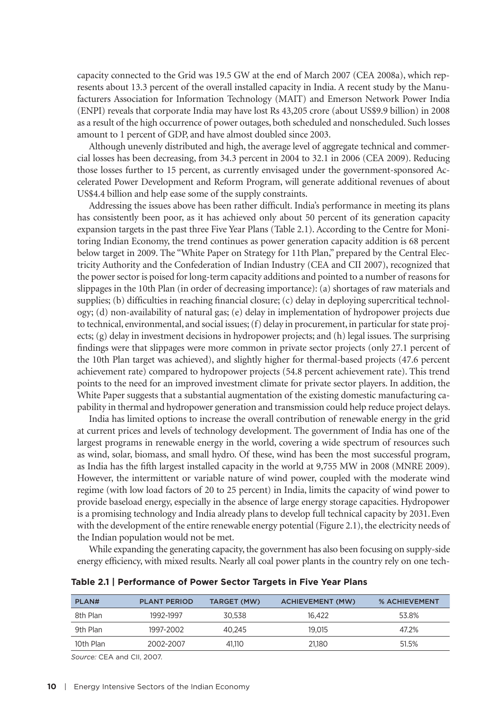capacity connected to the Grid was 19.5 GW at the end of March 2007 (CEA 2008a), which represents about 13.3 percent of the overall installed capacity in India. A recent study by the Manufacturers Association for Information Technology (MAIT) and Emerson Network Power India (ENPI) reveals that corporate India may have lost Rs 43,205 crore (about US\$9.9 billion) in 2008 as a result of the high occurrence of power outages, both scheduled and nonscheduled. Such losses amount to 1 percent of GDP, and have almost doubled since 2003.

Although unevenly distributed and high, the average level of aggregate technical and commercial losses has been decreasing, from 34.3 percent in 2004 to 32.1 in 2006 (CEA 2009). Reducing those losses further to 15 percent, as currently envisaged under the government-sponsored Accelerated Power Development and Reform Program, will generate additional revenues of about US\$4.4 billion and help ease some of the supply constraints.

Addressing the issues above has been rather difficult. India's performance in meeting its plans has consistently been poor, as it has achieved only about 50 percent of its generation capacity expansion targets in the past three Five Year Plans (Table 2.1). According to the Centre for Monitoring Indian Economy, the trend continues as power generation capacity addition is 68 percent below target in 2009. The "White Paper on Strategy for 11th Plan," prepared by the Central Electricity Authority and the Confederation of Indian Industry (CEA and CII 2007), recognized that the power sector is poised for long-term capacity additions and pointed to a number of reasons for slippages in the 10th Plan (in order of decreasing importance): (a) shortages of raw materials and supplies; (b) difficulties in reaching financial closure; (c) delay in deploying supercritical technology; (d) non-availability of natural gas; (e) delay in implementation of hydropower projects due to technical, environmental, and social issues; (f) delay in procurement, in particular for state projects; (g) delay in investment decisions in hydropower projects; and (h) legal issues. The surprising findings were that slippages were more common in private sector projects (only 27.1 percent of the 10th Plan target was achieved), and slightly higher for thermal-based projects (47.6 percent achievement rate) compared to hydropower projects (54.8 percent achievement rate). This trend points to the need for an improved investment climate for private sector players. In addition, the White Paper suggests that a substantial augmentation of the existing domestic manufacturing capability in thermal and hydropower generation and transmission could help reduce project delays.

 India has limited options to increase the overall contribution of renewable energy in the grid at current prices and levels of technology development. The government of India has one of the largest programs in renewable energy in the world, covering a wide spectrum of resources such as wind, solar, biomass, and small hydro. Of these, wind has been the most successful program, as India has the fifth largest installed capacity in the world at 9,755 MW in 2008 (MNRE 2009). However, the intermittent or variable nature of wind power, coupled with the moderate wind regime (with low load factors of 20 to 25 percent) in India, limits the capacity of wind power to provide baseload energy, especially in the absence of large energy storage capacities. Hydropower is a promising technology and India already plans to develop full technical capacity by 2031. Even with the development of the entire renewable energy potential (Figure 2.1), the electricity needs of the Indian population would not be met.

While expanding the generating capacity, the government has also been focusing on supply-side energy efficiency, with mixed results. Nearly all coal power plants in the country rely on one tech-

| PLAN#     | <b>PLANT PERIOD</b> | TARGET (MW) | <b>ACHIEVEMENT (MW)</b> | <b>% ACHIEVEMENT</b> |
|-----------|---------------------|-------------|-------------------------|----------------------|
| 8th Plan  | 1992-1997           | 30.538      | 16.422                  | 53.8%                |
| 9th Plan  | 1997-2002           | 40.245      | 19.015                  | 47.2%                |
| 10th Plan | 2002-2007           | 41.110      | 21.180                  | 51.5%                |

**Table 2.1 | Performance of Power Sector Targets in Five Year Plans**

*Source:* CEA and CII, 2007.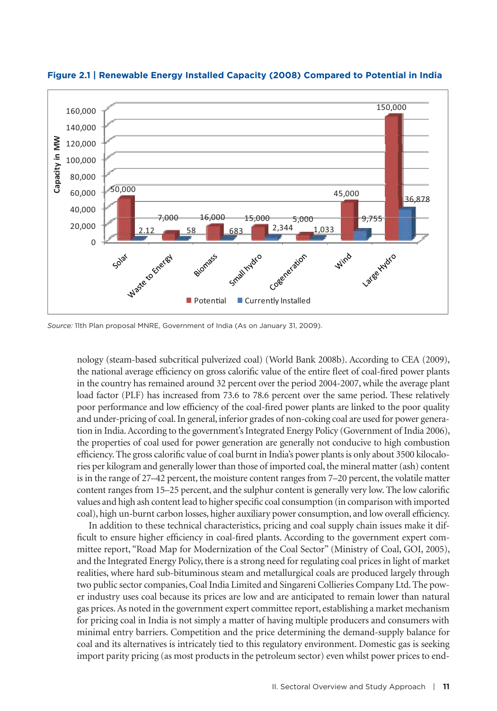

**F igure 2.1 | Renewable Energy Installed Capacity (2008) Compared to Potential in India**

*Source:* 11th Plan proposal MNRE, Government of India (As on January 31, 2009).

nology (steam-based subcritical pulverized coal) (World Bank 2008b). According to CEA (2009), the national average efficiency on gross calorific value of the entire fleet of coal-fired power plants in the country has remained around 32 percent over the period 2004-2007, while the average plant load factor (PLF) has increased from 73.6 to 78.6 percent over the same period. These relatively poor performance and low efficiency of the coal-fired power plants are linked to the poor quality and under-pricing of coal. In general, inferior grades of non-coking coal are used for power generation in India. According to the government's Integrated Energy Policy (Government of India 2006), the properties of coal used for power generation are generally not conducive to high combustion efficiency. The gross calorific value of coal burnt in India's power plants is only about 3500 kilocalories per kilogram and generally lower than those of imported coal, the mineral matter (ash) content is in the range of 27–42 percent, the moisture content ranges from 7–20 percent, the volatile matter content ranges from 15–25 percent, and the sulphur content is generally very low. The low calorific values and high ash content lead to higher specific coal consumption (in comparison with imported coal), high un-burnt carbon losses, higher auxiliary power consumption, and low overall efficiency.

In addition to these technical characteristics, pricing and coal supply chain issues make it difficult to ensure higher efficiency in coal-fired plants. According to the government expert committee report, "Road Map for Modernization of the Coal Sector" (Ministry of Coal, GOI, 2005), and the Integrated Energy Policy, there is a strong need for regulating coal prices in light of market realities, where hard sub-bituminous steam and metallurgical coals are produced largely through two public sector companies, Coal India Limited and Singareni Collieries Company Ltd. The power industry uses coal because its prices are low and are anticipated to remain lower than natural gas prices. As noted in the government expert committee report, establishing a market mechanism for pricing coal in India is not simply a matter of having multiple producers and consumers with minimal entry barriers. Competition and the price determining the demand-supply balance for coal and its alternatives is intricately tied to this regulatory environment. Domestic gas is seeking import parity pricing (as most products in the petroleum sector) even whilst power prices to end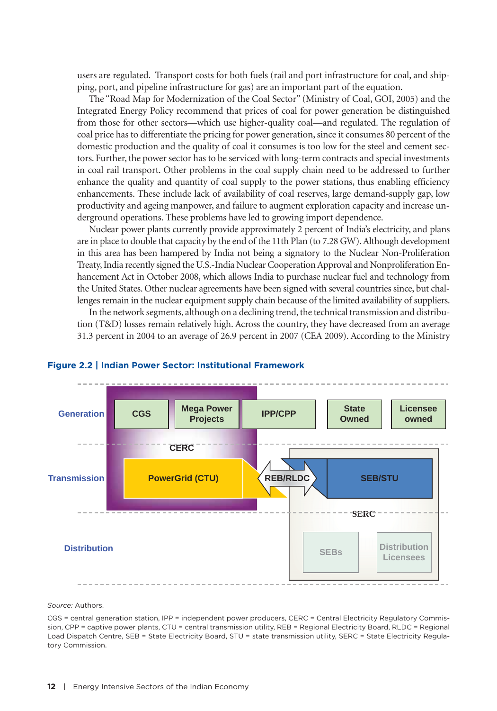users are regulated. Transport costs for both fuels (rail and port infrastructure for coal, and shipping, port, and pipeline infrastructure for gas) are an important part of the equation.

The "Road Map for Modernization of the Coal Sector" (Ministry of Coal, GOI, 2005) and the Integrated Energy Policy recommend that prices of coal for power generation be distinguished from those for other sectors—which use higher-quality coal—and regulated. The regulation of coal price has to differentiate the pricing for power generation, since it consumes 80 percent of the domestic production and the quality of coal it consumes is too low for the steel and cement sectors. Further, the power sector has to be serviced with long-term contracts and special investments in coal rail transport. Other problems in the coal supply chain need to be addressed to further enhance the quality and quantity of coal supply to the power stations, thus enabling efficiency enhancements. These include lack of availability of coal reserves, large demand-supply gap, low productivity and ageing manpower, and failure to augment exploration capacity and increase underground operations. These problems have led to growing import dependence.

Nuclear power plants currently provide approximately 2 percent of India's electricity, and plans are in place to double that capacity by the end of the 11th Plan (to 7.28 GW). Although development in this area has been hampered by India not being a signatory to the Nuclear Non-Proliferation Treaty, India recently signed the U.S.-India Nuclear Cooperation Approval and Nonproliferation Enhancement Act in October 2008, which allows India to purchase nuclear fuel and technology from the United States. Other nuclear agreements have been signed with several countries since, but challenges remain in the nuclear equipment supply chain because of the limited availability of suppliers.

In the network segments, although on a declining trend, the technical transmission and distribution (T&D) losses remain relatively high. Across the country, they have decreased from an average 31.3 percent in 2004 to an average of 26.9 percent in 2007 (CEA 2009). According to the Ministry



#### **Fi gure 2.2 | Indian Power Sector: Institutional Framework**

*Source:* Authors.

CGS = central generation station, IPP = independent power producers, CERC = Central Electricity Regulatory Commission, CPP = captive power plants, CTU = central transmission utility, REB = Regional Electricity Board, RLDC = Regional Load Dispatch Centre, SEB = State Electricity Board, STU = state transmission utility, SERC = State Electricity Regulatory Commission.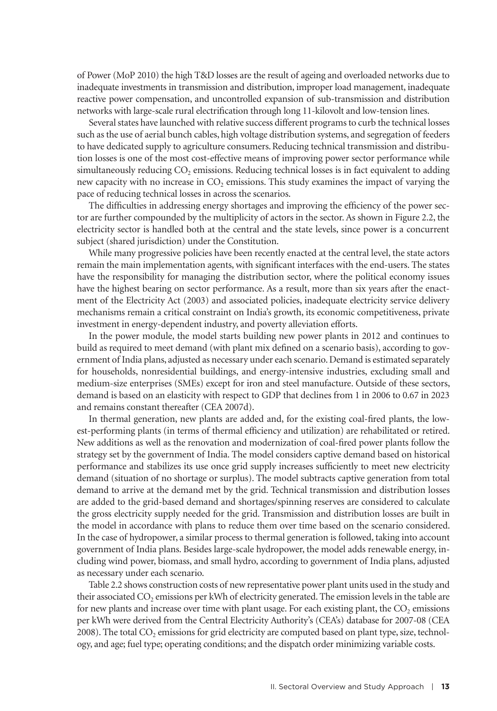of Power (MoP 2010) the high T&D losses are the result of ageing and overloaded networks due to inadequate investments in transmission and distribution, improper load management, inadequate reactive power compensation, and uncontrolled expansion of sub-transmission and distribution networks with large-scale rural electrification through long 11-kilovolt and low-tension lines.

Several states have launched with relative success different programs to curb the technical losses such as the use of aerial bunch cables, high voltage distribution systems, and segregation of feeders to have dedicated supply to agriculture consumers.Reducing technical transmission and distribution losses is one of the most cost-effective means of improving power sector performance while simultaneously reducing  $CO<sub>2</sub>$  emissions. Reducing technical losses is in fact equivalent to adding new capacity with no increase in  $CO<sub>2</sub>$  emissions. This study examines the impact of varying the pace of reducing technical losses in across the scenarios.

The difficulties in addressing energy shortages and improving the efficiency of the power sector are further compounded by the multiplicity of actors in the sector. As shown in Figure 2.2, the electricity sector is handled both at the central and the state levels, since power is a concurrent subject (shared jurisdiction) under the Constitution.

While many progressive policies have been recently enacted at the central level, the state actors remain the main implementation agents, with significant interfaces with the end-users. The states have the responsibility for managing the distribution sector, where the political economy issues have the highest bearing on sector performance. As a result, more than six years after the enactment of the Electricity Act (2003) and associated policies, inadequate electricity service delivery mechanisms remain a critical constraint on India's growth, its economic competitiveness, private investment in energy-dependent industry, and poverty alleviation efforts.

In the power module, the model starts building new power plants in 2012 and continues to build as required to meet demand (with plant mix defined on a scenario basis), according to government of India plans, adjusted as necessary under each scenario. Demand is estimated separately for households, nonresidential buildings, and energy-intensive industries, excluding small and medium-size enterprises (SMEs) except for iron and steel manufacture. Outside of these sectors, demand is based on an elasticity with respect to GDP that declines from 1 in 2006 to 0.67 in 2023 and remains constant thereafter (CEA 2007d).

In thermal generation, new plants are added and, for the existing coal-fired plants, the lowest-performing plants (in terms of thermal efficiency and utilization) are rehabilitated or retired. New additions as well as the renovation and modernization of coal-fired power plants follow the strategy set by the government of India. The model considers captive demand based on historical performance and stabilizes its use once grid supply increases sufficiently to meet new electricity demand (situation of no shortage or surplus). The model subtracts captive generation from total demand to arrive at the demand met by the grid. Technical transmission and distribution losses are added to the grid-based demand and shortages/spinning reserves are considered to calculate the gross electricity supply needed for the grid. Transmission and distribution losses are built in the model in accordance with plans to reduce them over time based on the scenario considered. In the case of hydropower, a similar process to thermal generation is followed, taking into account government of India plans. Besides large-scale hydropower, the model adds renewable energy, including wind power, biomass, and small hydro, according to government of India plans, adjusted as necessary under each scenario.

Table 2.2 shows construction costs of new representative power plant units used in the study and their associated  $CO<sub>2</sub>$  emissions per kWh of electricity generated. The emission levels in the table are for new plants and increase over time with plant usage. For each existing plant, the  $CO<sub>2</sub>$  emissions per kWh were derived from the Central Electricity Authority's (CEA's) database for 2007-08 (CEA 2008). The total  $CO<sub>2</sub>$  emissions for grid electricity are computed based on plant type, size, technology, and age; fuel type; operating conditions; and the dispatch order minimizing variable costs.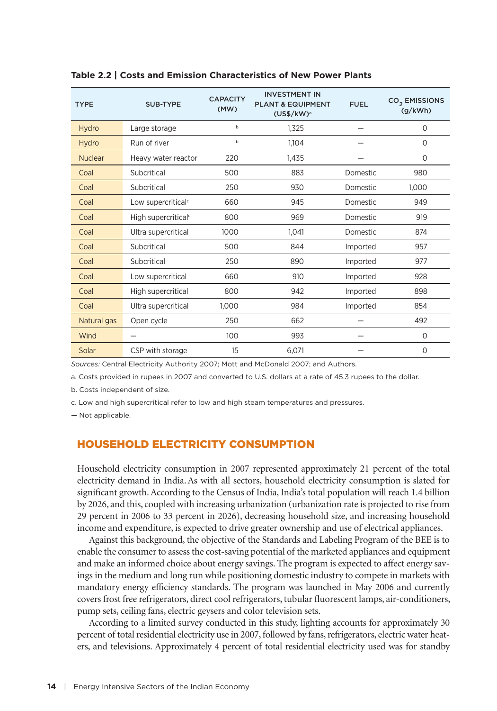| <b>TYPE</b>    | SUB-TYPE                        | <b>CAPACITY</b><br>(MW) | <b>INVESTMENT IN</b><br><b>PLANT &amp; EQUIPMENT</b><br>(US\$/kW) <sup>a</sup> | <b>FUEL</b>     | CO <sub>2</sub> EMISSIONS<br>(g/kWh) |
|----------------|---------------------------------|-------------------------|--------------------------------------------------------------------------------|-----------------|--------------------------------------|
| Hydro          | Large storage                   | b                       | 1,325                                                                          |                 | $\circ$                              |
| Hydro          | Run of river                    | b                       | 1,104                                                                          |                 | $\mathbf{O}$                         |
| <b>Nuclear</b> | Heavy water reactor             | 220                     | 1,435                                                                          |                 | $\mathbf 0$                          |
| Coal           | Subcritical                     | 500                     | 883                                                                            | Domestic        | 980                                  |
| Coal           | Subcritical                     | 250                     | 930                                                                            | Domestic        | 1.000                                |
| Coal           | Low supercritical <sup>c</sup>  | 660                     | 945                                                                            | Domestic        | 949                                  |
| Coal           | High supercritical <sup>c</sup> | 800                     | 969                                                                            | <b>Domestic</b> | 919                                  |
| Coal           | Ultra supercritical             | 1000                    | 1,041                                                                          | Domestic        | 874                                  |
| Coal           | Subcritical                     | 500                     | 844                                                                            | Imported        | 957                                  |
| Coal           | Subcritical                     | 250                     | 890                                                                            | Imported        | 977                                  |
| Coal           | Low supercritical               | 660                     | 910                                                                            | Imported        | 928                                  |
| Coal           | High supercritical              | 800                     | 942                                                                            | Imported        | 898                                  |
| Coal           | Ultra supercritical             | 1,000                   | 984                                                                            | Imported        | 854                                  |
| Natural gas    | Open cycle                      | 250                     | 662                                                                            |                 | 492                                  |
| Wind           |                                 | 100                     | 993                                                                            |                 | $\Omega$                             |
| Solar          | CSP with storage                | 15                      | 6,071                                                                          |                 | 0                                    |

**Ta ble 2.2 | Co sts and Emission Characteristics of New Power Plants**

*Sources:* Central Electricity Authority 2007; Mott and McDonald 2007; and Authors.

a. Costs provided in rupees in 2007 and converted to U.S. dollars at a rate of 45.3 rupees to the dollar.

b. Costs independent of size.

c. Low and high supercritical refer to low and high steam temperatures and pressures.

— Not applicable.

#### HOUSEHOLD ELECTRICITY CONSUMPTION

Household electricity consumption in 2007 represented approximately 21 percent of the total electricity demand in India.As with all sectors, household electricity consumption is slated for significant growth. According to the Census of India, India's total population will reach 1.4 billion by 2026, and this, coupled with increasing urbanization (urbanization rate is projected to rise from 29 percent in 2006 to 33 percent in 2026), decreasing household size, and increasing household income and expenditure, is expected to drive greater ownership and use of electrical appliances.

Against this background, the objective of the Standards and Labeling Program of the BEE is to enable the consumer to assess the cost-saving potential of the marketed appliances and equipment and make an informed choice about energy savings. The program is expected to affect energy savings in the medium and long run while positioning domestic industry to compete in markets with mandatory energy efficiency standards. The program was launched in May 2006 and currently covers frost free refrigerators, direct cool refrigerators, tubular fluorescent lamps, air-conditioners, pump sets, ceiling fans, electric geysers and color television sets.

According to a limited survey conducted in this study, lighting accounts for approximately 30 percent of total residential electricity use in 2007, followed by fans, refrigerators, electric water heaters, and televisions. Approximately 4 percent of total residential electricity used was for standby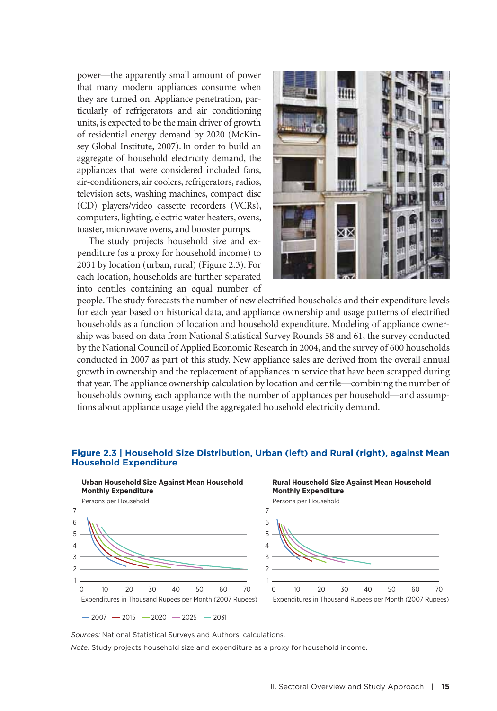power—the apparently small amount of power that many modern appliances consume when they are turned on. Appliance penetration, particularly of refrigerators and air conditioning units, is expected to be the main driver of growth of residential energy demand by 2020 (McKinsey Global Institute, 2007).In order to build an aggregate of household electricity demand, the appliances that were considered included fans, air-conditioners, air coolers, refrigerators, radios, television sets, washing machines, compact disc (CD) players/video cassette recorders (VCRs), computers, lighting, electric water heaters, ovens, toaster, microwave ovens, and booster pumps.

The study projects household size and expenditure (as a proxy for household income) to 2031 by location (urban, rural) (Figure 2.3). For each location, households are further separated into centiles containing an equal number of



people. The study forecasts the number of new electrified households and their expenditure levels for each year based on historical data, and appliance ownership and usage patterns of electrified households as a function of location and household expenditure. Modeling of appliance ownership was based on data from National Statistical Survey Rounds 58 and 61, the survey conducted by the National Council of Applied Economic Research in 2004, and the survey of 600 households conducted in 2007 as part of this study. New appliance sales are derived from the overall annual growth in ownership and the replacement of appliances in service that have been scrapped during that year. The appliance ownership calculation by location and centile—combining the number of households owning each appliance with the number of appliances per household—and assumptions about appliance usage yield the aggregated household electricity demand.

#### **Figure2.3 | Household Size Distribution, Urban (left) and Rural (right), against Mean Household Expenditure**



**Rural Household Size Against Mean Household Monthly Expenditure**



*Sources:* National Statistical Surveys and Authors' calculations.

*Note:* Study projects household size and expenditure as a proxy for household income.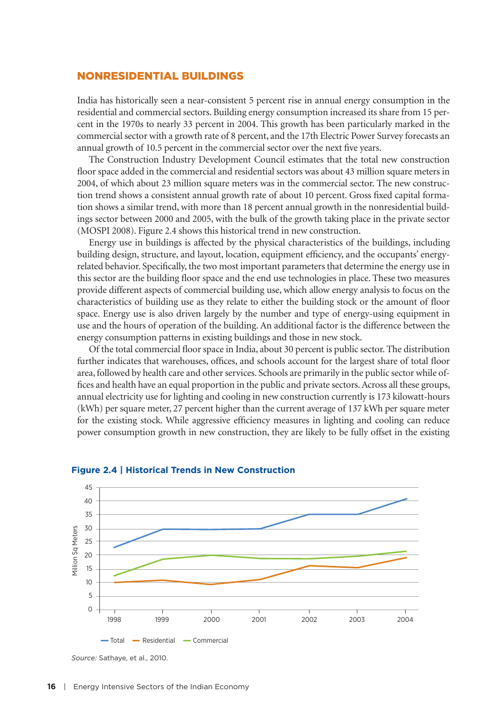#### NONRESIDENTIAL BUILDINGS

India has historically seen a near-consistent 5 percent rise in annual energy consumption in the residential and commercial sectors. Building energy consumption increased its share from 15 percent in the 1970s to nearly 33 percent in 2004. This growth has been particularly marked in the commercial sector with a growth rate of 8 percent, and the 17th Electric Power Survey forecasts an annual growth of 10.5 percent in the commercial sector over the next five years.

The Construction Industry Development Council estimates that the total new construction floor space added in the commercial and residential sectors was about 43 million square meters in 2004, of which about 23 million square meters was in the commercial sector. The new construction trend shows a consistent annual growth rate of about 10 percent. Gross fixed capital formation shows a similar trend, with more than 18 percent annual growth in the nonresidential buildings sector between 2000 and 2005, with the bulk of the growth taking place in the private sector (MOSPI 2008). Figure 2.4 shows this historical trend in new construction.

Energy use in buildings is affected by the physical characteristics of the buildings, including building design, structure, and layout, location, equipment efficiency, and the occupants' energyrelated behavior. Specifically, the two most important parameters that determine the energy use in this sector are the building floor space and the end use technologies in place. These two measures provide different aspects of commercial building use, which allow energy analysis to focus on the characteristics of building use as they relate to either the building stock or the amount of floor space. Energy use is also driven largely by the number and type of energy-using equipment in use and the hours of operation of the building. An additional factor is the difference between the energy consumption patterns in existing buildings and those in new stock.

Of the total commercial floor space in India, about 30 percent is public sector. The distribution further indicates that warehouses, offices, and schools account for the largest share of total floor area, followed by health care and other services. Schools are primarily in the public sector while offices and health have an equal proportion in the public and private sectors. Across all these groups, annual electricity use for lighting and cooling in new construction currently is 173 kilowatt-hours (kWh) per square meter, 27 percent higher than the current average of 137 kWh per square meter for the existing stock. While aggressive efficiency measures in lighting and cooling can reduce power consumption growth in new construction, they are likely to be fully offset in the existing



#### **Figure 2.4 | Historical Trends in New Construction**

*Source:* Sathaye, et al., 2010.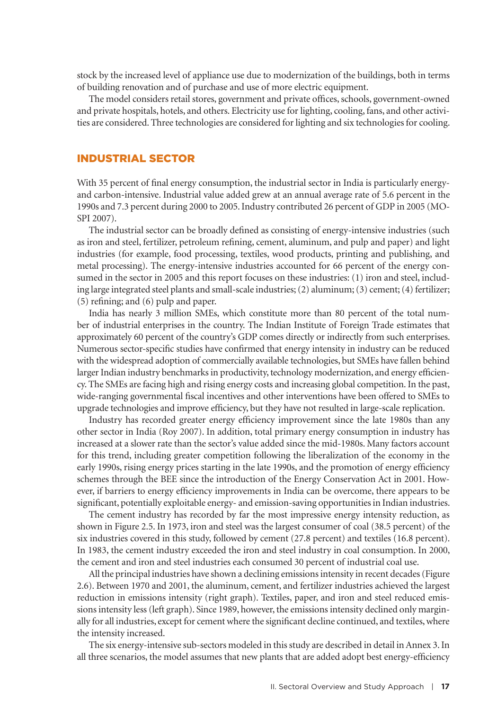stock by the increased level of appliance use due to modernization of the buildings, both in terms of building renovation and of purchase and use of more electric equipment.

The model considers retail stores, government and private offices, schools, government-owned and private hospitals, hotels, and others. Electricity use for lighting, cooling, fans, and other activities are considered. Three technologies are considered for lighting and six technologies for cooling.

#### INDUSTRIAL SECTOR

With 35 percent of final energy consumption, the industrial sector in India is particularly energyand carbon-intensive. Industrial value added grew at an annual average rate of 5.6 percent in the 1990s and 7.3 percent during 2000 to 2005. Industry contributed 26 percent of GDP in 2005 (MO-SPI 2007).

The industrial sector can be broadly defined as consisting of energy-intensive industries (such as iron and steel, fertilizer, petroleum refining, cement, aluminum, and pulp and paper) and light industries (for example, food processing, textiles, wood products, printing and publishing, and metal processing). The energy-intensive industries accounted for 66 percent of the energy consumed in the sector in 2005 and this report focuses on these industries: (1) iron and steel, including large integrated steel plants and small-scale industries; (2) aluminum; (3) cement; (4) fertilizer;  $(5)$  refining; and  $(6)$  pulp and paper.

India has nearly 3 million SMEs, which constitute more than 80 percent of the total number of industrial enterprises in the country. The Indian Institute of Foreign Trade estimates that approximately 60 percent of the country's GDP comes directly or indirectly from such enterprises. Numerous sector-specific studies have confirmed that energy intensity in industry can be reduced with the widespread adoption of commercially available technologies, but SMEs have fallen behind larger Indian industry benchmarks in productivity, technology modernization, and energy efficiency. The SMEs are facing high and rising energy costs and increasing global competition. In the past, wide-ranging governmental fiscal incentives and other interventions have been offered to SMEs to upgrade technologies and improve efficiency, but they have not resulted in large-scale replication.

Industry has recorded greater energy efficiency improvement since the late 1980s than any other sector in India (Roy 2007). In addition, total primary energy consumption in industry has increased at a slower rate than the sector's value added since the mid-1980s. Many factors account for this trend, including greater competition following the liberalization of the economy in the early 1990s, rising energy prices starting in the late 1990s, and the promotion of energy efficiency schemes through the BEE since the introduction of the Energy Conservation Act in 2001. However, if barriers to energy efficiency improvements in India can be overcome, there appears to be significant, potentially exploitable energy- and emission-saving opportunities in Indian industries.

The cement industry has recorded by far the most impressive energy intensity reduction, as shown in Figure 2.5. In 1973, iron and steel was the largest consumer of coal (38.5 percent) of the six industries covered in this study, followed by cement (27.8 percent) and textiles (16.8 percent). In 1983, the cement industry exceeded the iron and steel industry in coal consumption. In 2000, the cement and iron and steel industries each consumed 30 percent of industrial coal use.

All the principal industries have shown a declining emissions intensity in recent decades (Figure 2.6). Between 1970 and 2001, the aluminum, cement, and fertilizer industries achieved the largest reduction in emissions intensity (right graph). Textiles, paper, and iron and steel reduced emissions intensity less (left graph). Since 1989, however, the emissions intensity declined only marginally for all industries, except for cement where the significant decline continued, and textiles, where the intensity increased.

The six energy-intensive sub-sectors modeled in this study are described in detail in Annex 3. In all three scenarios, the model assumes that new plants that are added adopt best energy-efficiency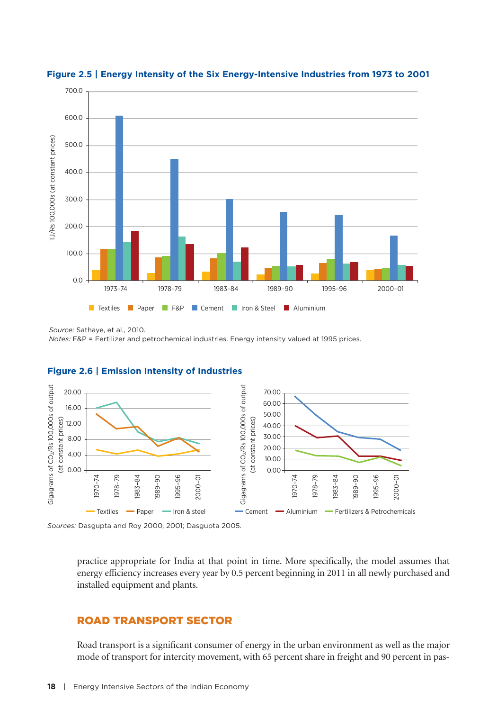



*Source:* Sathaye, et al., 2010.

*Notes:* F&P = Fertilizer and petrochemical industries. Energy intensity valued at 1995 prices.



#### **Figure 2 .6 | Emission Intensity of Industries**

*Sources:* Dasgupta and Roy 2000, 2001; Dasgupta 2005.

practice appropriate for India at that point in time. More specifically, the model assumes that energy efficiency increases every year by 0.5 percent beginning in 2011 in all newly purchased and installed equipment and plants.

#### ROAD TRANSPORT SECTOR

Road transport is a significant consumer of energy in the urban environment as well as the major mode of transport for intercity movement, with 65 percent share in freight and 90 percent in pas-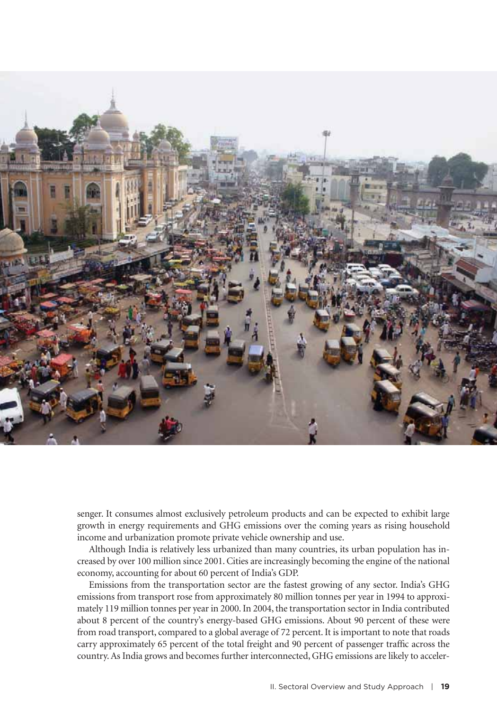

senger. It consumes almost exclusively petroleum products and can be expected to exhibit large growth in energy requirements and GHG emissions over the coming years as rising household income and urbanization promote private vehicle ownership and use.

Although India is relatively less urbanized than many countries, its urban population has increased by over 100 million since 2001. Cities are increasingly becoming the engine of the national economy, accounting for about 60 percent of India's GDP.

Emissions from the transportation sector are the fastest growing of any sector. India's GHG emissions from transport rose from approximately 80 million tonnes per year in 1994 to approximately 119 million tonnes per year in 2000. In 2004, the transportation sector in India contributed about 8 percent of the country's energy-based GHG emissions. About 90 percent of these were from road transport, compared to a global average of 72 percent. It is important to note that roads carry approximately 65 percent of the total freight and 90 percent of passenger traffic across the country. As India grows and becomes further interconnected, GHG emissions are likely to acceler-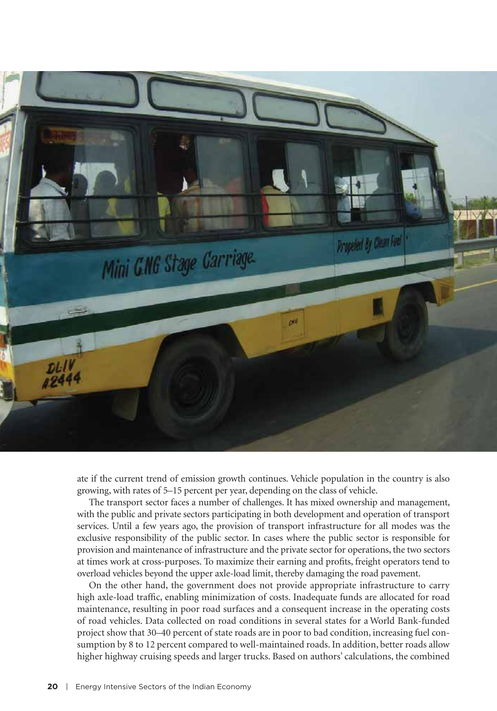

ate if the current trend of emission growth continues. Vehicle population in the country is also growing, with rates of 5–15 percent per year, depending on the class of vehicle.

The transport sector faces a number of challenges. It has mixed ownership and management, with the public and private sectors participating in both development and operation of transport services. Until a few years ago, the provision of transport infrastructure for all modes was the exclusive responsibility of the public sector. In cases where the public sector is responsible for provision and maintenance of infrastructure and the private sector for operations, the two sectors at times work at cross-purposes. To maximize their earning and profits, freight operators tend to overload vehicles beyond the upper axle-load limit, thereby damaging the road pavement.

On the other hand, the government does not provide appropriate infrastructure to carry high axle-load traffic, enabling minimization of costs. Inadequate funds are allocated for road maintenance, resulting in poor road surfaces and a consequent increase in the operating costs of road vehicles. Data collected on road conditions in several states for a World Bank-funded project show that 30–40 percent of state roads are in poor to bad condition, increasing fuel consumption by 8 to 12 percent compared to well-maintained roads. In addition, better roads allow higher highway cruising speeds and larger trucks. Based on authors' calculations, the combined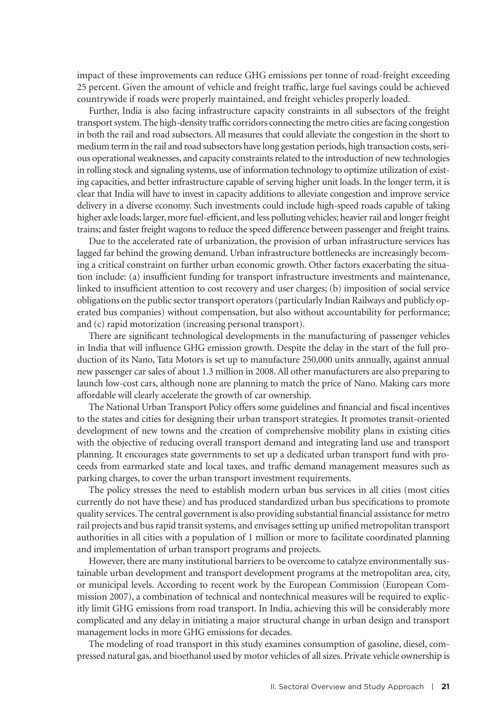impact of these improvements can reduce GHG emissions per tonne of road-freight exceeding 25 percent. Given the amount of vehicle and freight traffic, large fuel savings could be achieved countrywide if roads were properly maintained, and freight vehicles properly loaded.

Further, India is also facing infrastructure capacity constraints in all subsectors of the freight transport system. The high-density traffic corridors connecting the metro cities are facing congestion in both the rail and road subsectors. All measures that could alleviate the congestion in the short to medium term in the rail and road subsectors have long gestation periods, high transaction costs, serious operational weaknesses, and capacity constraints related to the introduction of new technologies in rolling stock and signaling systems, use of information technology to optimize utilization of existing capacities, and better infrastructure capable of serving higher unit loads. In the longer term, it is clear that India will have to invest in capacity additions to alleviate congestion and improve service delivery in a diverse economy. Such investments could include high-speed roads capable of taking higher axle loads; larger, more fuel-efficient, and less polluting vehicles; heavier rail and longer freight trains; and faster freight wagons to reduce the speed difference between passenger and freight trains.

Due to the accelerated rate of urbanization, the provision of urban infrastructure services has lagged far behind the growing demand. Urban infrastructure bottlenecks are increasingly becoming a critical constraint on further urban economic growth. Other factors exacerbating the situation include: (a) insufficient funding for transport infrastructure investments and maintenance, linked to insufficient attention to cost recovery and user charges; (b) imposition of social service obligations on the public sector transport operators (particularly Indian Railways and publicly operated bus companies) without compensation, but also without accountability for performance; and (c) rapid motorization (increasing personal transport).

There are significant technological developments in the manufacturing of passenger vehicles in India that will influence GHG emission growth. Despite the delay in the start of the full production of its Nano, Tata Motors is set up to manufacture 250,000 units annually, against annual new passenger car sales of about 1.3 million in 2008. All other manufacturers are also preparing to launch low-cost cars, although none are planning to match the price of Nano. Making cars more affordable will clearly accelerate the growth of car ownership.

The National Urban Transport Policy offers some guidelines and financial and fiscal incentives to the states and cities for designing their urban transport strategies. It promotes transit-oriented development of new towns and the creation of comprehensive mobility plans in existing cities with the objective of reducing overall transport demand and integrating land use and transport planning. It encourages state governments to set up a dedicated urban transport fund with proceeds from earmarked state and local taxes, and traffic demand management measures such as parking charges, to cover the urban transport investment requirements.

The policy stresses the need to establish modern urban bus services in all cities (most cities currently do not have these) and has produced standardized urban bus specifications to promote quality services. The central government is also providing substantial financial assistance for metro rail projects and bus rapid transit systems, and envisages setting up unified metropolitan transport authorities in all cities with a population of 1 million or more to facilitate coordinated planning and implementation of urban transport programs and projects.

However, there are many institutional barriers to be overcome to catalyze environmentally sustainable urban development and transport development programs at the metropolitan area, city, or municipal levels. According to recent work by the European Commission (European Commission 2007), a combination of technical and nontechnical measures will be required to explicitly limit GHG emissions from road transport. In India, achieving this will be considerably more complicated and any delay in initiating a major structural change in urban design and transport management locks in more GHG emissions for decades.

The modeling of road transport in this study examines consumption of gasoline, diesel, compressed natural gas, and bioethanol used by motor vehicles of all sizes. Private vehicle ownership is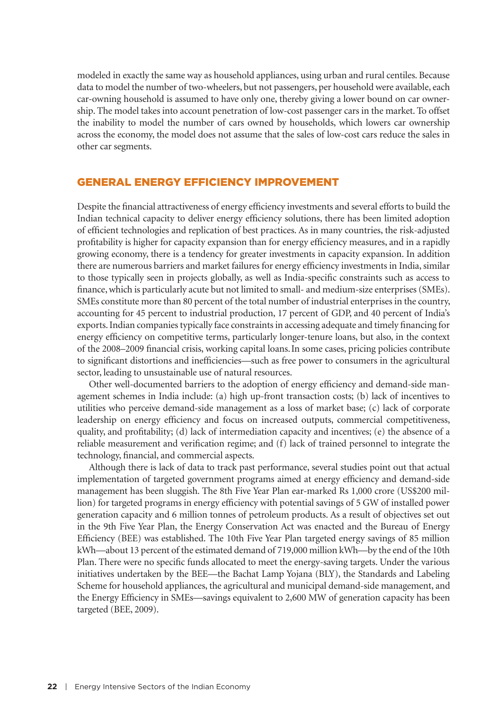modeled in exactly the same way as household appliances, using urban and rural centiles. Because data to model the number of two-wheelers, but not passengers, per household were available, each car-owning household is assumed to have only one, thereby giving a lower bound on car ownership. The model takes into account penetration of low-cost passenger cars in the market. To offset the inability to model the number of cars owned by households, which lowers car ownership across the economy, the model does not assume that the sales of low-cost cars reduce the sales in other car segments.

## GENERAL ENERGY EFFICIENCY IMPROVEMENT

Despite the financial attractiveness of energy efficiency investments and several efforts to build the Indian technical capacity to deliver energy efficiency solutions, there has been limited adoption of efficient technologies and replication of best practices. As in many countries, the risk-adjusted profitability is higher for capacity expansion than for energy efficiency measures, and in a rapidly growing economy, there is a tendency for greater investments in capacity expansion. In addition there are numerous barriers and market failures for energy efficiency investments in India, similar to those typically seen in projects globally, as well as India-specifi c constraints such as access to finance, which is particularly acute but not limited to small- and medium-size enterprises (SMEs). SMEs constitute more than 80 percent of the total number of industrial enterprises in the country, accounting for 45 percent to industrial production, 17 percent of GDP, and 40 percent of India's exports. Indian companies typically face constraints in accessing adequate and timely financing for energy efficiency on competitive terms, particularly longer-tenure loans, but also, in the context of the 2008–2009 financial crisis, working capital loans. In some cases, pricing policies contribute to significant distortions and inefficiencies—such as free power to consumers in the agricultural sector, leading to unsustainable use of natural resources.

Other well-documented barriers to the adoption of energy efficiency and demand-side management schemes in India include: (a) high up-front transaction costs; (b) lack of incentives to utilities who perceive demand-side management as a loss of market base; (c) lack of corporate leadership on energy efficiency and focus on increased outputs, commercial competitiveness, quality, and profitability; (d) lack of intermediation capacity and incentives; (e) the absence of a reliable measurement and verification regime; and (f) lack of trained personnel to integrate the technology, financial, and commercial aspects.

Although there is lack of data to track past performance, several studies point out that actual implementation of targeted government programs aimed at energy efficiency and demand-side management has been sluggish. The 8th Five Year Plan ear-marked Rs 1,000 crore (US\$200 million) for targeted programs in energy efficiency with potential savings of 5 GW of installed power generation capacity and 6 million tonnes of petroleum products. As a result of objectives set out in the 9th Five Year Plan, the Energy Conservation Act was enacted and the Bureau of Energy Efficiency (BEE) was established. The 10th Five Year Plan targeted energy savings of 85 million kWh—about 13 percent of the estimated demand of 719,000 million kWh—by the end of the 10th Plan. There were no specific funds allocated to meet the energy-saving targets. Under the various initiatives undertaken by the BEE—the Bachat Lamp Yojana (BLY), the Standards and Labeling Scheme for household appliances, the agricultural and municipal demand-side management, and the Energy Efficiency in SMEs—savings equivalent to 2,600 MW of generation capacity has been targeted (BEE, 2009).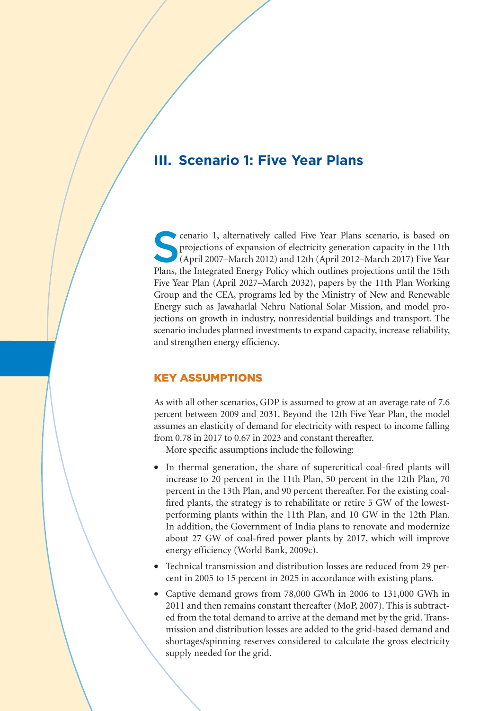# **III. Scenario 1: Five Year Plans**

cenario 1, alternatively called Five Year Plans scenario, is based on projections of expansion of electricity generation capacity in the 11th (April 2007–March 2012) and 12th (April 2012–March 2017) Five Year Plans, the Integrated Energy Policy which outlines projections until the 15th Five Year Plan (April 2027–March 2032), papers by the 11th Plan Working Group and the CEA, programs led by the Ministry of New and Renewable Energy such as Jawaharlal Nehru National Solar Mission, and model projections on growth in industry, nonresidential buildings and transport. The scenario includes planned investments to expand capacity, increase reliability, and strengthen energy efficiency.

## KEY ASSUMPTIONS

As with all other scenarios, GDP is assumed to grow at an average rate of 7.6 percent between 2009 and 2031. Beyond the 12th Five Year Plan, the model assumes an elasticity of demand for electricity with respect to income falling from 0.78 in 2017 to 0.67 in 2023 and constant thereafter.

More specific assumptions include the following:

- In thermal generation, the share of supercritical coal-fired plants will increase to 20 percent in the 11th Plan, 50 percent in the 12th Plan, 70 percent in the 13th Plan, and 90 percent thereafter. For the existing coalfired plants, the strategy is to rehabilitate or retire 5 GW of the lowestperforming plants within the 11th Plan, and 10 GW in the 12th Plan. In addition, the Government of India plans to renovate and modernize about 27 GW of coal-fired power plants by 2017, which will improve energy efficiency (World Bank, 2009c).
- Technical transmission and distribution losses are reduced from 29 percent in 2005 to 15 percent in 2025 in accordance with existing plans.
- Captive demand grows from 78,000 GWh in 2006 to 131,000 GWh in 2011 and then remains constant thereafter (MoP, 2007). This is subtracted from the total demand to arrive at the demand met by the grid. Transmission and distribution losses are added to the grid-based demand and shortages/spinning reserves considered to calculate the gross electricity supply needed for the grid.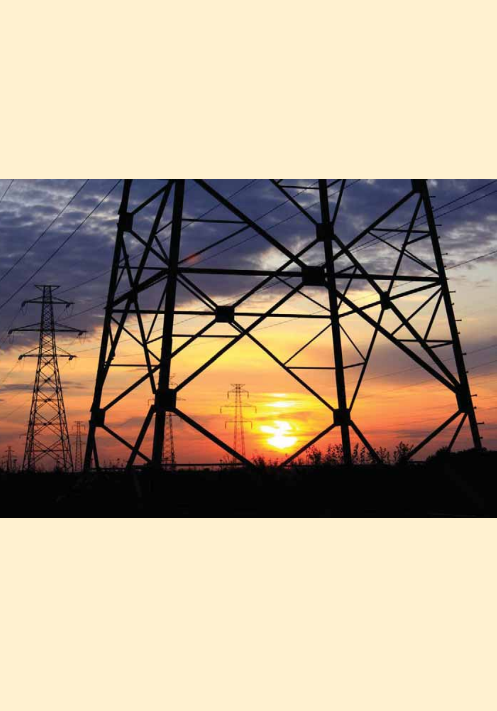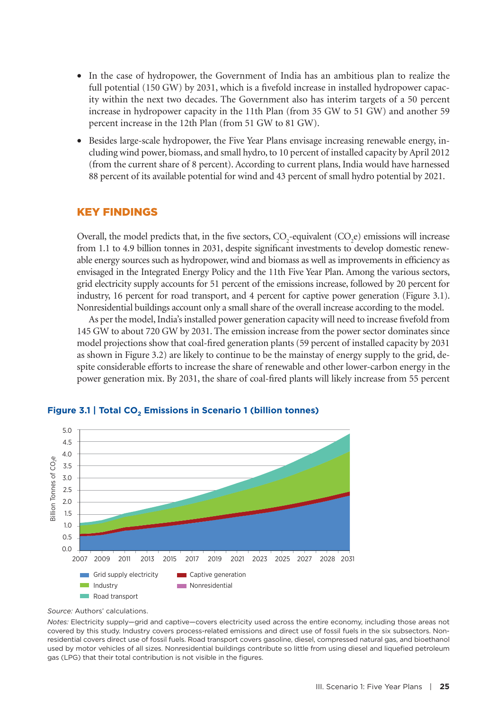- In the case of hydropower, the Government of India has an ambitious plan to realize the full potential (150 GW) by 2031, which is a fivefold increase in installed hydropower capacity within the next two decades. The Government also has interim targets of a 50 percent increase in hydropower capacity in the 11th Plan (from 35 GW to 51 GW) and another 59 percent increase in the 12th Plan (from 51 GW to 81 GW).
- Besides large-scale hydropower, the Five Year Plans envisage increasing renewable energy, including wind power, biomass, and small hydro, to 10 percent of installed capacity by April 2012 (from the current share of 8 percent). According to current plans, India would have harnessed 88 percent of its available potential for wind and 43 percent of small hydro potential by 2021.

## KEY FINDINGS

Overall, the model predicts that, in the five sectors,  $CO_2$ -equivalent  $(CO_2e)$  emissions will increase from 1.1 to 4.9 billion tonnes in 2031, despite significant investments to develop domestic renewable energy sources such as hydropower, wind and biomass as well as improvements in efficiency as envisaged in the Integrated Energy Policy and the 11th Five Year Plan. Among the various sectors, grid electricity supply accounts for 51 percent of the emissions increase, followed by 20 percent for industry, 16 percent for road transport, and 4 percent for captive power generation (Figure 3.1). Nonresidential buildings account only a small share of the overall increase according to the model.

As per the model, India's installed power generation capacity will need to increase fivefold from 145 GW to about 720 GW by 2031. The emission increase from the power sector dominates since model projections show that coal-fired generation plants (59 percent of installed capacity by 2031 as shown in Figure 3.2) are likely to continue to be the mainstay of energy supply to the grid, despite considerable efforts to increase the share of renewable and other lower-carbon energy in the power generation mix. By 2031, the share of coal-fired plants will likely increase from 55 percent



#### **Figure 3.1 | Total CO<sub>2</sub> Emissions in Scenario 1 (billion tonnes)**

*Notes:* Electricity supply—grid and captive—covers electricity used across the entire economy, including those areas not covered by this study. Industry covers process-related emissions and direct use of fossil fuels in the six subsectors. Nonresidential covers direct use of fossil fuels. Road transport covers gasoline, diesel, compressed natural gas, and bioethanol used by motor vehicles of all sizes. Nonresidential buildings contribute so little from using diesel and liquefied petroleum gas (LPG) that their total contribution is not visible in the figures.

*Source:* Authors' calculations.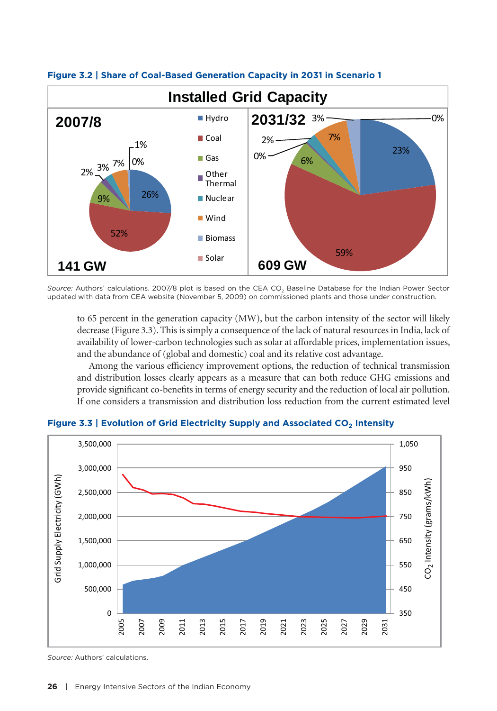

#### **F igure 3.2 | Share of Coal-Based Generation Capacity in 2031 in Scenario 1**

Source: Authors' calculations. 2007/8 plot is based on the CEA CO<sub>2</sub> Baseline Database for the Indian Power Sector updated with data from CEA website (November 5, 2009) on commissioned plants and those under construction.

to 65 percent in the generation capacity (MW), but the carbon intensity of the sector will likely decrease (Figure 3.3). This is simply a consequence of the lack of natural resources in India, lack of availability of lower-carbon technologies such as solar at affordable prices, implementation issues, and the abundance of (global and domestic) coal and its relative cost advantage.

Among the various efficiency improvement options, the reduction of technical transmission and distribution losses clearly appears as a measure that can both reduce GHG emissions and provide significant co-benefits in terms of energy security and the reduction of local air pollution. If one considers a transmission and distribution loss reduction from the current estimated level



**Figure 3.3 | Evolution of Grid Electricity Supply and Associated CO<sub>2</sub> Intensity** 

*Source:* Authors' calculations.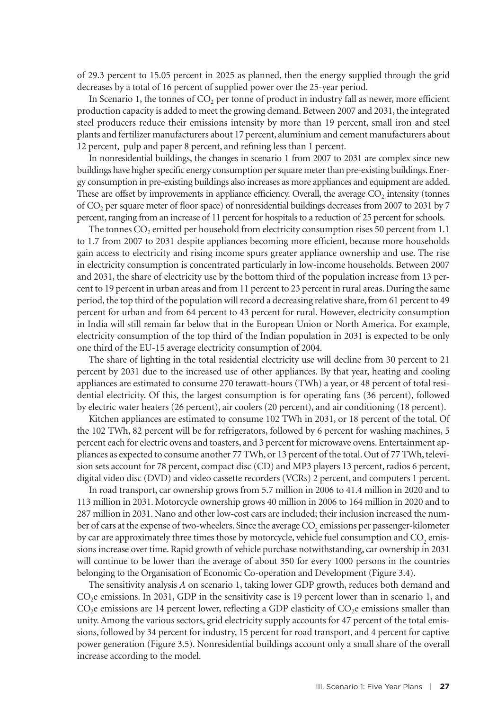of 29.3 percent to 15.05 percent in 2025 as planned, then the energy supplied through the grid decreases by a total of 16 percent of supplied power over the 25-year period.

In Scenario 1, the tonnes of  $CO<sub>2</sub>$  per tonne of product in industry fall as newer, more efficient production capacity is added to meet the growing demand. Between 2007 and 2031, the integrated steel producers reduce their emissions intensity by more than 19 percent, small iron and steel plants and fertilizer manufacturers about 17 percent, aluminium and cement manufacturers about 12 percent, pulp and paper 8 percent, and refining less than 1 percent.

In nonresidential buildings, the changes in scenario 1 from 2007 to 2031 are complex since new buildings have higher specific energy consumption per square meter than pre-existing buildings. Energy consumption in pre-existing buildings also increases as more appliances and equipment are added. These are offset by improvements in appliance efficiency. Overall, the average  $CO<sub>2</sub>$  intensity (tonnes of  $CO<sub>2</sub>$  per square meter of floor space) of nonresidential buildings decreases from 2007 to 2031 by 7 percent, ranging from an increase of 11 percent for hospitals to a reduction of 25 percent for schools.

The tonnes  $CO<sub>2</sub>$  emitted per household from electricity consumption rises 50 percent from 1.1 to 1.7 from 2007 to 2031 despite appliances becoming more efficient, because more households gain access to electricity and rising income spurs greater appliance ownership and use. The rise in electricity consumption is concentrated particularly in low-income households. Between 2007 and 2031, the share of electricity use by the bottom third of the population increase from 13 percent to 19 percent in urban areas and from 11 percent to 23 percent in rural areas. During the same period, the top third of the population will record a decreasing relative share, from 61 percent to 49 percent for urban and from 64 percent to 43 percent for rural. However, electricity consumption in India will still remain far below that in the European Union or North America. For example, electricity consumption of the top third of the Indian population in 2031 is expected to be only one third of the EU-15 average electricity consumption of 2004.

The share of lighting in the total residential electricity use will decline from 30 percent to 21 percent by 2031 due to the increased use of other appliances. By that year, heating and cooling appliances are estimated to consume 270 terawatt-hours (TWh) a year, or 48 percent of total residential electricity. Of this, the largest consumption is for operating fans (36 percent), followed by electric water heaters (26 percent), air coolers (20 percent), and air conditioning (18 percent).

Kitchen appliances are estimated to consume 102 TWh in 2031, or 18 percent of the total. Of the 102 TWh, 82 percent will be for refrigerators, followed by 6 percent for washing machines, 5 percent each for electric ovens and toasters, and 3 percent for microwave ovens. Entertainment appliances as expected to consume another 77 TWh, or 13 percent of the total. Out of 77 TWh, television sets account for 78 percent, compact disc (CD) and MP3 players 13 percent, radios 6 percent, digital video disc (DVD) and video cassette recorders (VCRs) 2 percent, and computers 1 percent.

In road transport, car ownership grows from 5.7 million in 2006 to 41.4 million in 2020 and to 113 million in 2031. Motorcycle ownership grows 40 million in 2006 to 164 million in 2020 and to 287 million in 2031. Nano and other low-cost cars are included; their inclusion increased the number of cars at the expense of two-wheelers. Since the average  $\mathrm{CO}_2$  emissions per passenger-kilometer by car are approximately three times those by motorcycle, vehicle fuel consumption and  $\mathrm{CO}_2^{}$  emissions increase over time. Rapid growth of vehicle purchase notwithstanding, car ownership in 2031 will continue to be lower than the average of about 350 for every 1000 persons in the countries belonging to the Organisation of Economic Co-operation and Development (Figure 3.4).

The sensitivity analysis *A* on scenario 1, taking lower GDP growth, reduces both demand and  $CO<sub>2</sub>e$  emissions. In 2031, GDP in the sensitivity case is 19 percent lower than in scenario 1, and  $CO<sub>2</sub>e$  emissions are 14 percent lower, reflecting a GDP elasticity of  $CO<sub>2</sub>e$  emissions smaller than unity. Among the various sectors, grid electricity supply accounts for 47 percent of the total emissions, followed by 34 percent for industry, 15 percent for road transport, and 4 percent for captive power generation (Figure 3.5). Nonresidential buildings account only a small share of the overall increase according to the model.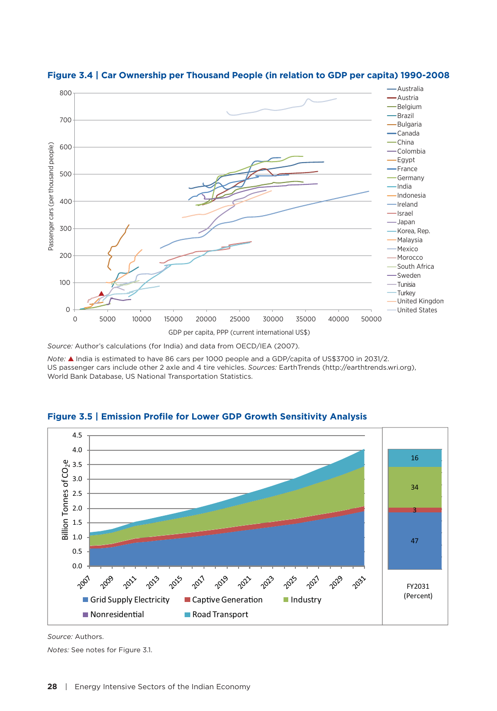

Figure 3.4 | Car Ownership per Thousand People (in relation to GDP per capita) 1990-2008

*Source:* Author's calculations (for India) and data from OECD/IEA (2007).

*Note:* - India is estimated to have 86 cars per 1000 people and a GDP/capita of US\$3700 in 2031/2. US passenger cars include other 2 axle and 4 tire vehicles. *Sources:* EarthTrends (http://earthtrends.wri.org), World Bank Database, US National Transportation Statistics.



**Figure 3.5 | Emission Profile for Lower GDP Growth Sensitivity Analysis** 

*Source:* Authors.

*Notes:* See notes for Figure 3.1.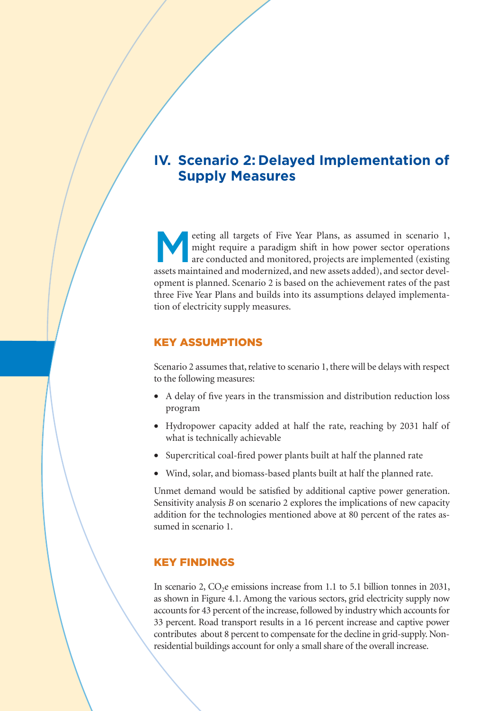# **IV. Scenario 2: Delayed Implementation of Supply Measures**

eting all targets of Five Year Plans, as assumed in scenario 1,<br>might require a paradigm shift in how power sector operations<br>are conducted and monitored, projects are implemented (existing<br>not particularly and proposal an might require a paradigm shift in how power sector operations are conducted and monitored, projects are implemented (existing assets maintained and modernized, and new assets added), and sector development is planned. Scenario 2 is based on the achievement rates of the past three Five Year Plans and builds into its assumptions delayed implementation of electricity supply measures.

## KEY ASSUMPTIONS

Scenario 2 assumes that, relative to scenario 1, there will be delays with respect to the following measures:

- A delay of five years in the transmission and distribution reduction loss program
- Hydropower capacity added at half the rate, reaching by 2031 half of what is technically achievable
- Supercritical coal-fired power plants built at half the planned rate
- Wind, solar, and biomass-based plants built at half the planned rate.

Unmet demand would be satisfied by additional captive power generation. Sensitivity analysis *B* on scenario 2 explores the implications of new capacity addition for the technologies mentioned above at 80 percent of the rates assumed in scenario 1.

## KEY FINDINGS

In scenario 2,  $CO<sub>2</sub>e$  emissions increase from 1.1 to 5.1 billion tonnes in 2031, as shown in Figure 4.1. Among the various sectors, grid electricity supply now accounts for 43 percent of the increase, followed by industry which accounts for 33 percent. Road transport results in a 16 percent increase and captive power contributes about 8 percent to compensate for the decline in grid-supply. Nonresidential buildings account for only a small share of the overall increase.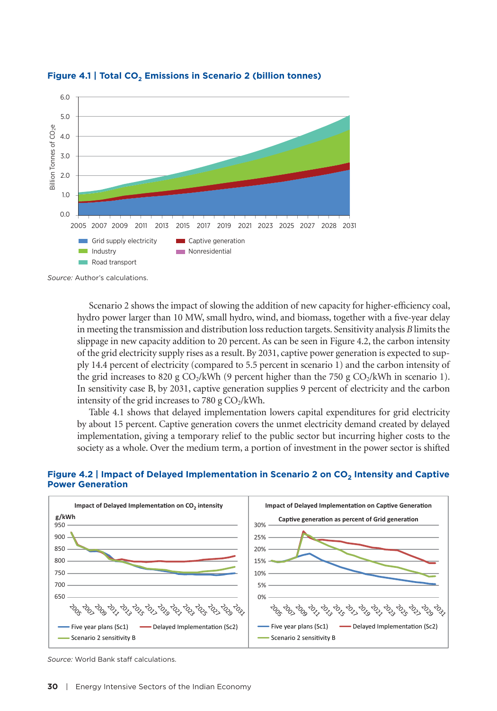

#### Figure 4.1 | Total CO<sub>2</sub> Emissions in Scenario 2 (billion tonnes)

*Source:* Author's calculations.

Scenario 2 shows the impact of slowing the addition of new capacity for higher-efficiency coal, hydro power larger than 10 MW, small hydro, wind, and biomass, together with a five-year delay in meeting the transmission and distribution loss reduction targets. Sensitivity analysis *B* limits the slippage in new capacity addition to 20 percent. As can be seen in Figure 4.2, the carbon intensity of the grid electricity supply rises as a result. By 2031, captive power generation is expected to supply 14.4 percent of electricity (compared to 5.5 percent in scenario 1) and the carbon intensity of the grid increases to 820 g  $CO<sub>2</sub>/kWh$  (9 percent higher than the 750 g  $CO<sub>2</sub>/kWh$  in scenario 1). In sensitivity case B, by 2031, captive generation supplies 9 percent of electricity and the carbon intensity of the grid increases to 780 g  $CO<sub>2</sub>/kWh$ .

Table 4.1 shows that delayed implementation lowers capital expenditures for grid electricity by about 15 percent. Captive generation covers the unmet electricity demand created by delayed implementation, giving a temporary relief to the public sector but incurring higher costs to the society as a whole. Over the medium term, a portion of investment in the power sector is shifted



#### **Figure 4.2 | Impact of Delayed Implementation in Scenario 2 on CO<sub>2</sub> Intensity and Captive Power Generation**

Source: World Bank staff calculations.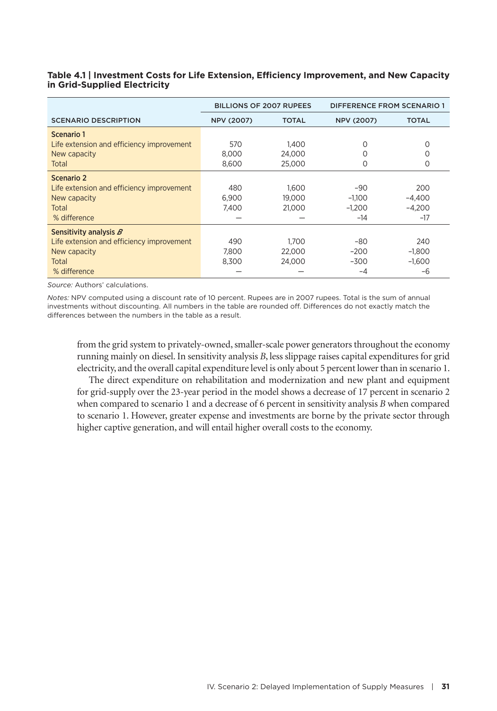#### Table 4.1 | Investment Costs for Life Extension, Efficiency Improvement, and New Capacity **in Grid-Supplied Electricity**

|                                                                                                              | BILLIONS OF 2007 RUPEES |                           | DIFFERENCE FROM SCENARIO 1             |                                      |  |
|--------------------------------------------------------------------------------------------------------------|-------------------------|---------------------------|----------------------------------------|--------------------------------------|--|
| <b>SCENARIO DESCRIPTION</b>                                                                                  | NPV (2007)              | <b>TOTAL</b>              | <b>NPV (2007)</b>                      | <b>TOTAL</b>                         |  |
| Scenario 1<br>Life extension and efficiency improvement<br>New capacity<br>Total                             | 570<br>8,000<br>8,600   | 1,400<br>24,000<br>25,000 | Ω<br>Ω<br>0                            | 0<br>Ω<br>0                          |  |
| Scenario 2<br>Life extension and efficiency improvement<br>New capacity<br>Total<br>% difference             | 480<br>6.900<br>7.400   | 1,600<br>19.000<br>21,000 | $-90$<br>$-1.100$<br>$-1.200$<br>$-14$ | 200<br>$-4.400$<br>$-4.200$<br>$-17$ |  |
| Sensitivity analysis B<br>Life extension and efficiency improvement<br>New capacity<br>Total<br>% difference | 490<br>7.800<br>8,300   | 1.700<br>22,000<br>24.000 | -80<br>$-200$<br>$-300$<br>-4          | 240<br>$-1.800$<br>$-1,600$<br>-6    |  |

*Source:* Authors' calculations.

*Notes:* NPV computed using a discount rate of 10 percent. Rupees are in 2007 rupees. Total is the sum of annual investments without discounting. All numbers in the table are rounded off. Differences do not exactly match the differences between the numbers in the table as a result.

from the grid system to privately-owned, smaller-scale power generators throughout the economy running mainly on diesel. In sensitivity analysis *B*, less slippage raises capital expenditures for grid electricity, and the overall capital expenditure level is only about 5 percent lower than in scenario 1.

The direct expenditure on rehabilitation and modernization and new plant and equipment for grid-supply over the 23-year period in the model shows a decrease of 17 percent in scenario 2 when compared to scenario 1 and a decrease of 6 percent in sensitivity analysis *B* when compared to scenario 1. However, greater expense and investments are borne by the private sector through higher captive generation, and will entail higher overall costs to the economy.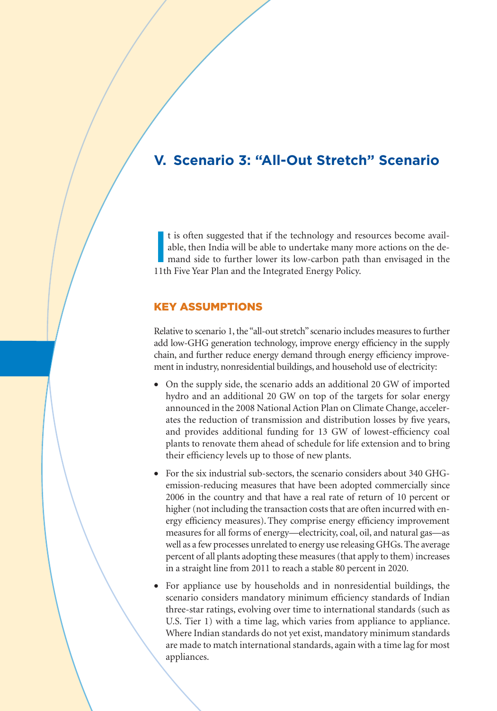# **V. Scenario 3: "All-Out Stretch" Scenario**

**I**<br>I<br>I<br>I<br>I<br>I<br>I t is often suggested that if the technology and resources become available, then India will be able to undertake many more actions on the demand side to further lower its low-carbon path than envisaged in the 11th Five Year Plan and the Integrated Energy Policy.

### KEY ASSUMPTIONS

Relative to scenario 1, the "all-out stretch" scenario includes measures to further add low-GHG generation technology, improve energy efficiency in the supply chain, and further reduce energy demand through energy efficiency improvement in industry, nonresidential buildings, and household use of electricity:

- On the supply side, the scenario adds an additional 20 GW of imported hydro and an additional 20 GW on top of the targets for solar energy announced in the 2008 National Action Plan on Climate Change, accelerates the reduction of transmission and distribution losses by five years, and provides additional funding for 13 GW of lowest-efficiency coal plants to renovate them ahead of schedule for life extension and to bring their efficiency levels up to those of new plants.
- For the six industrial sub-sectors, the scenario considers about 340 GHGemission-reducing measures that have been adopted commercially since 2006 in the country and that have a real rate of return of 10 percent or higher (not including the transaction costs that are often incurred with energy efficiency measures). They comprise energy efficiency improvement measures for all forms of energy—electricity, coal, oil, and natural gas—as well as a few processes unrelated to energy use releasing GHGs. The average percent of all plants adopting these measures (that apply to them) increases in a straight line from 2011 to reach a stable 80 percent in 2020.
- For appliance use by households and in nonresidential buildings, the scenario considers mandatory minimum efficiency standards of Indian three-star ratings, evolving over time to international standards (such as U.S. Tier 1) with a time lag, which varies from appliance to appliance. Where Indian standards do not yet exist, mandatory minimum standards are made to match international standards, again with a time lag for most appliances.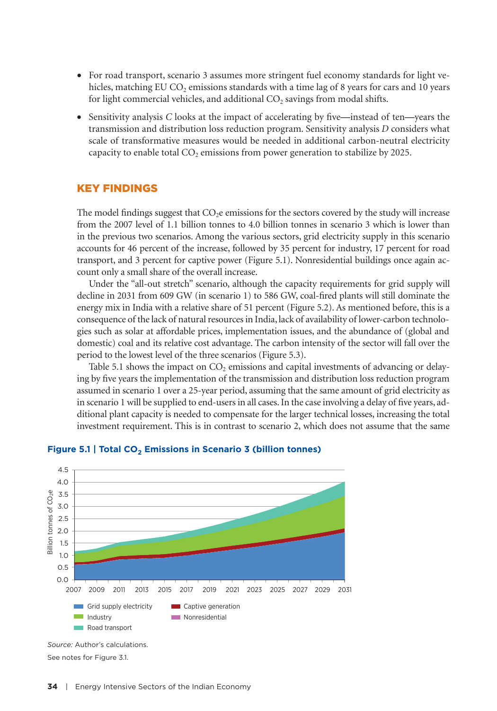- For road transport, scenario 3 assumes more stringent fuel economy standards for light vehicles, matching EU  $CO<sub>2</sub>$  emissions standards with a time lag of 8 years for cars and 10 years for light commercial vehicles, and additional  $CO<sub>2</sub>$  savings from modal shifts.
- Sensitivity analysis *C* looks at the impact of accelerating by five—instead of ten—years the transmission and distribution loss reduction program. Sensitivity analysis *D* considers what scale of transformative measures would be needed in additional carbon-neutral electricity capacity to enable total  $CO<sub>2</sub>$  emissions from power generation to stabilize by 2025.

### KEY FINDINGS

The model findings suggest that  $CO<sub>2</sub>e$  emissions for the sectors covered by the study will increase from the 2007 level of 1.1 billion tonnes to 4.0 billion tonnes in scenario 3 which is lower than in the previous two scenarios. Among the various sectors, grid electricity supply in this scenario accounts for 46 percent of the increase, followed by 35 percent for industry, 17 percent for road transport, and 3 percent for captive power (Figure 5.1). Nonresidential buildings once again account only a small share of the overall increase.

Under the "all-out stretch" scenario, although the capacity requirements for grid supply will decline in 2031 from 609 GW (in scenario 1) to 586 GW, coal-fired plants will still dominate the energy mix in India with a relative share of 51 percent (Figure 5.2). As mentioned before, this is a consequence of the lack of natural resources in India, lack of availability of lower-carbon technologies such as solar at affordable prices, implementation issues, and the abundance of (global and domestic) coal and its relative cost advantage. The carbon intensity of the sector will fall over the period to the lowest level of the three scenarios (Figure 5.3).

Table 5.1 shows the impact on  $CO<sub>2</sub>$  emissions and capital investments of advancing or delaying by five years the implementation of the transmission and distribution loss reduction program assumed in scenario 1 over a 25-year period, assuming that the same amount of grid electricity as in scenario 1 will be supplied to end-users in all cases. In the case involving a delay of five years, additional plant capacity is needed to compensate for the larger technical losses, increasing the total investment requirement. This is in contrast to scenario 2, which does not assume that the same



### Figure 5.1 | Total CO<sub>2</sub> Emissions in Scenario 3 (billion tonnes)

See notes for Figure 3.1.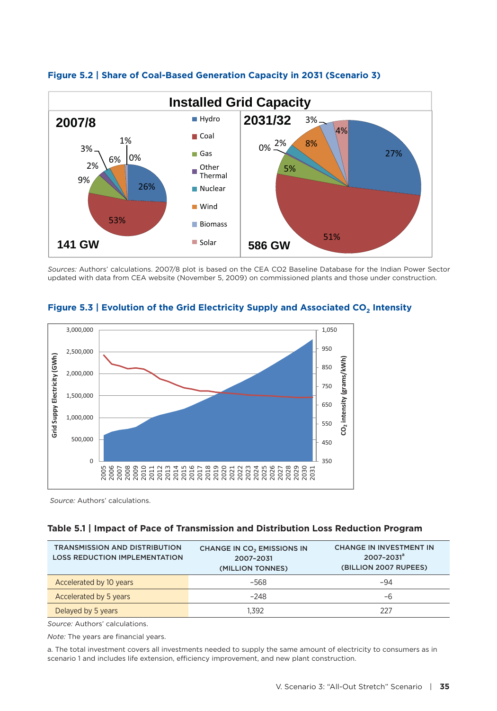

## **Figure 5.2 | Share of Coal-Based Generation Capacity in 2031 (Scenario 3)**

*Sources:* Authors' calculations. 2007/8 plot is based on the CEA CO2 Baseline Database for the Indian Power Sector updated with data from CEA website (November 5, 2009) on commissioned plants and those under construction.



#### **Figure 5.3 | Evolution of the Grid Electricity Supply and Associated CO<sub>2</sub> Intensity**

#### **Table 5 .1 | Impact of Pace of Transmission and Distribution Loss Reduction Program**

| <b>TRANSMISSION AND DISTRIBUTION</b><br><b>LOSS REDUCTION IMPLEMENTATION</b> | <b>CHANGE IN CO<sub>2</sub> EMISSIONS IN</b><br>2007-2031<br>(MILLION TONNES) | <b>CHANGE IN INVESTMENT IN</b><br>2007-2031 <sup>a</sup><br>(BILLION 2007 RUPEES) |
|------------------------------------------------------------------------------|-------------------------------------------------------------------------------|-----------------------------------------------------------------------------------|
| Accelerated by 10 years                                                      | -568                                                                          | $-94$                                                                             |
| Accelerated by 5 years                                                       | $-248$                                                                        | -6                                                                                |
| Delayed by 5 years                                                           | 1.392                                                                         | 227                                                                               |

*Source:* Authors' calculations.

*Note:* The years are financial years.

a. The total investment covers all investments needed to supply the same amount of electricity to consumers as in scenario 1 and includes life extension, efficiency improvement, and new plant construction.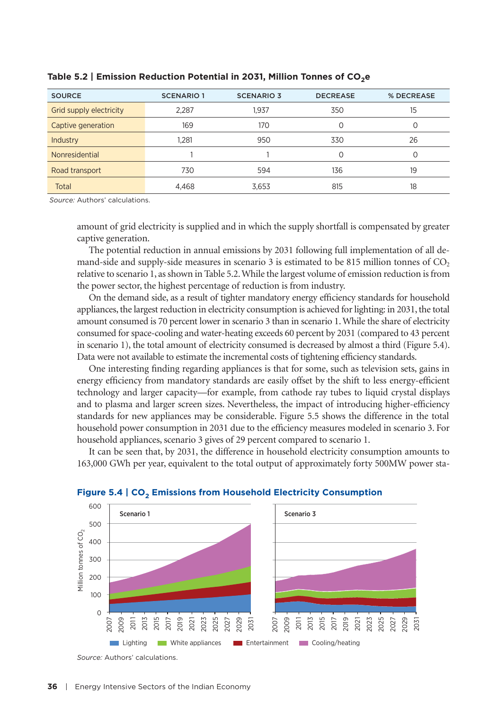| <b>SOURCE</b>           | <b>SCENARIO 1</b> | <b>SCENARIO 3</b> | <b>DECREASE</b> | % DECREASE |
|-------------------------|-------------------|-------------------|-----------------|------------|
| Grid supply electricity | 2.287             | 1.937             | 350             | 15         |
| Captive generation      | 169               | 170               | 0               |            |
| <b>Industry</b>         | 1,281             | 950               | 330             | 26         |
| Nonresidential          |                   |                   | 0               | Ω          |
| Road transport          | 730               | 594               | 136             | 19         |
| <b>Total</b>            | 4.468             | 3,653             | 815             | 18         |

#### **Table 5.2| Emission Reduction Potential in 2031, Million Tonnes of CO2e**

 *Source:* Authors' calculations.

amount of grid electricity is supplied and in which the supply shortfall is compensated by greater captive generation.

The potential reduction in annual emissions by 2031 following full implementation of all demand-side and supply-side measures in scenario 3 is estimated to be 815 million tonnes of  $CO<sub>2</sub>$ relative to scenario 1, as shown in Table 5.2. While the largest volume of emission reduction is from the power sector, the highest percentage of reduction is from industry.

On the demand side, as a result of tighter mandatory energy efficiency standards for household appliances, the largest reduction in electricity consumption is achieved for lighting: in 2031, the total amount consumed is 70 percent lower in scenario 3 than in scenario 1. While the share of electricity consumed for space-cooling and water-heating exceeds 60 percent by 2031 (compared to 43 percent in scenario 1), the total amount of electricity consumed is decreased by almost a third (Figure 5.4 ). Data were not available to estimate the incremental costs of tightening efficiency standards.

One interesting finding regarding appliances is that for some, such as television sets, gains in energy efficiency from mandatory standards are easily offset by the shift to less energy-efficient technology and larger capacity—for example, from cathode ray tubes to liquid crystal displays and to plasma and larger screen sizes. Nevertheless, the impact of introducing higher-efficiency standards for new appliances may be considerable. Figure 5.5 shows the difference in the total household power consumption in 2031 due to the efficiency measures modeled in scenario 3. For household appliances, scenario 3 gives of 29 percent compared to scenario 1.

It can be seen that, by 2031, the difference in household electricity consumption amounts to 163,000 GWh per year, equivalent to the total output of approximately forty 500MW power sta-



#### **Figure 5.4 | CO<sub>2</sub> Emissions from Household Electricity Consumption**

*Source:* Authors' calculations.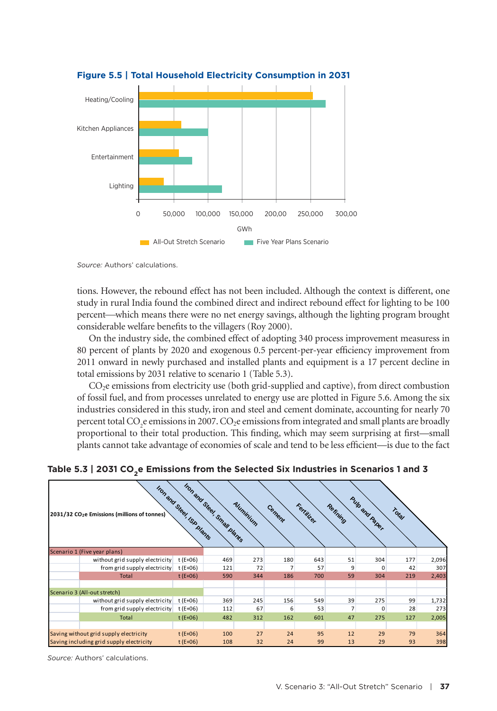

**Figure 5.5| Total Household Electricity Consumption in 2031**

*Source:* Authors' calculations.

tions. However, the rebound effect has not been included. Although the context is different, one study in rural India found the combined direct and indirect rebound effect for lighting to be 100 percent—which means there were no net energy savings, although the lighting program brought considerable welfare benefits to the villagers (Roy 2000).

On the industry side, the combined effect of adopting 340 process improvement measuress in 80 percent of plants by 2020 and exogenous 0.5 percent-per-year efficiency improvement from 2011 onward in newly purchased and installed plants and equipment is a 17 percent decline in total emissions by 2031 relative to scenario 1 (Table 5.3).

CO<sub>2</sub>e emissions from electricity use (both grid-supplied and captive), from direct combustion of fossil fuel, and from processes unrelated to energy use are plotted in Figure 5.6. Among the six industries considered in this study, iron and steel and cement dominate, accounting for nearly 70 percent total CO<sub>2</sub>e emissions in 2007. CO<sub>2</sub>e emissions from integrated and small plants are broadly proportional to their total production. This finding, which may seem surprising at first—small plants cannot take advantage of economies of scale and tend to be less efficient—is due to the fact

| Tron and Steel Small Demand<br>Iton and Steel ! So plants<br><b>Pulp and Paper</b><br>Aluminium<br><b>Kertificer</b><br>Refining<br>Cement<br>Total<br>2031/32 CO <sub>2</sub> e Emissions (millions of tonnes) |           |     |     |     |     |    |          |     |       |
|-----------------------------------------------------------------------------------------------------------------------------------------------------------------------------------------------------------------|-----------|-----|-----|-----|-----|----|----------|-----|-------|
| Scenario 1 (Five year plans)                                                                                                                                                                                    |           |     |     |     |     |    |          |     |       |
| without grid supply electricity                                                                                                                                                                                 | t (E+06)  | 469 | 273 | 180 | 643 | 51 | 304      | 177 | 2,096 |
| from grid supply electricity $t(E+06)$                                                                                                                                                                          |           | 121 | 72  |     | 57  | 9  | $\Omega$ | 42  | 307   |
| Total                                                                                                                                                                                                           | $t(E+06)$ | 590 | 344 | 186 | 700 | 59 | 304      | 219 | 2,403 |
| Scenario 3 (All-out stretch)                                                                                                                                                                                    |           |     |     |     |     |    |          |     |       |
| without grid supply electricity                                                                                                                                                                                 | t (E+06)  | 369 | 245 | 156 | 549 | 39 | 275      | 99  | 1,732 |
| from grid supply electricity                                                                                                                                                                                    | t (E+06)  | 112 | 67  | 6   | 53  |    | $\Omega$ | 28  | 273   |
| Total                                                                                                                                                                                                           | $t(E+06)$ | 482 | 312 | 162 | 601 | 47 | 275      | 127 | 2,005 |
|                                                                                                                                                                                                                 |           |     |     |     |     |    |          |     |       |
| Saving without grid supply electricity                                                                                                                                                                          | $t(E+06)$ | 100 | 27  | 24  | 95  | 12 | 29       | 79  | 364   |
| Saving including grid supply electricity                                                                                                                                                                        | $t(E+06)$ | 108 | 32  | 24  | 99  | 13 | 29       | 93  | 398   |

Table 5.3 | 2031 CO<sub>2</sub>e Emissions from the Selected Six Industries in Scenarios 1 and 3

*Source:* Authors' calculations.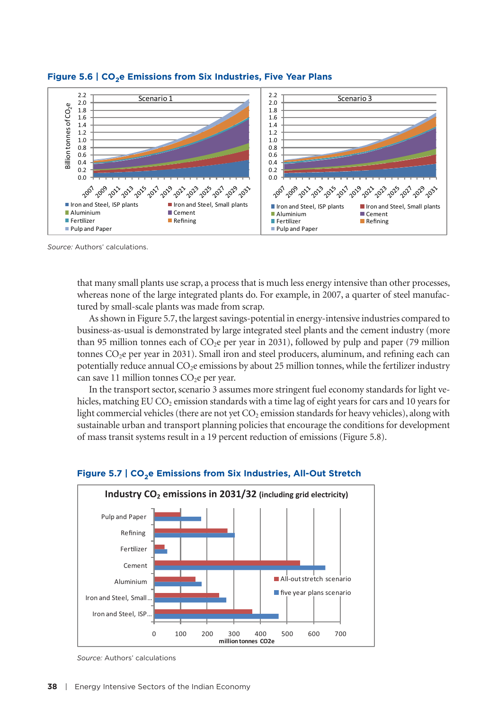

#### **Figure 5.6 | CO<sub>2</sub>e Emissions from Six Industries, Five Year Plans**

*Source:* Authors' calculations.

that many small plants use scrap, a process that is much less energy intensive than other processes, whereas none of the large integrated plants do. For example, in 2007, a quarter of steel manufactured by small-scale plants was made from scrap.

As shown in Figure 5.7, the largest savings-potential in energy-intensive industries compared to business-as-usual is demonstrated by large integrated steel plants and the cement industry (more than 95 million tonnes each of  $CO<sub>2</sub>e$  per year in 2031), followed by pulp and paper (79 million tonnes  $CO<sub>2</sub>e$  per year in 2031). Small iron and steel producers, aluminum, and refining each can potentially reduce annual  $CO<sub>2</sub>e$  emissions by about 25 million tonnes, while the fertilizer industry can save 11 million tonnes  $CO<sub>2</sub>e$  per year.

In the transport sector, scenario 3 assumes more stringent fuel economy standards for light vehicles, matching EU  $CO_2$  emission standards with a time lag of eight years for cars and 10 years for light commercial vehicles (there are not yet  $CO<sub>2</sub>$  emission standards for heavy vehicles), along with sustainable urban and transport planning policies that encourage the conditions for development of mass transit systems result in a 19 percent reduction of emissions (Figure 5.8).



## **Figure 5.7 | CO<sub>2</sub>e Emissions from Six Industries, All-Out Stretch**

*Source:* Authors' calculations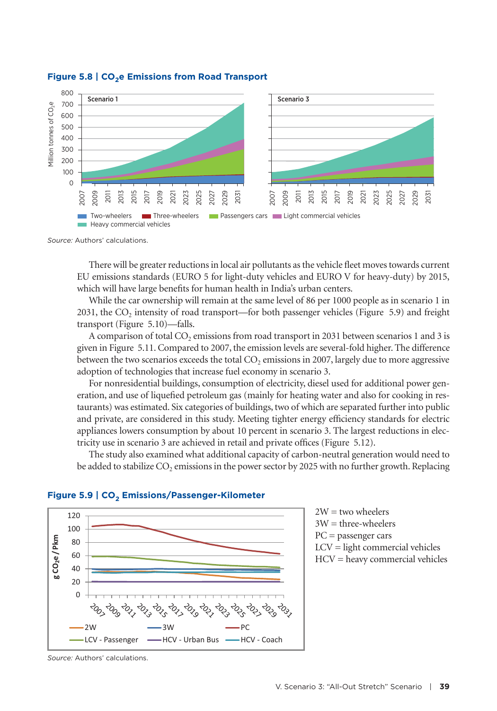

### **Figure 5.8 | CO<sub>2</sub>e Emissions from Road Transport**

Source: Authors' calculations.

There will be greater reductions in local air pollutants as the vehicle fleet moves towards current EU emissions standards (EURO 5 for light-duty vehicles and EURO V for heavy-duty) by 2015, which will have large benefits for human health in India's urban centers.

While the car ownership will remain at the same level of 86 per 1000 people as in scenario 1 in 2031, the  $CO<sub>2</sub>$  intensity of road transport—for both passenger vehicles (Figure 5.9) and freight transport (Figure 5.10)-falls.

A comparison of total  $CO<sub>2</sub>$  emissions from road transport in 2031 between scenarios 1 and 3 is given in Figure 5.11. Compared to 2007, the emission levels are several-fold higher. The difference between the two scenarios exceeds the total  $CO<sub>2</sub>$  emissions in 2007, largely due to more aggressive adoption of technologies that increase fuel economy in scenario 3.

For nonresidential buildings, consumption of electricity, diesel used for additional power generation, and use of liquefied petroleum gas (mainly for heating water and also for cooking in restaurants) was estimated. Six categories of buildings, two of which are separated further into public and private, are considered in this study. Meeting tighter energy efficiency standards for electric appliances lowers consumption by about 10 percent in scenario 3. The largest reductions in electricity use in scenario 3 are achieved in retail and private offices (Figure 5.12).

The study also examined what additional capacity of carbon-neutral generation would need to be added to stabilize  $CO_2$  emissions in the power sector by 2025 with no further growth. Replacing



## **Figure 5.9 | CO<sub>2</sub> Emissions/Passenger-Kilometer**

 $2W =$  two wheelers  $3W =$  three-wheelers PC = passenger cars LCV = light commercial vehicles HCV = heavy commercial vehicles

*Source:* Authors' calculations.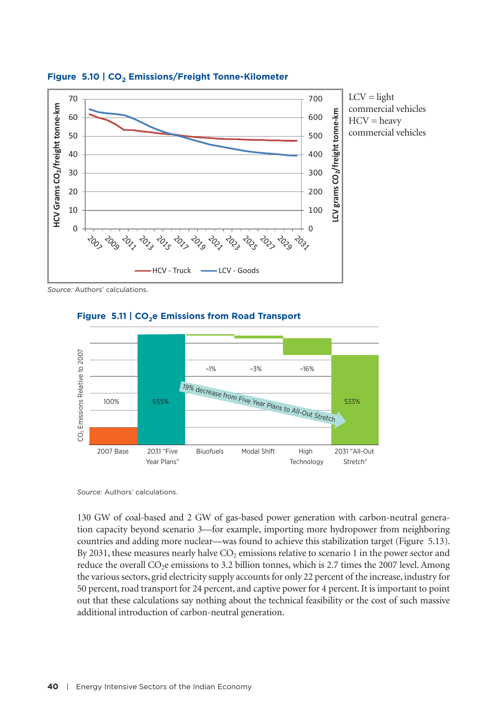

**Figure 5.10 | CO<sub>2</sub> Emissions/Freight Tonne-Kilometer** 

*Source:* Authors' calculations.



#### Figure 5.11 | CO<sub>2</sub>e Emissions from Road Transport

*Source:* Authors' calculations.

130 GW of coal-based and 2 GW of gas-based power generation with carbon-neutral generation capacity beyond scenario 3—for example, importing more hydropower from neighboring countries and adding more nuclear—was found to achieve this stabilization target (Figure 5.13). By 2031, these measures nearly halve  $CO<sub>2</sub>$  emissions relative to scenario 1 in the power sector and reduce the overall  $CO<sub>2</sub>e$  emissions to 3.2 billion tonnes, which is 2.7 times the 2007 level. Among the various sectors, grid electricity supply accounts for only 22 percent of the increase, industry for 50 percent, road transport for 24 percent, and captive power for 4 percent. It is important to point out that these calculations say nothing about the technical feasibility or the cost of such massive additional introduction of carbon-neutral generation.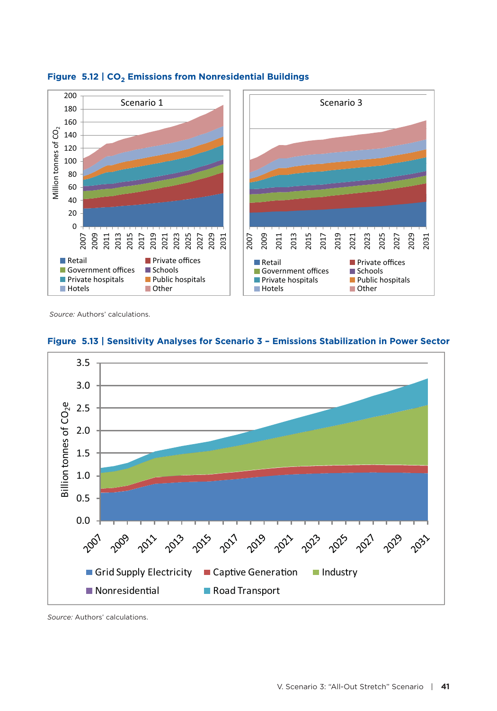



 *Source:* Authors' calculations.



#### Figure 5.13 | Sensitivity Analyses for Scenario 3 - Emissions Stabilization in Power Sector

*Source:* Authors' calculations.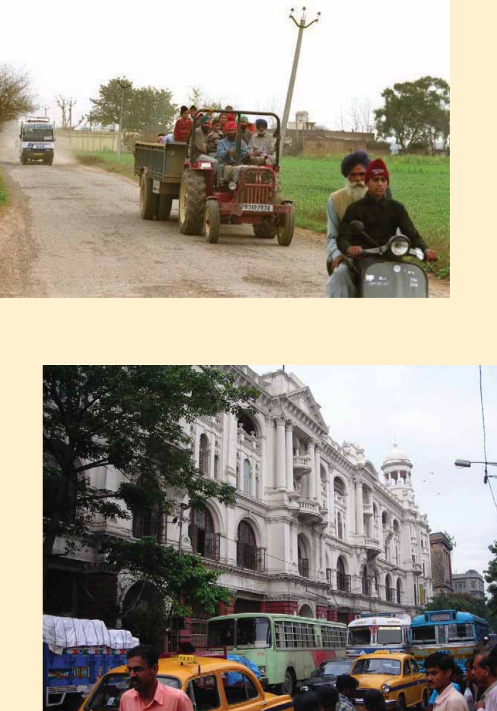

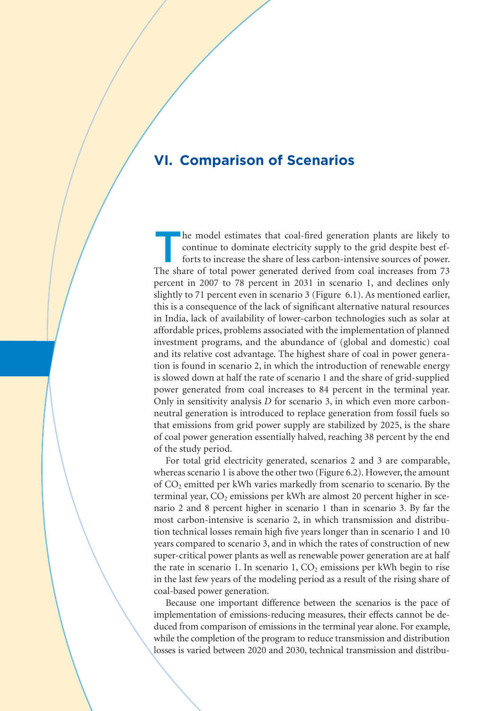# **VI. Comparison of Scenarios**

The model estimates that coal-fired generation plants are likely to continue to dominate electricity supply to the grid despite best efforts to increase the share of less carbon-intensive sources of power. The share of total power generated derived from coal increases from 73 percent in 2007 to 78 percent in 2031 in scenario 1, and declines only slightly to 71 percent even in scenario 3 (Figure 6.1). As mentioned earlier, this is a consequence of the lack of significant alternative natural resources in India, lack of availability of lower-carbon technologies such as solar at affordable prices, problems associated with the implementation of planned investment programs, and the abundance of (global and domestic) coal and its relative cost advantage. The highest share of coal in power generation is found in scenario 2, in which the introduction of renewable energy is slowed down at half the rate of scenario 1 and the share of grid-supplied power generated from coal increases to 84 percent in the terminal year. Only in sensitivity analysis *D* for scenario 3, in which even more carbonneutral generation is introduced to replace generation from fossil fuels so that emissions from grid power supply are stabilized by 2025, is the share of coal power generation essentially halved, reaching 38 percent by the end of the study period.

For total grid electricity generated, scenarios 2 and 3 are comparable, whereas scenario 1 is above the other two (Figure 6.2). However, the amount of  $CO<sub>2</sub>$  emitted per kWh varies markedly from scenario to scenario. By the terminal year,  $CO<sub>2</sub>$  emissions per kWh are almost 20 percent higher in scenario 2 and 8 percent higher in scenario 1 than in scenario 3. By far the most carbon-intensive is scenario 2, in which transmission and distribution technical losses remain high five years longer than in scenario 1 and 10 years compared to scenario 3, and in which the rates of construction of new super-critical power plants as well as renewable power generation are at half the rate in scenario 1. In scenario 1,  $CO<sub>2</sub>$  emissions per kWh begin to rise in the last few years of the modeling period as a result of the rising share of coal-based power generation.

Because one important difference between the scenarios is the pace of implementation of emissions-reducing measures, their effects cannot be deduced from comparison of emissions in the terminal year alone. For example, while the completion of the program to reduce transmission and distribution losses is varied between 2020 and 2030, technical transmission and distribu-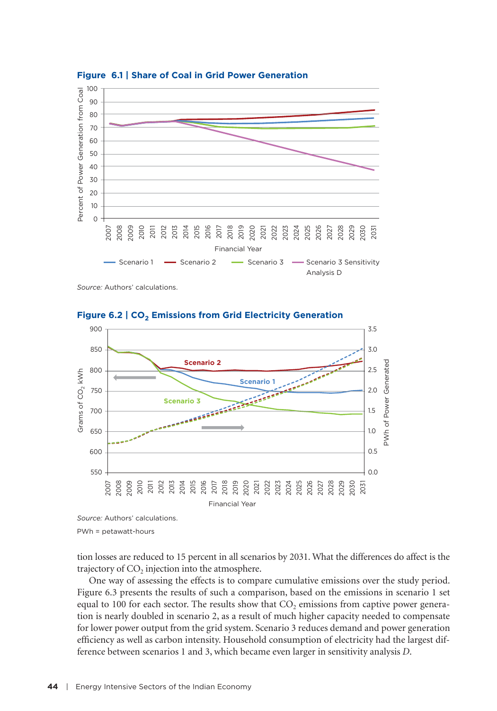

**Figure 6.1 | Share of Coal in Grid Power Generation** 

*Source:* Authors' calculations.



**Figure 6.2 | CO<sub>2</sub> Emissions from Grid Electricity Generation** 

*Source:* Authors' calculations. PWh = petawatt-hours

tion losses are reduced to 15 percent in all scenarios by 2031. What the differences do affect is the trajectory of  $CO<sub>2</sub>$  injection into the atmosphere.

One way of assessing the effects is to compare cumulative emissions over the study period. Figure 6.3 presents the results of such a comparison, based on the emissions in scenario 1 set equal to 100 for each sector. The results show that  $CO<sub>2</sub>$  emissions from captive power generation is nearly doubled in scenario 2, as a result of much higher capacity needed to compensate for lower power output from the grid system. Scenario 3 reduces demand and power generation efficiency as well as carbon intensity. Household consumption of electricity had the largest difference between scenarios 1 and 3, which became even larger in sensitivity analysis *D*.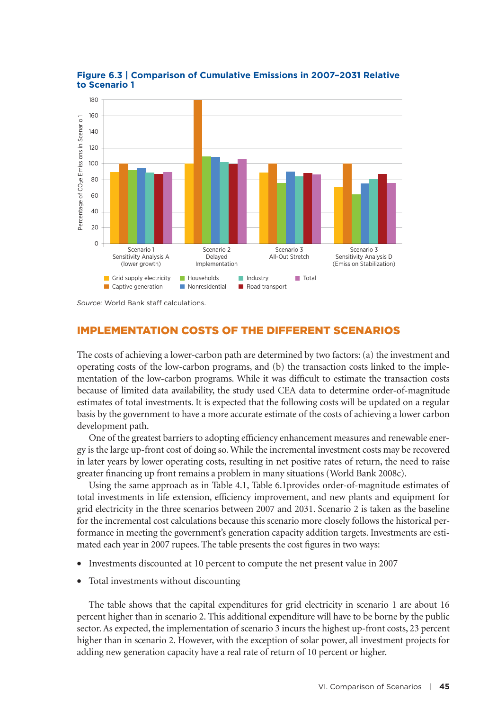

**Figure 6.3 | Comparison of Cumulative Emissions in 2007-2031 Relative to Scenario 1**

*Source:* World Bank staff calculations.

# IMPLEMENTATION COSTS OF THE DIFFERENT SCENARIOS

The costs of achieving a lower-carbon path are determined by two factors: (a) the investment and operating costs of the low-carbon programs, and (b) the transaction costs linked to the implementation of the low-carbon programs. While it was difficult to estimate the transaction costs because of limited data availability, the study used CEA data to determine order-of-magnitude estimates of total investments. It is expected that the following costs will be updated on a regular basis by the government to have a more accurate estimate of the costs of achieving a lower carbon development path.

One of the greatest barriers to adopting efficiency enhancement measures and renewable energy is the large up-front cost of doing so. While the incremental investment costs may be recovered in later years by lower operating costs, resulting in net positive rates of return, the need to raise greater financing up front remains a problem in many situations (World Bank 2008c).

Using the same approach as in Table 4.1, Table 6.1provides order-of-magnitude estimates of total investments in life extension, efficiency improvement, and new plants and equipment for grid electricity in the three scenarios between 2007 and 2031. Scenario 2 is taken as the baseline for the incremental cost calculations because this scenario more closely follows the historical performance in meeting the government's generation capacity addition targets. Investments are estimated each year in 2007 rupees. The table presents the cost figures in two ways:

- Investments discounted at 10 percent to compute the net present value in 2007
- Total investments without discounting

The table shows that the capital expenditures for grid electricity in scenario 1 are about 16 percent higher than in scenario 2. This additional expenditure will have to be borne by the public sector. As expected, the implementation of scenario 3 incurs the highest up-front costs, 23 percent higher than in scenario 2. However, with the exception of solar power, all investment projects for adding new generation capacity have a real rate of return of 10 percent or higher.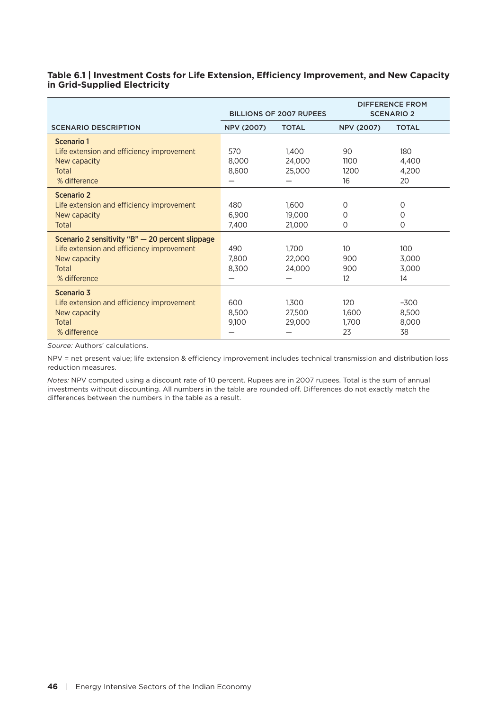#### Table 6.1 | Investment Costs for Life Extension, Efficiency Improvement, and New Capacity **in Grid-Supplied Electricity**

|                                                  |            |                                |                   | <b>DIFFERENCE FROM</b> |  |
|--------------------------------------------------|------------|--------------------------------|-------------------|------------------------|--|
|                                                  |            | <b>BILLIONS OF 2007 RUPEES</b> | <b>SCENARIO 2</b> |                        |  |
| <b>SCENARIO DESCRIPTION</b>                      | NPV (2007) | <b>TOTAL</b>                   | NPV (2007)        | <b>TOTAL</b>           |  |
| Scenario 1                                       |            |                                |                   |                        |  |
| Life extension and efficiency improvement        | 570        | 1,400                          | 90                | 180                    |  |
| New capacity                                     | 8,000      | 24,000                         | 1100              | 4,400                  |  |
| Total                                            | 8,600      | 25,000                         | 1200              | 4,200                  |  |
| % difference                                     |            |                                | 16                | 20                     |  |
| Scenario 2                                       |            |                                |                   |                        |  |
| Life extension and efficiency improvement        | 480        | 1,600                          | $\Omega$          | $\Omega$               |  |
| New capacity                                     | 6.900      | 19,000                         | 0                 | Ο                      |  |
| Total                                            | 7,400      | 21,000                         | 0                 | 0                      |  |
| Scenario 2 sensitivity "B" - 20 percent slippage |            |                                |                   |                        |  |
| Life extension and efficiency improvement        | 490        | 1.700                          | 10 <sup>2</sup>   | 100                    |  |
| New capacity                                     | 7,800      | 22,000                         | 900               | 3,000                  |  |
| Total                                            | 8,300      | 24,000                         | 900               | 3,000                  |  |
| % difference                                     |            |                                | 12                | 14                     |  |
| Scenario 3                                       |            |                                |                   |                        |  |
| Life extension and efficiency improvement        | 600        | 1,300                          | 120               | $-300$                 |  |
| New capacity                                     | 8,500      | 27,500                         | 1,600             | 8,500                  |  |
| Total                                            | 9,100      | 29,000                         | 1,700             | 8,000                  |  |
| % difference                                     |            |                                | 23                | 38                     |  |

*Source:* Authors' calculations.

NPV = net present value; life extension & efficiency improvement includes technical transmission and distribution loss reduction measures.

*Notes:* NPV computed using a discount rate of 10 percent. Rupees are in 2007 rupees. Total is the sum of annual investments without discounting. All numbers in the table are rounded off. Differences do not exactly match the differences between the numbers in the table as a result.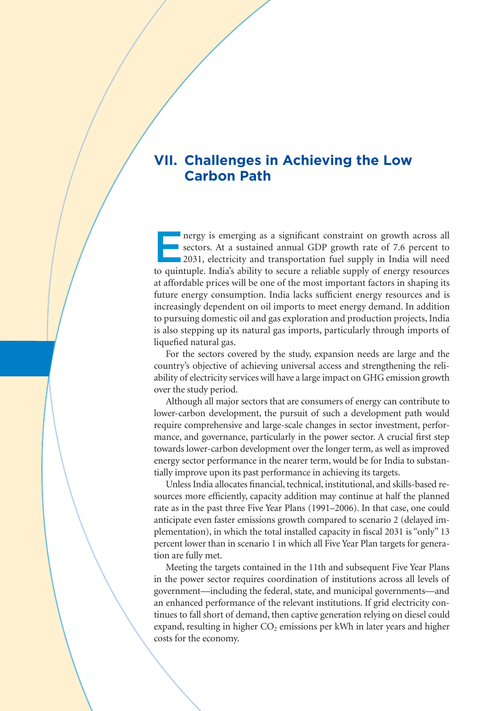# **VII. Challenges in Achieving the Low Carbon Path**

nergy is emerging as a significant constraint on growth across all<br>sectors. At a sustained annual GDP growth rate of 7.6 percent to<br>2031, electricity and transportation fuel supply in India will need sectors. At a sustained annual GDP growth rate of 7.6 percent to 2031, electricity and transportation fuel supply in India will need to quintuple. India's ability to secure a reliable supply of energy resources at affordable prices will be one of the most important factors in shaping its future energy consumption. India lacks sufficient energy resources and is increasingly dependent on oil imports to meet energy demand. In addition to pursuing domestic oil and gas exploration and production projects, India is also stepping up its natural gas imports, particularly through imports of liquefied natural gas.

For the sectors covered by the study, expansion needs are large and the country's objective of achieving universal access and strengthening the reliability of electricity services will have a large impact on GHG emission growth over the study period.

Although all major sectors that are consumers of energy can contribute to lower-carbon development, the pursuit of such a development path would require comprehensive and large-scale changes in sector investment, performance, and governance, particularly in the power sector. A crucial first step towards lower-carbon development over the longer term, as well as improved energy sector performance in the nearer term, would be for India to substantially improve upon its past performance in achieving its targets.

Unless India allocates financial, technical, institutional, and skills-based resources more efficiently, capacity addition may continue at half the planned rate as in the past three Five Year Plans (1991–2006). In that case, one could anticipate even faster emissions growth compared to scenario 2 (delayed implementation), in which the total installed capacity in fiscal 2031 is "only" 13 percent lower than in scenario 1 in which all Five Year Plan targets for generation are fully met.

Meeting the targets contained in the 11th and subsequent Five Year Plans in the power sector requires coordination of institutions across all levels of government—including the federal, state, and municipal governments—and an enhanced performance of the relevant institutions. If grid electricity continues to fall short of demand, then captive generation relying on diesel could expand, resulting in higher  $CO<sub>2</sub>$  emissions per kWh in later years and higher costs for the economy.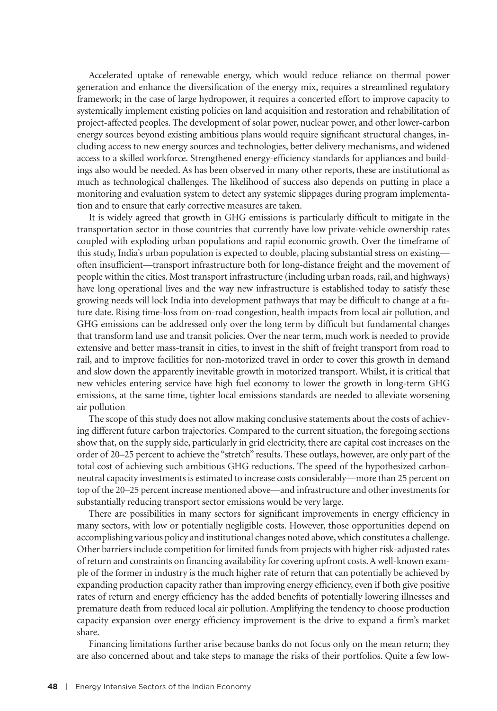Accelerated uptake of renewable energy, which would reduce reliance on thermal power generation and enhance the diversification of the energy mix, requires a streamlined regulatory framework; in the case of large hydropower, it requires a concerted effort to improve capacity to systemically implement existing policies on land acquisition and restoration and rehabilitation of project-affected peoples. The development of solar power, nuclear power, and other lower-carbon energy sources beyond existing ambitious plans would require significant structural changes, including access to new energy sources and technologies, better delivery mechanisms, and widened access to a skilled workforce. Strengthened energy-efficiency standards for appliances and buildings also would be needed. As has been observed in many other reports, these are institutional as much as technological challenges. The likelihood of success also depends on putting in place a monitoring and evaluation system to detect any systemic slippages during program implementation and to ensure that early corrective measures are taken.

It is widely agreed that growth in GHG emissions is particularly difficult to mitigate in the transportation sector in those countries that currently have low private-vehicle ownership rates coupled with exploding urban populations and rapid economic growth. Over the timeframe of this study, India's urban population is expected to double, placing substantial stress on existing often insufficient—transport infrastructure both for long-distance freight and the movement of people within the cities. Most transport infrastructure (including urban roads, rail, and highways) have long operational lives and the way new infrastructure is established today to satisfy these growing needs will lock India into development pathways that may be difficult to change at a future date. Rising time-loss from on-road congestion, health impacts from local air pollution, and GHG emissions can be addressed only over the long term by difficult but fundamental changes that transform land use and transit policies. Over the near term, much work is needed to provide extensive and better mass-transit in cities, to invest in the shift of freight transport from road to rail, and to improve facilities for non-motorized travel in order to cover this growth in demand and slow down the apparently inevitable growth in motorized transport. Whilst, it is critical that new vehicles entering service have high fuel economy to lower the growth in long-term GHG emissions, at the same time, tighter local emissions standards are needed to alleviate worsening air pollution

The scope of this study does not allow making conclusive statements about the costs of achieving different future carbon trajectories. Compared to the current situation, the foregoing sections show that, on the supply side, particularly in grid electricity, there are capital cost increases on the order of 20–25 percent to achieve the "stretch" results. These outlays, however, are only part of the total cost of achieving such ambitious GHG reductions. The speed of the hypothesized carbonneutral capacity investments is estimated to increase costs considerably—more than 25 percent on top of the 20–25 percent increase mentioned above—and infrastructure and other investments for substantially reducing transport sector emissions would be very large.

There are possibilities in many sectors for significant improvements in energy efficiency in many sectors, with low or potentially negligible costs. However, those opportunities depend on accomplishing various policy and institutional changes noted above, which constitutes a challenge. Other barriers include competition for limited funds from projects with higher risk-adjusted rates of return and constraints on financing availability for covering upfront costs. A well-known example of the former in industry is the much higher rate of return that can potentially be achieved by expanding production capacity rather than improving energy efficiency, even if both give positive rates of return and energy efficiency has the added benefits of potentially lowering illnesses and premature death from reduced local air pollution. Amplifying the tendency to choose production capacity expansion over energy efficiency improvement is the drive to expand a firm's market share.

Financing limitations further arise because banks do not focus only on the mean return; they are also concerned about and take steps to manage the risks of their portfolios. Quite a few low-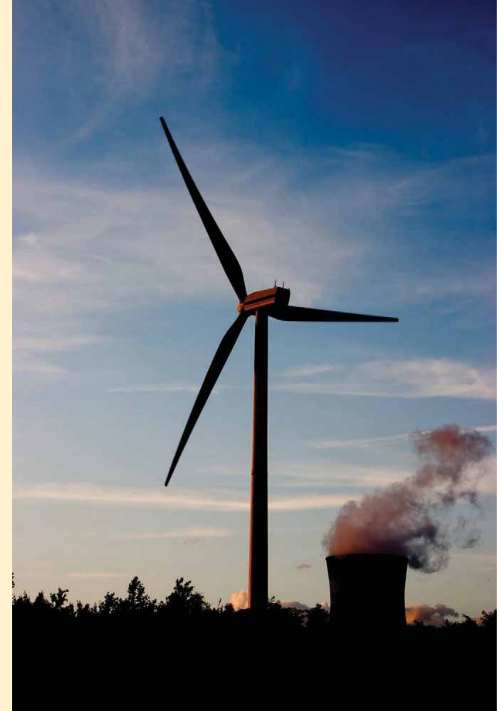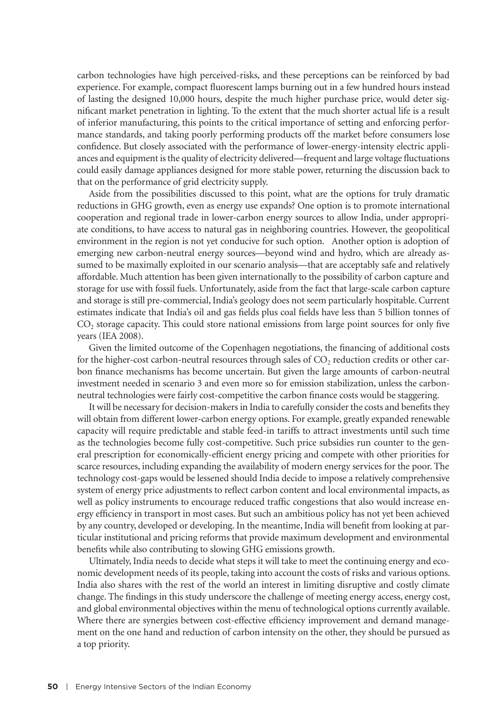carbon technologies have high perceived-risks, and these perceptions can be reinforced by bad experience. For example, compact fluorescent lamps burning out in a few hundred hours instead of lasting the designed 10,000 hours, despite the much higher purchase price, would deter significant market penetration in lighting. To the extent that the much shorter actual life is a result of inferior manufacturing, this points to the critical importance of setting and enforcing performance standards, and taking poorly performing products off the market before consumers lose confidence. But closely associated with the performance of lower-energy-intensity electric appliances and equipment is the quality of electricity delivered—frequent and large voltage fluctuations could easily damage appliances designed for more stable power, returning the discussion back to that on the performance of grid electricity supply.

Aside from the possibilities discussed to this point, what are the options for truly dramatic reductions in GHG growth, even as energy use expands? One option is to promote international cooperation and regional trade in lower-carbon energy sources to allow India, under appropriate conditions, to have access to natural gas in neighboring countries. However, the geopolitical environment in the region is not yet conducive for such option. Another option is adoption of emerging new carbon-neutral energy sources—beyond wind and hydro, which are already assumed to be maximally exploited in our scenario analysis—that are acceptably safe and relatively affordable. Much attention has been given internationally to the possibility of carbon capture and storage for use with fossil fuels. Unfortunately, aside from the fact that large-scale carbon capture and storage is still pre-commercial, India's geology does not seem particularly hospitable. Current estimates indicate that India's oil and gas fields plus coal fields have less than 5 billion tonnes of  $CO<sub>2</sub>$  storage capacity. This could store national emissions from large point sources for only five years (IEA 2008).

Given the limited outcome of the Copenhagen negotiations, the financing of additional costs for the higher-cost carbon-neutral resources through sales of  $CO<sub>2</sub>$  reduction credits or other carbon finance mechanisms has become uncertain. But given the large amounts of carbon-neutral investment needed in scenario 3 and even more so for emission stabilization, unless the carbonneutral technologies were fairly cost-competitive the carbon finance costs would be staggering.

It will be necessary for decision-makers in India to carefully consider the costs and benefits they will obtain from different lower-carbon energy options. For example, greatly expanded renewable capacity will require predictable and stable feed-in tariffs to attract investments until such time as the technologies become fully cost-competitive. Such price subsidies run counter to the general prescription for economically-efficient energy pricing and compete with other priorities for scarce resources, including expanding the availability of modern energy services for the poor. The technology cost-gaps would be lessened should India decide to impose a relatively comprehensive system of energy price adjustments to reflect carbon content and local environmental impacts, as well as policy instruments to encourage reduced traffic congestions that also would increase energy efficiency in transport in most cases. But such an ambitious policy has not yet been achieved by any country, developed or developing. In the meantime, India will benefit from looking at particular institutional and pricing reforms that provide maximum development and environmental benefits while also contributing to slowing GHG emissions growth.

Ultimately, India needs to decide what steps it will take to meet the continuing energy and economic development needs of its people, taking into account the costs of risks and various options. India also shares with the rest of the world an interest in limiting disruptive and costly climate change. The findings in this study underscore the challenge of meeting energy access, energy cost, and global environmental objectives within the menu of technological options currently available. Where there are synergies between cost-effective efficiency improvement and demand management on the one hand and reduction of carbon intensity on the other, they should be pursued as a top priority.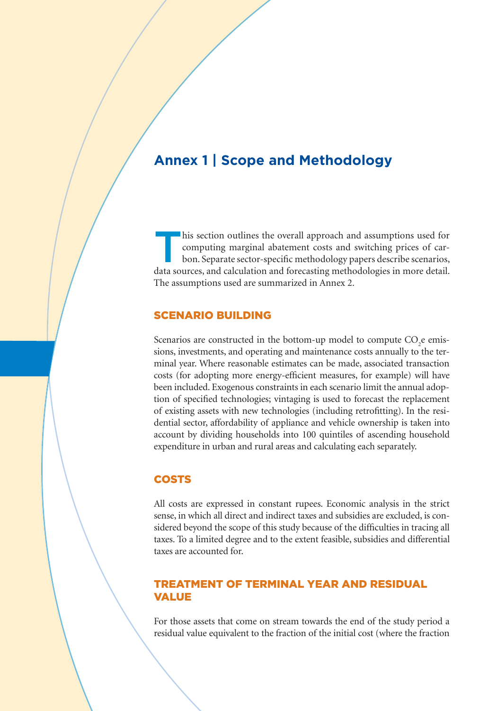# **Annex 1 | Scope and Methodology**

Inis section outlines the overall approach and assumptions used for computing marginal abatement costs and switching prices of carbon. Separate sector-specific methodology papers describe scenarios, data sources, and calculation and forecasting methodologies in more detail. The assumptions used are summarized in Annex 2.

### SCENARIO BUILDING

Scenarios are constructed in the bottom-up model to compute  $CO<sub>2</sub>e$  emissions, investments, and operating and maintenance costs annually to the terminal year. Where reasonable estimates can be made, associated transaction costs (for adopting more energy-efficient measures, for example) will have been included. Exogenous constraints in each scenario limit the annual adoption of specified technologies; vintaging is used to forecast the replacement of existing assets with new technologies (including retrofitting). In the residential sector, affordability of appliance and vehicle ownership is taken into account by dividing households into 100 quintiles of ascending household expenditure in urban and rural areas and calculating each separately.

## COSTS

All costs are expressed in constant rupees. Economic analysis in the strict sense, in which all direct and indirect taxes and subsidies are excluded, is considered beyond the scope of this study because of the difficulties in tracing all taxes. To a limited degree and to the extent feasible, subsidies and differential taxes are accounted for.

## TREATMENT OF TERMINAL YEAR AND RESIDUAL VALUE

For those assets that come on stream towards the end of the study period a residual value equivalent to the fraction of the initial cost (where the fraction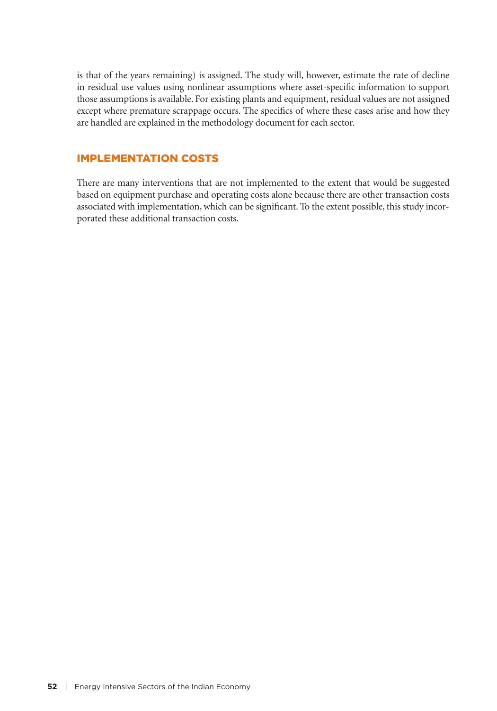is that of the years remaining) is assigned. The study will, however, estimate the rate of decline in residual use values using nonlinear assumptions where asset-specific information to support those assumptions is available. For existing plants and equipment, residual values are not assigned except where premature scrappage occurs. The specifics of where these cases arise and how they are handled are explained in the methodology document for each sector.

## IMPLEMENTATION COSTS

There are many interventions that are not implemented to the extent that would be suggested based on equipment purchase and operating costs alone because there are other transaction costs associated with implementation, which can be significant. To the extent possible, this study incorporated these additional transaction costs.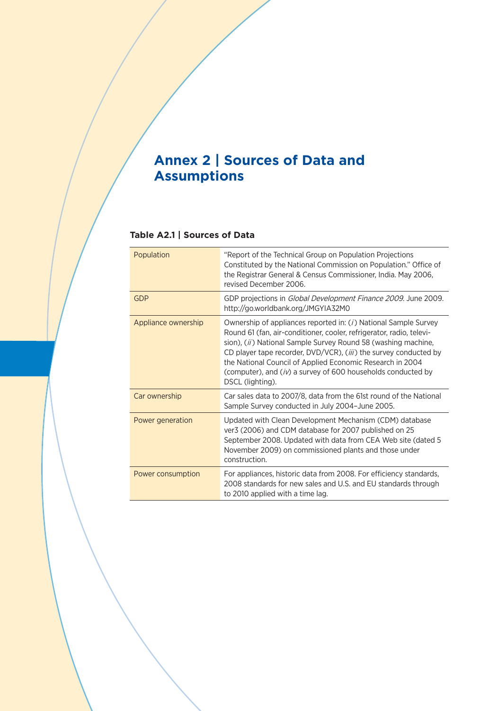# **Annex 2 | Sources of Data and Assumptions**

# **Table A2.1 | Sources of Data**

| Population          | "Report of the Technical Group on Population Projections<br>Constituted by the National Commission on Population." Office of<br>the Registrar General & Census Commissioner, India. May 2006,<br>revised December 2006.                                                                                                                                                                                                       |
|---------------------|-------------------------------------------------------------------------------------------------------------------------------------------------------------------------------------------------------------------------------------------------------------------------------------------------------------------------------------------------------------------------------------------------------------------------------|
| <b>GDP</b>          | GDP projections in Global Development Finance 2009. June 2009.<br>http://go.worldbank.org/JMGYIA32M0                                                                                                                                                                                                                                                                                                                          |
| Appliance ownership | Ownership of appliances reported in: (i) National Sample Survey<br>Round 61 (fan, air-conditioner, cooler, refrigerator, radio, televi-<br>sion), (ii) National Sample Survey Round 58 (washing machine,<br>CD player tape recorder, DVD/VCR), (iii) the survey conducted by<br>the National Council of Applied Economic Research in 2004<br>(computer), and (iv) a survey of 600 households conducted by<br>DSCL (lighting). |
| Car ownership       | Car sales data to 2007/8, data from the 61st round of the National<br>Sample Survey conducted in July 2004-June 2005.                                                                                                                                                                                                                                                                                                         |
| Power generation    | Updated with Clean Development Mechanism (CDM) database<br>ver3 (2006) and CDM database for 2007 published on 25<br>September 2008. Updated with data from CEA Web site (dated 5<br>November 2009) on commissioned plants and those under<br>construction.                                                                                                                                                                    |
| Power consumption   | For appliances, historic data from 2008. For efficiency standards,<br>2008 standards for new sales and U.S. and EU standards through<br>to 2010 applied with a time lag.                                                                                                                                                                                                                                                      |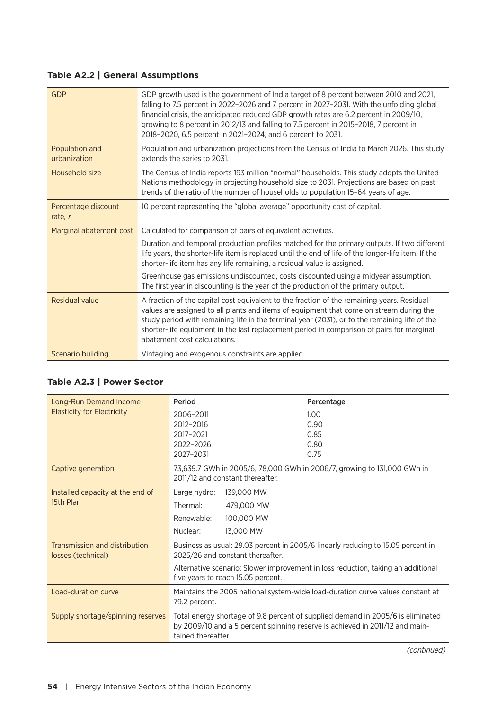# **Table A2.2 | General Assumptions**

| <b>GDP</b>                       | GDP growth used is the government of India target of 8 percent between 2010 and 2021,<br>falling to 7.5 percent in 2022-2026 and 7 percent in 2027-2031. With the unfolding global<br>financial crisis, the anticipated reduced GDP growth rates are 6.2 percent in 2009/10,<br>growing to 8 percent in 2012/13 and falling to 7.5 percent in 2015-2018, 7 percent in<br>2018-2020, 6.5 percent in 2021-2024, and 6 percent to 2031. |
|----------------------------------|--------------------------------------------------------------------------------------------------------------------------------------------------------------------------------------------------------------------------------------------------------------------------------------------------------------------------------------------------------------------------------------------------------------------------------------|
| Population and<br>urbanization   | Population and urbanization projections from the Census of India to March 2026. This study<br>extends the series to 2031.                                                                                                                                                                                                                                                                                                            |
| Household size                   | The Census of India reports 193 million "normal" households. This study adopts the United<br>Nations methodology in projecting household size to 2031. Projections are based on past<br>trends of the ratio of the number of households to population 15-64 years of age.                                                                                                                                                            |
| Percentage discount<br>rate, $r$ | 10 percent representing the "global average" opportunity cost of capital.                                                                                                                                                                                                                                                                                                                                                            |
| Marginal abatement cost          | Calculated for comparison of pairs of equivalent activities.<br>Duration and temporal production profiles matched for the primary outputs. If two different<br>life years, the shorter-life item is replaced until the end of life of the longer-life item. If the<br>shorter-life item has any life remaining, a residual value is assigned.                                                                                        |
|                                  | Greenhouse gas emissions undiscounted, costs discounted using a midyear assumption.<br>The first year in discounting is the year of the production of the primary output.                                                                                                                                                                                                                                                            |
| Residual value                   | A fraction of the capital cost equivalent to the fraction of the remaining years. Residual<br>values are assigned to all plants and items of equipment that come on stream during the<br>study period with remaining life in the terminal year (2031), or to the remaining life of the<br>shorter-life equipment in the last replacement period in comparison of pairs for marginal<br>abatement cost calculations.                  |

## **Table A2.3 | Power Sector**

| Long-Run Demand Income                              | Period                                                                                                                                                                                                                                         | Percentage                                                                                                                                                      |  |  |
|-----------------------------------------------------|------------------------------------------------------------------------------------------------------------------------------------------------------------------------------------------------------------------------------------------------|-----------------------------------------------------------------------------------------------------------------------------------------------------------------|--|--|
| <b>Elasticity for Electricity</b>                   | 2006-2011                                                                                                                                                                                                                                      | 1.00                                                                                                                                                            |  |  |
|                                                     | 2012-2016                                                                                                                                                                                                                                      | 0.90                                                                                                                                                            |  |  |
|                                                     | 2017-2021                                                                                                                                                                                                                                      | 0.85                                                                                                                                                            |  |  |
|                                                     | 2022-2026                                                                                                                                                                                                                                      | 0.80                                                                                                                                                            |  |  |
|                                                     | 2027-2031                                                                                                                                                                                                                                      | 0.75                                                                                                                                                            |  |  |
| Captive generation                                  |                                                                                                                                                                                                                                                | 73,639.7 GWh in 2005/6, 78,000 GWh in 2006/7, growing to 131,000 GWh in<br>2011/12 and constant thereafter.                                                     |  |  |
| Installed capacity at the end of                    | Large hydro:                                                                                                                                                                                                                                   | 139,000 MW                                                                                                                                                      |  |  |
| 15th Plan                                           | Thermal:                                                                                                                                                                                                                                       | 479,000 MW                                                                                                                                                      |  |  |
|                                                     | Renewable:                                                                                                                                                                                                                                     | 100,000 MW                                                                                                                                                      |  |  |
|                                                     | Nuclear:                                                                                                                                                                                                                                       | 13.000 MW                                                                                                                                                       |  |  |
| Transmission and distribution<br>losses (technical) | Business as usual: 29.03 percent in 2005/6 linearly reducing to 15.05 percent in<br>2025/26 and constant thereafter.<br>Alternative scenario: Slower improvement in loss reduction, taking an additional<br>five years to reach 15.05 percent. |                                                                                                                                                                 |  |  |
|                                                     |                                                                                                                                                                                                                                                |                                                                                                                                                                 |  |  |
| Load-duration curve                                 | Maintains the 2005 national system-wide load-duration curve values constant at<br>79.2 percent.                                                                                                                                                |                                                                                                                                                                 |  |  |
| Supply shortage/spinning reserves                   | tained thereafter.                                                                                                                                                                                                                             | Total energy shortage of 9.8 percent of supplied demand in 2005/6 is eliminated<br>by 2009/10 and a 5 percent spinning reserve is achieved in 2011/12 and main- |  |  |

(continued)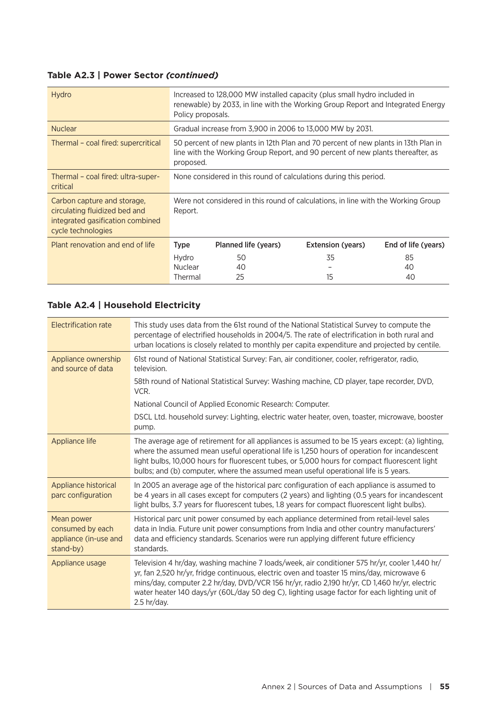## **Table A2.3 | Power Sector** *(continued)*

| Hydro                                                                                                                  | Increased to 128,000 MW installed capacity (plus small hydro included in<br>renewable) by 2033, in line with the Working Group Report and Integrated Energy<br>Policy proposals. |                                                                                                                                                                       |                          |                     |  |  |
|------------------------------------------------------------------------------------------------------------------------|----------------------------------------------------------------------------------------------------------------------------------------------------------------------------------|-----------------------------------------------------------------------------------------------------------------------------------------------------------------------|--------------------------|---------------------|--|--|
| <b>Nuclear</b>                                                                                                         |                                                                                                                                                                                  | Gradual increase from 3,900 in 2006 to 13,000 MW by 2031.                                                                                                             |                          |                     |  |  |
| Thermal - coal fired: supercritical                                                                                    | proposed.                                                                                                                                                                        | 50 percent of new plants in 12th Plan and 70 percent of new plants in 13th Plan in<br>line with the Working Group Report, and 90 percent of new plants thereafter, as |                          |                     |  |  |
| Thermal - coal fired: ultra-super-<br>critical                                                                         |                                                                                                                                                                                  | None considered in this round of calculations during this period.                                                                                                     |                          |                     |  |  |
| Carbon capture and storage,<br>circulating fluidized bed and<br>integrated gasification combined<br>cycle technologies | Were not considered in this round of calculations, in line with the Working Group<br>Report.                                                                                     |                                                                                                                                                                       |                          |                     |  |  |
| Plant renovation and end of life                                                                                       | Type                                                                                                                                                                             | Planned life (years)                                                                                                                                                  | <b>Extension (years)</b> | End of life (years) |  |  |
|                                                                                                                        | Hydro<br>Nuclear<br>Thermal                                                                                                                                                      | 50<br>40<br>25                                                                                                                                                        | 35<br>15                 | 85<br>40<br>40      |  |  |

## **Table A2.4 | Household Electricity**

| <b>Electrification rate</b>                                          | This study uses data from the 61st round of the National Statistical Survey to compute the<br>percentage of electrified households in 2004/5. The rate of electrification in both rural and<br>urban locations is closely related to monthly per capita expenditure and projected by centile.                                                                                                                  |
|----------------------------------------------------------------------|----------------------------------------------------------------------------------------------------------------------------------------------------------------------------------------------------------------------------------------------------------------------------------------------------------------------------------------------------------------------------------------------------------------|
| Appliance ownership<br>and source of data                            | 61st round of National Statistical Survey: Fan, air conditioner, cooler, refrigerator, radio,<br>television.                                                                                                                                                                                                                                                                                                   |
|                                                                      | 58th round of National Statistical Survey: Washing machine, CD player, tape recorder, DVD,<br>VCR.                                                                                                                                                                                                                                                                                                             |
|                                                                      | National Council of Applied Economic Research: Computer.                                                                                                                                                                                                                                                                                                                                                       |
|                                                                      | DSCL Ltd. household survey: Lighting, electric water heater, oven, toaster, microwave, booster<br>pump.                                                                                                                                                                                                                                                                                                        |
| Appliance life                                                       | The average age of retirement for all appliances is assumed to be 15 years except: (a) lighting.<br>where the assumed mean useful operational life is 1,250 hours of operation for incandescent<br>light bulbs, 10,000 hours for fluorescent tubes, or 5,000 hours for compact fluorescent light<br>bulbs; and (b) computer, where the assumed mean useful operational life is 5 years.                        |
| Appliance historical<br>parc configuration                           | In 2005 an average age of the historical parc configuration of each appliance is assumed to<br>be 4 years in all cases except for computers (2 years) and lighting (0.5 years for incandescent<br>light bulbs, 3.7 years for fluorescent tubes, 1.8 years for compact fluorescent light bulbs).                                                                                                                |
| Mean power<br>consumed by each<br>appliance (in-use and<br>stand-by) | Historical parc unit power consumed by each appliance determined from retail-level sales<br>data in India. Future unit power consumptions from India and other country manufacturers'<br>data and efficiency standards. Scenarios were run applying different future efficiency<br>standards.                                                                                                                  |
| Appliance usage                                                      | Television 4 hr/day, washing machine 7 loads/week, air conditioner 575 hr/yr, cooler 1,440 hr/<br>yr, fan 2,520 hr/yr, fridge continuous, electric oven and toaster 15 mins/day, microwave 6<br>mins/day, computer 2.2 hr/day, DVD/VCR 156 hr/yr, radio 2,190 hr/yr, CD 1,460 hr/yr, electric<br>water heater 140 days/yr (60L/day 50 deg C), lighting usage factor for each lighting unit of<br>$2.5$ hr/day. |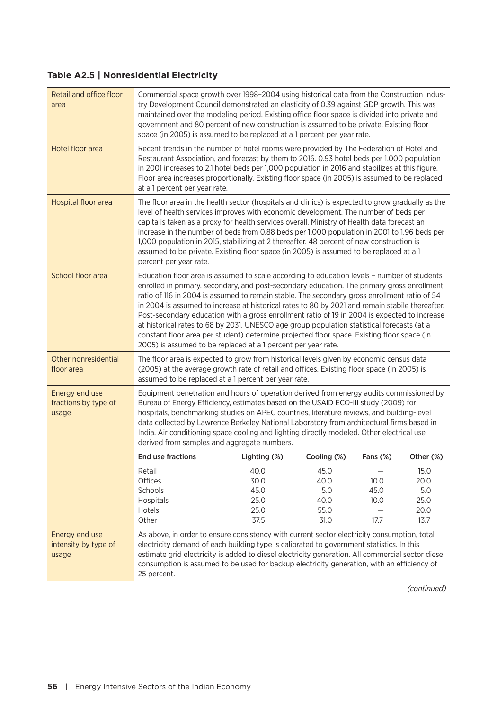## **Table A2.5 | Nonresidential Electricity**

| Retail and office floor<br>area                 | Commercial space growth over 1998–2004 using historical data from the Construction Indus-<br>try Development Council demonstrated an elasticity of 0.39 against GDP growth. This was<br>maintained over the modeling period. Existing office floor space is divided into private and<br>government and 80 percent of new construction is assumed to be private. Existing floor<br>space (in 2005) is assumed to be replaced at a 1 percent per year rate.                                                                                                                                                                                                                                                                                                 |                                              |                                             |                              |                                             |  |  |
|-------------------------------------------------|-----------------------------------------------------------------------------------------------------------------------------------------------------------------------------------------------------------------------------------------------------------------------------------------------------------------------------------------------------------------------------------------------------------------------------------------------------------------------------------------------------------------------------------------------------------------------------------------------------------------------------------------------------------------------------------------------------------------------------------------------------------|----------------------------------------------|---------------------------------------------|------------------------------|---------------------------------------------|--|--|
| Hotel floor area                                | Recent trends in the number of hotel rooms were provided by The Federation of Hotel and<br>Restaurant Association, and forecast by them to 2016. 0.93 hotel beds per 1,000 population<br>in 2001 increases to 2.1 hotel beds per 1,000 population in 2016 and stabilizes at this figure.<br>Floor area increases proportionally. Existing floor space (in 2005) is assumed to be replaced<br>at a 1 percent per year rate.                                                                                                                                                                                                                                                                                                                                |                                              |                                             |                              |                                             |  |  |
| Hospital floor area                             | The floor area in the health sector (hospitals and clinics) is expected to grow gradually as the<br>level of health services improves with economic development. The number of beds per<br>capita is taken as a proxy for health services overall. Ministry of Health data forecast an<br>increase in the number of beds from 0.88 beds per 1,000 population in 2001 to 1.96 beds per<br>1,000 population in 2015, stabilizing at 2 thereafter. 48 percent of new construction is<br>assumed to be private. Existing floor space (in 2005) is assumed to be replaced at a 1<br>percent per year rate.                                                                                                                                                     |                                              |                                             |                              |                                             |  |  |
| School floor area                               | Education floor area is assumed to scale according to education levels - number of students<br>enrolled in primary, secondary, and post-secondary education. The primary gross enrollment<br>ratio of 116 in 2004 is assumed to remain stable. The secondary gross enrollment ratio of 54<br>in 2004 is assumed to increase at historical rates to 80 by 2021 and remain stabile thereafter.<br>Post-secondary education with a gross enrollment ratio of 19 in 2004 is expected to increase<br>at historical rates to 68 by 2031. UNESCO age group population statistical forecasts (at a<br>constant floor area per student) determine projected floor space. Existing floor space (in<br>2005) is assumed to be replaced at a 1 percent per year rate. |                                              |                                             |                              |                                             |  |  |
| Other nonresidential<br>floor area              | The floor area is expected to grow from historical levels given by economic census data<br>(2005) at the average growth rate of retail and offices. Existing floor space (in 2005) is<br>assumed to be replaced at a 1 percent per year rate.                                                                                                                                                                                                                                                                                                                                                                                                                                                                                                             |                                              |                                             |                              |                                             |  |  |
| Energy end use<br>fractions by type of<br>usage | Equipment penetration and hours of operation derived from energy audits commissioned by<br>Bureau of Energy Efficiency, estimates based on the USAID ECO-III study (2009) for<br>hospitals, benchmarking studies on APEC countries, literature reviews, and building-level<br>data collected by Lawrence Berkeley National Laboratory from architectural firms based in<br>India. Air conditioning space cooling and lighting directly modeled. Other electrical use<br>derived from samples and aggregate numbers.                                                                                                                                                                                                                                       |                                              |                                             |                              |                                             |  |  |
|                                                 | <b>End use fractions</b>                                                                                                                                                                                                                                                                                                                                                                                                                                                                                                                                                                                                                                                                                                                                  | Lighting (%)                                 | Cooling (%)                                 | Fans $(\%)$                  | Other (%)                                   |  |  |
|                                                 | Retail<br>Offices<br>Schools<br><b>Hospitals</b><br>Hotels<br>Other                                                                                                                                                                                                                                                                                                                                                                                                                                                                                                                                                                                                                                                                                       | 40.0<br>30.0<br>45.0<br>25.0<br>25.0<br>37.5 | 45.0<br>40.0<br>5.0<br>40.0<br>55.0<br>31.0 | 10.0<br>45.0<br>10.0<br>17.7 | 15.0<br>20.0<br>5.0<br>25.0<br>20.0<br>13.7 |  |  |
| Energy end use<br>intensity by type of<br>usage | As above, in order to ensure consistency with current sector electricity consumption, total<br>electricity demand of each building type is calibrated to government statistics. In this<br>estimate grid electricity is added to diesel electricity generation. All commercial sector diesel<br>consumption is assumed to be used for backup electricity generation, with an efficiency of<br>25 percent.                                                                                                                                                                                                                                                                                                                                                 |                                              |                                             |                              |                                             |  |  |

(continued)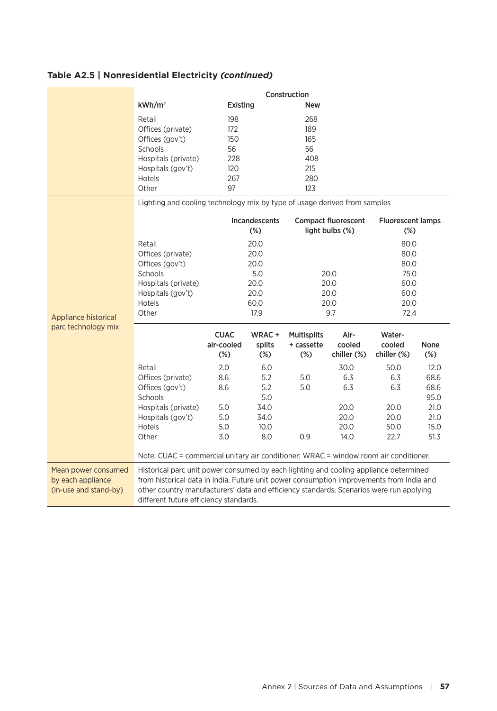|                       | Construction                                                                             |                                |                 |                                               |                |                                    |        |
|-----------------------|------------------------------------------------------------------------------------------|--------------------------------|-----------------|-----------------------------------------------|----------------|------------------------------------|--------|
|                       | kWh/m <sup>2</sup>                                                                       | Existing                       |                 | <b>New</b>                                    |                |                                    |        |
|                       |                                                                                          |                                |                 |                                               |                |                                    |        |
|                       | Retail                                                                                   | 198<br>172                     |                 | 268<br>189                                    |                |                                    |        |
|                       | Offices (private)<br>Offices (gov't)                                                     | 150                            |                 | 165                                           |                |                                    |        |
|                       | Schools                                                                                  | 56                             |                 | 56                                            |                |                                    |        |
|                       | Hospitals (private)                                                                      | 228                            |                 | 408                                           |                |                                    |        |
|                       | Hospitals (gov't)                                                                        | 120                            |                 | 215                                           |                |                                    |        |
|                       | Hotels                                                                                   | 267                            |                 | 280                                           |                |                                    |        |
|                       | Other                                                                                    | 97                             |                 | 123                                           |                |                                    |        |
|                       | Lighting and cooling technology mix by type of usage derived from samples                |                                |                 |                                               |                |                                    |        |
|                       |                                                                                          | <b>Incandescents</b><br>$(\%)$ |                 | <b>Compact fluorescent</b><br>light bulbs (%) |                | <b>Fluorescent lamps</b><br>$(\%)$ |        |
|                       | Retail                                                                                   |                                | 20.0            |                                               |                | 80.0                               |        |
|                       | Offices (private)                                                                        | 20.0                           |                 |                                               | 80.0           |                                    |        |
|                       | Offices (gov't)                                                                          | 20.0                           |                 |                                               |                | 80.0                               |        |
|                       | Schools                                                                                  | 5.0                            |                 | 20.0                                          |                | 75.0                               |        |
|                       | Hospitals (private)                                                                      | 20.0                           |                 | 20.0                                          |                | 60.0                               |        |
|                       | Hospitals (gov't)                                                                        | 20.0                           |                 | 20.0                                          |                | 60.0                               |        |
|                       | Hotels                                                                                   | 60.0                           |                 | 20.0                                          |                | 20.0                               |        |
| Appliance historical  | Other                                                                                    | 17.9                           |                 | 9.7                                           |                | 72.4                               |        |
| parc technology mix   |                                                                                          | <b>CUAC</b><br>air-cooled      | WRAC+<br>splits | <b>Multisplits</b><br>+ cassette              | Air-<br>cooled | Water-<br>cooled                   | None   |
|                       |                                                                                          | $(\%)$                         | $(\%)$          | $(\%)$                                        | chiller (%)    | chiller (%)                        | $(\%)$ |
|                       | Retail                                                                                   | 2.0                            | 6.0             |                                               | 30.0           | 50.0                               | 12.0   |
|                       | Offices (private)                                                                        | 8.6                            | 5.2             | 5.0                                           | 6.3            | 6.3                                | 68.6   |
|                       | Offices (gov't)                                                                          | 8.6                            | 5.2             | 5.0                                           | 6.3            | 6.3                                | 68.6   |
|                       | Schools                                                                                  |                                | 5.0             |                                               |                |                                    | 95.0   |
|                       | Hospitals (private)                                                                      | 5.0                            | 34.0            |                                               | 20.0           | 20.0                               | 21.0   |
|                       | Hospitals (gov't)                                                                        | 5.0                            | 34.0            |                                               | 20.0           | 20.0                               | 21.0   |
|                       | Hotels                                                                                   | 5.0                            | 10.0            |                                               | 20.0           | 50.0                               | 15.0   |
|                       | Other                                                                                    | 3.0                            | 8.0             | 0.9                                           | 14.0           | 22.7                               | 51.3   |
|                       | Note: CUAC = commercial unitary air conditioner; WRAC = window room air conditioner.     |                                |                 |                                               |                |                                    |        |
| Mean power consumed   | Historical parc unit power consumed by each lighting and cooling appliance determined    |                                |                 |                                               |                |                                    |        |
| by each appliance     | from historical data in India. Future unit power consumption improvements from India and |                                |                 |                                               |                |                                    |        |
| (in-use and stand-by) | other country manufacturers' data and efficiency standards. Scenarios were run applying  |                                |                 |                                               |                |                                    |        |
|                       | different future efficiency standards.                                                   |                                |                 |                                               |                |                                    |        |

## **Table A2.5 | Nonresidential Electricity** *(continued)*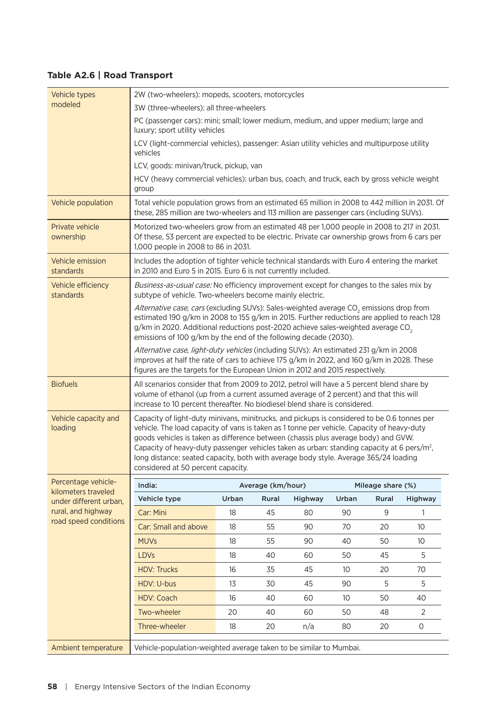## **Table A2.6 | Road Transport**

| Vehicle types                                                                                | 2W (two-wheelers): mopeds, scooters, motorcycles                                                                                                                                                                                                                                                                                                                                                                                                                                                                        |                                        |       |                |       |       |                |
|----------------------------------------------------------------------------------------------|-------------------------------------------------------------------------------------------------------------------------------------------------------------------------------------------------------------------------------------------------------------------------------------------------------------------------------------------------------------------------------------------------------------------------------------------------------------------------------------------------------------------------|----------------------------------------|-------|----------------|-------|-------|----------------|
| modeled                                                                                      | 3W (three-wheelers): all three-wheelers                                                                                                                                                                                                                                                                                                                                                                                                                                                                                 |                                        |       |                |       |       |                |
|                                                                                              | PC (passenger cars): mini; small; lower medium, medium, and upper medium; large and<br>luxury; sport utility vehicles                                                                                                                                                                                                                                                                                                                                                                                                   |                                        |       |                |       |       |                |
|                                                                                              | LCV (light-commercial vehicles), passenger: Asian utility vehicles and multipurpose utility<br>vehicles                                                                                                                                                                                                                                                                                                                                                                                                                 |                                        |       |                |       |       |                |
|                                                                                              | LCV, goods: minivan/truck, pickup, van<br>HCV (heavy commercial vehicles): urban bus, coach, and truck, each by gross vehicle weight<br>group                                                                                                                                                                                                                                                                                                                                                                           |                                        |       |                |       |       |                |
|                                                                                              |                                                                                                                                                                                                                                                                                                                                                                                                                                                                                                                         |                                        |       |                |       |       |                |
| Vehicle population                                                                           | Total vehicle population grows from an estimated 65 million in 2008 to 442 million in 2031. Of<br>these, 285 million are two-wheelers and 113 million are passenger cars (including SUVs).                                                                                                                                                                                                                                                                                                                              |                                        |       |                |       |       |                |
| Private vehicle<br>ownership                                                                 | Motorized two-wheelers grow from an estimated 48 per 1,000 people in 2008 to 217 in 2031.<br>Of these, 53 percent are expected to be electric. Private car ownership grows from 6 cars per<br>1,000 people in 2008 to 86 in 2031.                                                                                                                                                                                                                                                                                       |                                        |       |                |       |       |                |
| Vehicle emission<br>standards                                                                | Includes the adoption of tighter vehicle technical standards with Euro 4 entering the market<br>in 2010 and Euro 5 in 2015. Euro 6 is not currently included.                                                                                                                                                                                                                                                                                                                                                           |                                        |       |                |       |       |                |
| Vehicle efficiency<br>standards                                                              | <i>Business-as-usual case:</i> No efficiency improvement except for changes to the sales mix by<br>subtype of vehicle. Two-wheelers become mainly electric.                                                                                                                                                                                                                                                                                                                                                             |                                        |       |                |       |       |                |
|                                                                                              | Alternative case, cars (excluding SUVs): Sales-weighted average CO <sub>2</sub> emissions drop from<br>estimated 190 g/km in 2008 to 155 g/km in 2015. Further reductions are applied to reach 128<br>g/km in 2020. Additional reductions post-2020 achieve sales-weighted average CO <sub>2</sub><br>emissions of 100 g/km by the end of the following decade (2030).                                                                                                                                                  |                                        |       |                |       |       |                |
|                                                                                              | Alternative case, light-duty vehicles (including SUVs): An estimated 231 g/km in 2008<br>improves at half the rate of cars to achieve 175 g/km in 2022, and 160 g/km in 2028. These<br>figures are the targets for the European Union in 2012 and 2015 respectively.                                                                                                                                                                                                                                                    |                                        |       |                |       |       |                |
| <b>Biofuels</b>                                                                              | All scenarios consider that from 2009 to 2012, petrol will have a 5 percent blend share by<br>volume of ethanol (up from a current assumed average of 2 percent) and that this will<br>increase to 10 percent thereafter. No biodiesel blend share is considered.                                                                                                                                                                                                                                                       |                                        |       |                |       |       |                |
| Vehicle capacity and<br>loading                                                              | Capacity of light-duty minivans, minitrucks, and pickups is considered to be 0.6 tonnes per<br>vehicle. The load capacity of vans is taken as 1 tonne per vehicle. Capacity of heavy-duty<br>goods vehicles is taken as difference between (chassis plus average body) and GVW.<br>Capacity of heavy-duty passenger vehicles taken as urban: standing capacity at 6 pers/m <sup>2</sup> ,<br>long distance: seated capacity, both with average body style. Average 365/24 loading<br>considered at 50 percent capacity. |                                        |       |                |       |       |                |
| Percentage vehicle-                                                                          | India:                                                                                                                                                                                                                                                                                                                                                                                                                                                                                                                  | Average (km/hour)<br>Mileage share (%) |       |                |       |       |                |
| kilometers traveled<br>under different urban.<br>rural, and highway<br>road speed conditions | Vehicle type                                                                                                                                                                                                                                                                                                                                                                                                                                                                                                            | Urban                                  | Rural | <b>Highway</b> | Urban | Rural | <b>Highway</b> |
|                                                                                              | Car: Mini                                                                                                                                                                                                                                                                                                                                                                                                                                                                                                               | 18                                     | 45    | 80             | 90    | 9     | 1              |
|                                                                                              | Car: Small and above                                                                                                                                                                                                                                                                                                                                                                                                                                                                                                    | 18                                     | 55    | 90             | 70    | 20    | 10             |
|                                                                                              | <b>MUVs</b>                                                                                                                                                                                                                                                                                                                                                                                                                                                                                                             | 18                                     | 55    | 90             | 40    | 50    | 10             |
|                                                                                              | <b>LDVs</b>                                                                                                                                                                                                                                                                                                                                                                                                                                                                                                             | 18                                     | 40    | 60             | 50    | 45    | 5              |
|                                                                                              | <b>HDV: Trucks</b>                                                                                                                                                                                                                                                                                                                                                                                                                                                                                                      | 16                                     | 35    | 45             | 10    | 20    | 70             |
|                                                                                              | HDV: U-bus                                                                                                                                                                                                                                                                                                                                                                                                                                                                                                              | 13                                     | 30    | 45             | 90    | 5     | 5              |
|                                                                                              | HDV: Coach                                                                                                                                                                                                                                                                                                                                                                                                                                                                                                              | 16                                     | 40    | 60             | 10    | 50    | 40             |
|                                                                                              | Two-wheeler                                                                                                                                                                                                                                                                                                                                                                                                                                                                                                             | 20                                     | 40    | 60             | 50    | 48    | 2              |
|                                                                                              | Three-wheeler                                                                                                                                                                                                                                                                                                                                                                                                                                                                                                           | 18                                     | 20    | n/a            | 80    | 20    | 0              |
| Ambient temperature                                                                          | Vehicle-population-weighted average taken to be similar to Mumbai.                                                                                                                                                                                                                                                                                                                                                                                                                                                      |                                        |       |                |       |       |                |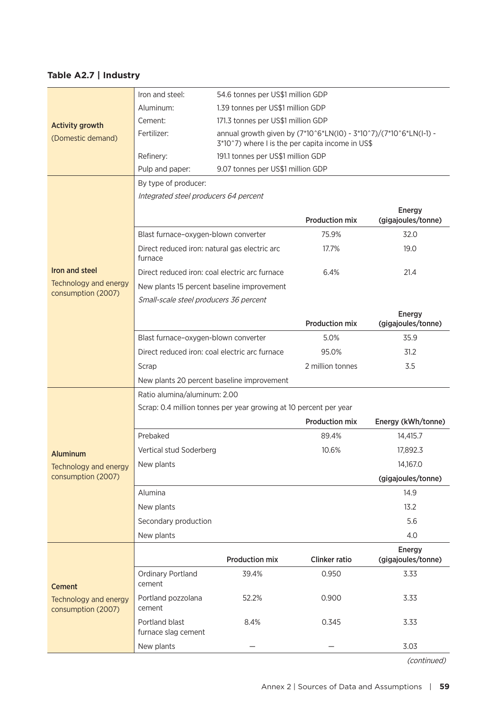## **Table A2.7 | Industry**

| <b>Activity growth</b><br>(Domestic demand)                    | Iron and steel:                                                   | 54.6 tonnes per US\$1 million GDP                                                                                     |                       |                              |  |  |  |
|----------------------------------------------------------------|-------------------------------------------------------------------|-----------------------------------------------------------------------------------------------------------------------|-----------------------|------------------------------|--|--|--|
|                                                                | Aluminum:                                                         | 1.39 tonnes per US\$1 million GDP                                                                                     |                       |                              |  |  |  |
|                                                                | Cement:                                                           | 171.3 tonnes per US\$1 million GDP                                                                                    |                       |                              |  |  |  |
|                                                                | Fertilizer:                                                       | annual growth given by (7*10^6*LN(I0) - 3*10^7)/(7*10^6*LN(I-1) -<br>3*10^7) where I is the per capita income in US\$ |                       |                              |  |  |  |
|                                                                | Refinery:                                                         | 191.1 tonnes per US\$1 million GDP                                                                                    |                       |                              |  |  |  |
|                                                                | Pulp and paper:                                                   | 9.07 tonnes per US\$1 million GDP                                                                                     |                       |                              |  |  |  |
|                                                                | By type of producer:                                              |                                                                                                                       |                       |                              |  |  |  |
|                                                                | Integrated steel producers 64 percent                             |                                                                                                                       |                       |                              |  |  |  |
|                                                                |                                                                   |                                                                                                                       | <b>Production mix</b> | Energy<br>(gigajoules/tonne) |  |  |  |
|                                                                | Blast furnace-oxygen-blown converter                              |                                                                                                                       | 75.9%                 | 32.0                         |  |  |  |
|                                                                | Direct reduced iron: natural gas electric arc<br>furnace          |                                                                                                                       | 17.7%                 | 19.0                         |  |  |  |
| Iron and steel                                                 | Direct reduced iron: coal electric arc furnace                    |                                                                                                                       | 6.4%                  | 21.4                         |  |  |  |
| Technology and energy                                          | New plants 15 percent baseline improvement                        |                                                                                                                       |                       |                              |  |  |  |
| consumption (2007)                                             | Small-scale steel producers 36 percent                            |                                                                                                                       |                       |                              |  |  |  |
|                                                                |                                                                   |                                                                                                                       |                       | Energy                       |  |  |  |
|                                                                |                                                                   |                                                                                                                       | <b>Production mix</b> | (gigajoules/tonne)           |  |  |  |
|                                                                | Blast furnace-oxygen-blown converter                              |                                                                                                                       | 5.0%                  | 35.9                         |  |  |  |
|                                                                | Direct reduced iron: coal electric arc furnace                    |                                                                                                                       | 95.0%                 | 31.2                         |  |  |  |
|                                                                | Scrap                                                             |                                                                                                                       | 2 million tonnes      | 3.5                          |  |  |  |
|                                                                | New plants 20 percent baseline improvement                        |                                                                                                                       |                       |                              |  |  |  |
|                                                                | Ratio alumina/aluminum: 2.00                                      |                                                                                                                       |                       |                              |  |  |  |
|                                                                | Scrap: 0.4 million tonnes per year growing at 10 percent per year |                                                                                                                       |                       |                              |  |  |  |
|                                                                |                                                                   |                                                                                                                       | <b>Production mix</b> | Energy (kWh/tonne)           |  |  |  |
|                                                                | Prebaked                                                          |                                                                                                                       | 89.4%                 | 14,415.7                     |  |  |  |
| <b>Aluminum</b><br>Technology and energy<br>consumption (2007) | Vertical stud Soderberg                                           |                                                                                                                       | 10.6%                 | 17,892.3                     |  |  |  |
|                                                                | New plants                                                        |                                                                                                                       |                       | 14,167.0                     |  |  |  |
|                                                                | Alumina                                                           |                                                                                                                       |                       | (gigajoules/tonne)<br>14.9   |  |  |  |
|                                                                |                                                                   |                                                                                                                       |                       | 13.2                         |  |  |  |
|                                                                | New plants                                                        |                                                                                                                       |                       | 5.6                          |  |  |  |
|                                                                | Secondary production<br>New plants                                |                                                                                                                       |                       | 4.0                          |  |  |  |
|                                                                |                                                                   |                                                                                                                       |                       | Energy                       |  |  |  |
| <b>Cement</b><br>Technology and energy<br>consumption (2007)   |                                                                   | Production mix                                                                                                        | Clinker ratio         | (gigajoules/tonne)           |  |  |  |
|                                                                | Ordinary Portland<br>cement                                       | 39.4%                                                                                                                 | 0.950                 | 3.33                         |  |  |  |
|                                                                | Portland pozzolana<br>cement                                      | 52.2%                                                                                                                 | 0.900                 | 3.33                         |  |  |  |
|                                                                | Portland blast<br>furnace slag cement                             | 8.4%                                                                                                                  | 0.345                 | 3.33                         |  |  |  |
|                                                                | New plants                                                        |                                                                                                                       |                       | 3.03                         |  |  |  |

(continued)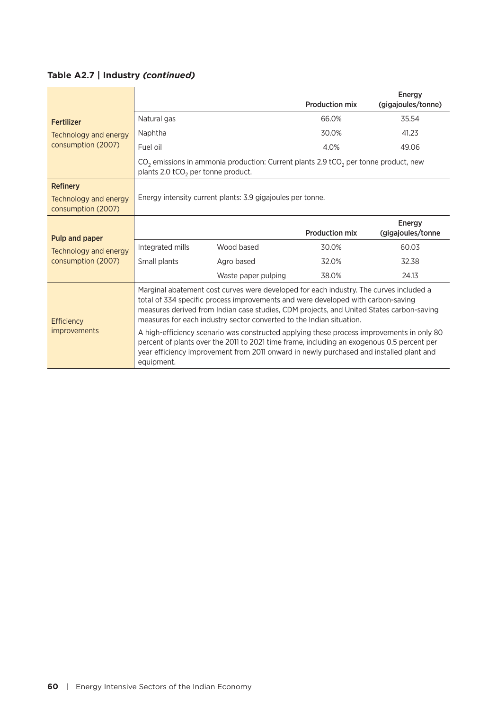## **Table A2.7 | Industry** *(continued)*

|                                                                  |                                                                                                                                                                                                                                                                                                                                                |                                                            | <b>Production mix</b> | Energy<br>(gigajoules/tonne) |  |  |
|------------------------------------------------------------------|------------------------------------------------------------------------------------------------------------------------------------------------------------------------------------------------------------------------------------------------------------------------------------------------------------------------------------------------|------------------------------------------------------------|-----------------------|------------------------------|--|--|
| <b>Fertilizer</b><br>Technology and energy<br>consumption (2007) | Natural gas                                                                                                                                                                                                                                                                                                                                    |                                                            | 66.0%                 | 35.54                        |  |  |
|                                                                  | Naphtha                                                                                                                                                                                                                                                                                                                                        |                                                            | 30.0%                 | 41.23                        |  |  |
|                                                                  | Fuel oil                                                                                                                                                                                                                                                                                                                                       |                                                            | 4.0%                  | 49.06                        |  |  |
|                                                                  | CO <sub>2</sub> emissions in ammonia production: Current plants 2.9 tCO <sub>2</sub> per tonne product, new<br>plants 2.0 tCO <sub>2</sub> per tonne product.                                                                                                                                                                                  |                                                            |                       |                              |  |  |
| <b>Refinery</b>                                                  |                                                                                                                                                                                                                                                                                                                                                |                                                            |                       |                              |  |  |
| Technology and energy<br>consumption (2007)                      |                                                                                                                                                                                                                                                                                                                                                | Energy intensity current plants: 3.9 gigajoules per tonne. |                       |                              |  |  |
| Pulp and paper<br>Technology and energy<br>consumption (2007)    |                                                                                                                                                                                                                                                                                                                                                |                                                            | <b>Production mix</b> | Energy<br>(gigajoules/tonne  |  |  |
|                                                                  | Integrated mills                                                                                                                                                                                                                                                                                                                               | Wood based                                                 | 30.0%                 | 60.03                        |  |  |
|                                                                  | Small plants                                                                                                                                                                                                                                                                                                                                   | Agro based                                                 | 32.0%                 | 32.38                        |  |  |
|                                                                  |                                                                                                                                                                                                                                                                                                                                                | Waste paper pulping                                        | 38.0%                 | 24.13                        |  |  |
| Efficiency<br><i>improvements</i>                                | Marginal abatement cost curves were developed for each industry. The curves included a<br>total of 334 specific process improvements and were developed with carbon-saving<br>measures derived from Indian case studies, CDM projects, and United States carbon-saving<br>measures for each industry sector converted to the Indian situation. |                                                            |                       |                              |  |  |
|                                                                  | A high-efficiency scenario was constructed applying these process improvements in only 80<br>percent of plants over the 2011 to 2021 time frame, including an exogenous 0.5 percent per<br>year efficiency improvement from 2011 onward in newly purchased and installed plant and<br>equipment.                                               |                                                            |                       |                              |  |  |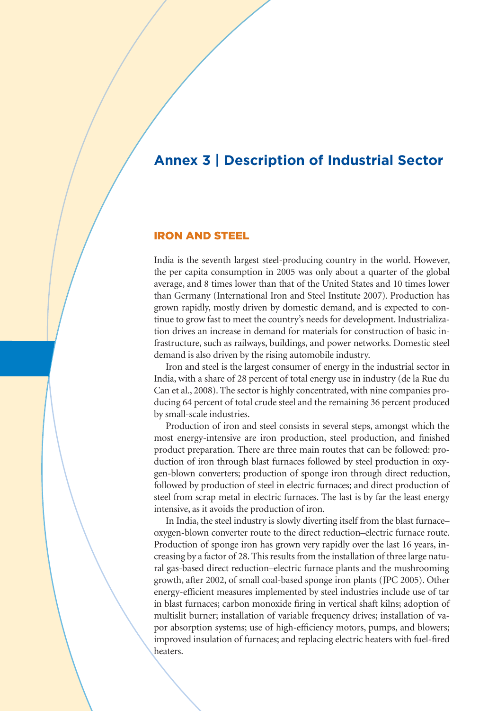# **Annex 3 | Description of Industrial Sector**

#### IRON AND STEEL

India is the seventh largest steel-producing country in the world. However, the per capita consumption in 2005 was only about a quarter of the global average, and 8 times lower than that of the United States and 10 times lower than Germany (International Iron and Steel Institute 2007). Production has grown rapidly, mostly driven by domestic demand, and is expected to continue to grow fast to meet the country's needs for development. Industrialization drives an increase in demand for materials for construction of basic infrastructure, such as railways, buildings, and power networks. Domestic steel demand is also driven by the rising automobile industry.

Iron and steel is the largest consumer of energy in the industrial sector in India, with a share of 28 percent of total energy use in industry (de la Rue du Can et al., 2008). The sector is highly concentrated, with nine companies producing 64 percent of total crude steel and the remaining 36 percent produced by small-scale industries.

Production of iron and steel consists in several steps, amongst which the most energy-intensive are iron production, steel production, and finished product preparation. There are three main routes that can be followed: production of iron through blast furnaces followed by steel production in oxygen-blown converters; production of sponge iron through direct reduction, followed by production of steel in electric furnaces; and direct production of steel from scrap metal in electric furnaces. The last is by far the least energy intensive, as it avoids the production of iron.

In India, the steel industry is slowly diverting itself from the blast furnace– oxygen-blown converter route to the direct reduction–electric furnace route. Production of sponge iron has grown very rapidly over the last 16 years, increasing by a factor of 28. This results from the installation of three large natural gas-based direct reduction–electric furnace plants and the mushrooming growth, after 2002, of small coal-based sponge iron plants (JPC 2005). Other energy-efficient measures implemented by steel industries include use of tar in blast furnaces; carbon monoxide firing in vertical shaft kilns; adoption of multislit burner; installation of variable frequency drives; installation of vapor absorption systems; use of high-efficiency motors, pumps, and blowers; improved insulation of furnaces; and replacing electric heaters with fuel-fired heaters.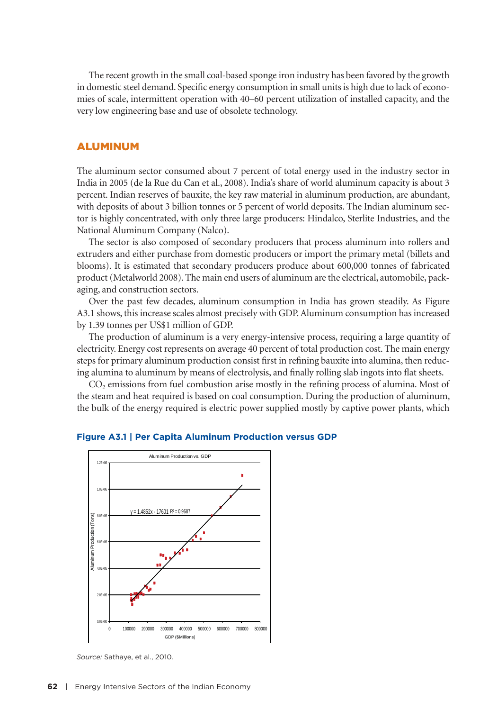The recent growth in the small coal-based sponge iron industry has been favored by the growth in domestic steel demand. Specific energy consumption in small units is high due to lack of economies of scale, intermittent operation with 40–60 percent utilization of installed capacity, and the very low engineering base and use of obsolete technology.

#### ALUMINUM

The aluminum sector consumed about 7 percent of total energy used in the industry sector in India in 2005 (de la Rue du Can et al., 2008). India's share of world aluminum capacity is about 3 percent. Indian reserves of bauxite, the key raw material in aluminum production, are abundant, with deposits of about 3 billion tonnes or 5 percent of world deposits. The Indian aluminum sector is highly concentrated, with only three large producers: Hindalco, Sterlite Industries, and the National Aluminum Company (Nalco).

The sector is also composed of secondary producers that process aluminum into rollers and extruders and either purchase from domestic producers or import the primary metal (billets and blooms). It is estimated that secondary producers produce about 600,000 tonnes of fabricated product (Metalworld 2008). The main end users of aluminum are the electrical, automobile, packaging, and construction sectors.

Over the past few decades, aluminum consumption in India has grown steadily. As Figure A3.1 shows, this increase scales almost precisely with GDP. Aluminum consumption has increased by 1.39 tonnes per US\$1 million of GDP.

 The production of aluminum is a very energy-intensive process, requiring a large quantity of electricity. Energy cost represents on average 40 percent of total production cost. The main energy steps for primary aluminum production consist first in refining bauxite into alumina, then reducing alumina to aluminum by means of electrolysis, and finally rolling slab ingots into flat sheets.

 $CO<sub>2</sub>$  emissions from fuel combustion arise mostly in the refining process of alumina. Most of the steam and heat required is based on coal consumption. During the production of aluminum, the bulk of the energy required is electric power supplied mostly by captive power plants, which



**Figure A3.1 | Per Capita Aluminum Production versus GDP**

*Source:* Sathaye, et al., 2010.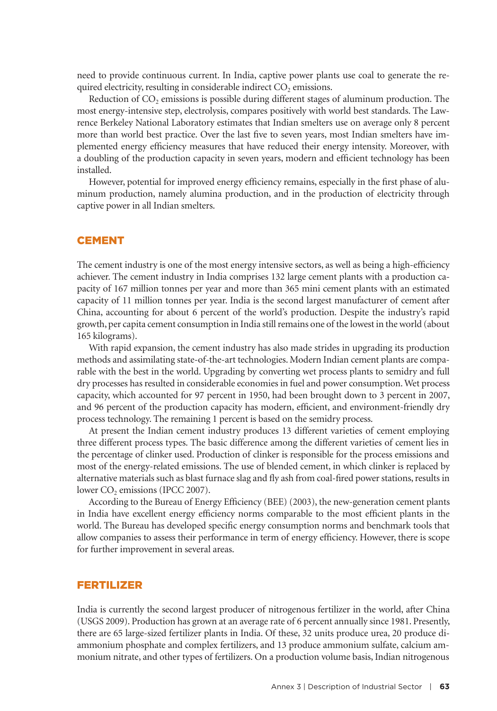need to provide continuous current. In India, captive power plants use coal to generate the required electricity, resulting in considerable indirect  $CO<sub>2</sub>$  emissions.

Reduction of  $CO<sub>2</sub>$  emissions is possible during different stages of aluminum production. The most energy-intensive step, electrolysis, compares positively with world best standards. The Lawrence Berkeley National Laboratory estimates that Indian smelters use on average only 8 percent more than world best practice. Over the last five to seven years, most Indian smelters have implemented energy efficiency measures that have reduced their energy intensity. Moreover, with a doubling of the production capacity in seven years, modern and efficient technology has been installed.

However, potential for improved energy efficiency remains, especially in the first phase of aluminum production, namely alumina production, and in the production of electricity through captive power in all Indian smelters.

### CEMENT

The cement industry is one of the most energy intensive sectors, as well as being a high-efficiency achiever. The cement industry in India comprises 132 large cement plants with a production capacity of 167 million tonnes per year and more than 365 mini cement plants with an estimated capacity of 11 million tonnes per year. India is the second largest manufacturer of cement after China, accounting for about 6 percent of the world's production. Despite the industry's rapid growth, per capita cement consumption in India still remains one of the lowest in the world (about 165 kilograms).

With rapid expansion, the cement industry has also made strides in upgrading its production methods and assimilating state-of-the-art technologies. Modern Indian cement plants are comparable with the best in the world. Upgrading by converting wet process plants to semidry and full dry processes has resulted in considerable economies in fuel and power consumption. Wet process capacity, which accounted for 97 percent in 1950, had been brought down to 3 percent in 2007, and 96 percent of the production capacity has modern, efficient, and environment-friendly dry process technology. The remaining 1 percent is based on the semidry process.

At present the Indian cement industry produces 13 different varieties of cement employing three different process types. The basic difference among the different varieties of cement lies in the percentage of clinker used. Production of clinker is responsible for the process emissions and most of the energy-related emissions. The use of blended cement, in which clinker is replaced by alternative materials such as blast furnace slag and fly ash from coal-fired power stations, results in lower CO<sub>2</sub> emissions (IPCC 2007).

According to the Bureau of Energy Efficiency (BEE) (2003), the new-generation cement plants in India have excellent energy efficiency norms comparable to the most efficient plants in the world. The Bureau has developed specific energy consumption norms and benchmark tools that allow companies to assess their performance in term of energy efficiency. However, there is scope for further improvement in several areas.

#### FERTILIZER

India is currently the second largest producer of nitrogenous fertilizer in the world, after China (USGS 2009). Production has grown at an average rate of 6 percent annually since 1981. Presently, there are 65 large-sized fertilizer plants in India. Of these, 32 units produce urea, 20 produce diammonium phosphate and complex fertilizers, and 13 produce ammonium sulfate, calcium ammonium nitrate, and other types of fertilizers. On a production volume basis, Indian nitrogenous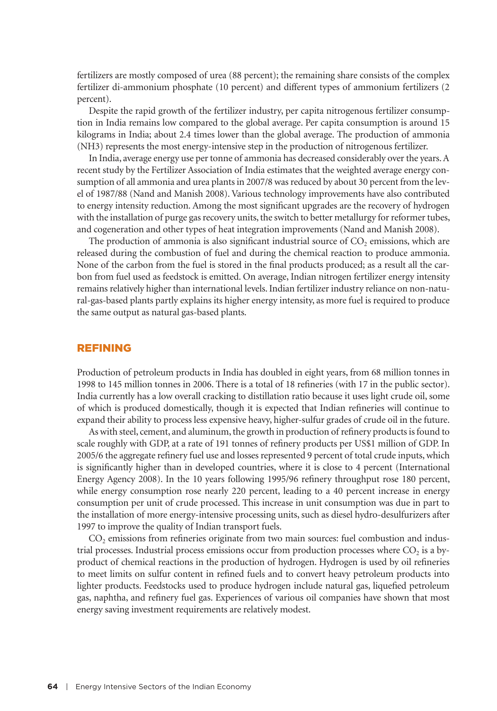fertilizers are mostly composed of urea (88 percent); the remaining share consists of the complex fertilizer di-ammonium phosphate (10 percent) and different types of ammonium fertilizers (2 percent).

Despite the rapid growth of the fertilizer industry, per capita nitrogenous fertilizer consumption in India remains low compared to the global average. Per capita consumption is around 15 kilograms in India; about 2.4 times lower than the global average. The production of ammonia (NH3) represents the most energy-intensive step in the production of nitrogenous fertilizer.

In India, average energy use per tonne of ammonia has decreased considerably over the years. A recent study by the Fertilizer Association of India estimates that the weighted average energy consumption of all ammonia and urea plants in 2007/8 was reduced by about 30 percent from the level of 1987/88 (Nand and Manish 2008). Various technology improvements have also contributed to energy intensity reduction. Among the most significant upgrades are the recovery of hydrogen with the installation of purge gas recovery units, the switch to better metallurgy for reformer tubes, and cogeneration and other types of heat integration improvements (Nand and Manish 2008).

The production of ammonia is also significant industrial source of  $CO<sub>2</sub>$  emissions, which are released during the combustion of fuel and during the chemical reaction to produce ammonia. None of the carbon from the fuel is stored in the final products produced; as a result all the carbon from fuel used as feedstock is emitted. On average, Indian nitrogen fertilizer energy intensity remains relatively higher than international levels. Indian fertilizer industry reliance on non-natural-gas-based plants partly explains its higher energy intensity, as more fuel is required to produce the same output as natural gas-based plants.

#### REFINING

Production of petroleum products in India has doubled in eight years, from 68 million tonnes in 1998 to 145 million tonnes in 2006. There is a total of 18 refineries (with 17 in the public sector). India currently has a low overall cracking to distillation ratio because it uses light crude oil, some of which is produced domestically, though it is expected that Indian refineries will continue to expand their ability to process less expensive heavy, higher-sulfur grades of crude oil in the future.

As with steel, cement, and aluminum, the growth in production of refinery products is found to scale roughly with GDP, at a rate of 191 tonnes of refinery products per US\$1 million of GDP. In 2005/6 the aggregate refinery fuel use and losses represented 9 percent of total crude inputs, which is significantly higher than in developed countries, where it is close to 4 percent (International Energy Agency 2008). In the 10 years following 1995/96 refinery throughput rose 180 percent, while energy consumption rose nearly 220 percent, leading to a 40 percent increase in energy consumption per unit of crude processed. This increase in unit consumption was due in part to the installation of more energy-intensive processing units, such as diesel hydro-desulfurizers after 1997 to improve the quality of Indian transport fuels.

 $CO<sub>2</sub>$  emissions from refineries originate from two main sources: fuel combustion and industrial processes. Industrial process emissions occur from production processes where  $CO<sub>2</sub>$  is a byproduct of chemical reactions in the production of hydrogen. Hydrogen is used by oil refineries to meet limits on sulfur content in refined fuels and to convert heavy petroleum products into lighter products. Feedstocks used to produce hydrogen include natural gas, liquefied petroleum gas, naphtha, and refinery fuel gas. Experiences of various oil companies have shown that most energy saving investment requirements are relatively modest.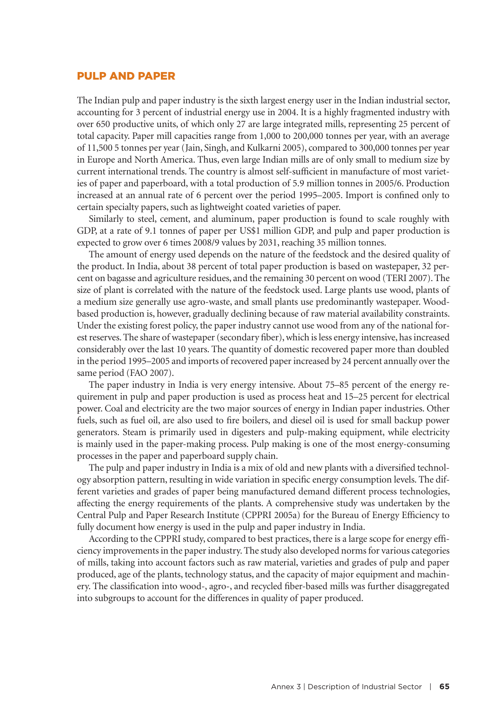#### PULP AND PAPER

The Indian pulp and paper industry is the sixth largest energy user in the Indian industrial sector, accounting for 3 percent of industrial energy use in 2004. It is a highly fragmented industry with over 650 productive units, of which only 27 are large integrated mills, representing 25 percent of total capacity. Paper mill capacities range from 1,000 to 200,000 tonnes per year, with an average of 11,500 5 tonnes per year (Jain, Singh, and Kulkarni 2005), compared to 300,000 tonnes per year in Europe and North America. Thus, even large Indian mills are of only small to medium size by current international trends. The country is almost self-sufficient in manufacture of most varieties of paper and paperboard, with a total production of 5.9 million tonnes in 2005/6. Production increased at an annual rate of 6 percent over the period 1995–2005. Import is confined only to certain specialty papers, such as lightweight coated varieties of paper.

Similarly to steel, cement, and aluminum, paper production is found to scale roughly with GDP, at a rate of 9.1 tonnes of paper per US\$1 million GDP, and pulp and paper production is expected to grow over 6 times 2008/9 values by 2031, reaching 35 million tonnes.

The amount of energy used depends on the nature of the feedstock and the desired quality of the product. In India, about 38 percent of total paper production is based on wastepaper, 32 percent on bagasse and agriculture residues, and the remaining 30 percent on wood (TERI 2007). The size of plant is correlated with the nature of the feedstock used. Large plants use wood, plants of a medium size generally use agro-waste, and small plants use predominantly wastepaper. Woodbased production is, however, gradually declining because of raw material availability constraints. Under the existing forest policy, the paper industry cannot use wood from any of the national forest reserves. The share of wastepaper (secondary fiber), which is less energy intensive, has increased considerably over the last 10 years. The quantity of domestic recovered paper more than doubled in the period 1995–2005 and imports of recovered paper increased by 24 percent annually over the same period (FAO 2007).

The paper industry in India is very energy intensive. About 75–85 percent of the energy requirement in pulp and paper production is used as process heat and 15–25 percent for electrical power. Coal and electricity are the two major sources of energy in Indian paper industries. Other fuels, such as fuel oil, are also used to fire boilers, and diesel oil is used for small backup power generators. Steam is primarily used in digesters and pulp-making equipment, while electricity is mainly used in the paper-making process. Pulp making is one of the most energy-consuming processes in the paper and paperboard supply chain.

The pulp and paper industry in India is a mix of old and new plants with a diversified technology absorption pattern, resulting in wide variation in specific energy consumption levels. The different varieties and grades of paper being manufactured demand different process technologies, affecting the energy requirements of the plants. A comprehensive study was undertaken by the Central Pulp and Paper Research Institute (CPPRI 2005a) for the Bureau of Energy Efficiency to fully document how energy is used in the pulp and paper industry in India.

According to the CPPRI study, compared to best practices, there is a large scope for energy efficiency improvements in the paper industry. The study also developed norms for various categories of mills, taking into account factors such as raw material, varieties and grades of pulp and paper produced, age of the plants, technology status, and the capacity of major equipment and machinery. The classification into wood-, agro-, and recycled fiber-based mills was further disaggregated into subgroups to account for the differences in quality of paper produced.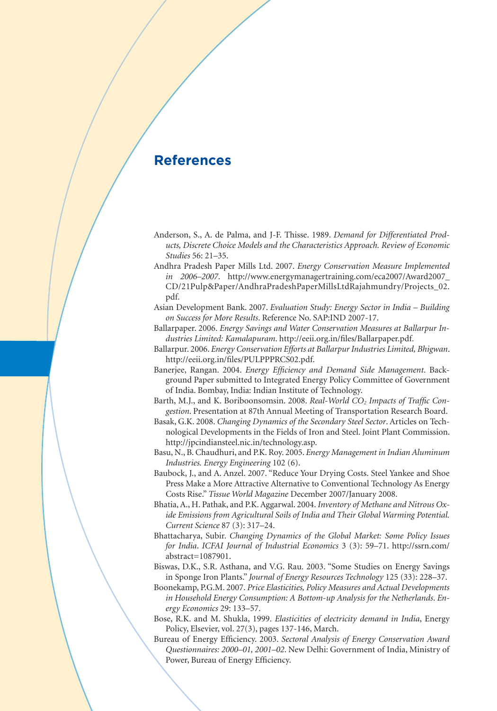## **References**

- Anderson, S., A. de Palma, and J-F. Thisse. 1989. *Demand for Differentiated Products, Discrete Choice Models and the Characteristics Approach. Review of Economic Studies* 56: 21–35.
- Andhra Pradesh Paper Mills Ltd. 2007. *Energy Conservation Measure Implemented in 2006–2007*. http://www.energymanagertraining.com/eca2007/Award2007\_ CD/21Pulp&Paper/AndhraPradeshPaperMillsLtdRajahmundry/Projects\_02. pdf.
- Asian Development Bank. 2007. *Evaluation Study: Energy Sector in India Building on Success for More Results*. Reference No. SAP:IND 2007-17.
- Ballarpaper. 2006. *Energy Savings and Water Conservation Measures at Ballarpur In*dustries Limited: Kamalapuram. http://eeii.org.in/files/Ballarpaper.pdf.
- Ballarpur. 2006. *Energy Conservation Efforts at Ballarpur Industries Limited, Bhigwan*. http://eeii.org.in/files/PULPPPRCS02.pdf.
- Banerjee, Rangan. 2004. *Energy Efficiency and Demand Side Management*. Background Paper submitted to Integrated Energy Policy Committee of Government of India. Bombay, India: Indian Institute of Technology.
- Barth, M.J., and K. Boriboonsomsin. 2008. Real-World CO<sub>2</sub> Impacts of Traffic Con*gestion*. Presentation at 87th Annual Meeting of Transportation Research Board.
- Basak, G.K. 2008. *Changing Dynamics of the Secondary Steel Sector*. Articles on Technological Developments in the Fields of Iron and Steel. Joint Plant Commission. http://jpcindiansteel.nic.in/technology.asp.
- Basu, N., B. Chaudhuri, and P.K. Roy. 2005. *Energy Management in Indian Aluminum Industries. Energy Engineering* 102 (6).
- Baubock, J., and A. Anzel. 2007. "Reduce Your Drying Costs. Steel Yankee and Shoe Press Make a More Attractive Alternative to Conventional Technology As Energy Costs Rise." *Tissue World Magazine* December 2007/January 2008.
- Bhatia, A., H. Pathak, and P.K. Aggarwal. 2004. *Inventory of Methane and Nitrous Oxide Emissions from Agricultural Soils of India and Their Global Warming Potential. Current Science* 87 (3): 317–24.
- Bhattacharya, Subir. *Changing Dynamics of the Global Market: Some Policy Issues for India*. *ICFAI Journal of Industrial Economics* 3 (3): 59–71. http://ssrn.com/ abstract=1087901.
- Biswas, D.K., S.R. Asthana, and V.G. Rau. 2003. "Some Studies on Energy Savings in Sponge Iron Plants." *Journal of Energy Resources Technology* 125 (33): 228–37.
- Boonekamp, P.G.M. 2007. *Price Elasticities, Policy Measures and Actual Developments in Household Energy Consumption: A Bottom-up Analysis for the Netherlands*. *Energy Economics* 29: 133–57.
- Bose, R.K. and M. Shukla, 1999. *Elasticities of electricity demand in India*, Energy Policy, Elsevier, vol. 27(3), pages 137-146, March.
- Bureau of Energy Efficiency. 2003. *Sectoral Analysis of Energy Conservation Award Questionnaires: 2000–01, 2001–02*. New Delhi: Government of India, Ministry of Power, Bureau of Energy Efficiency.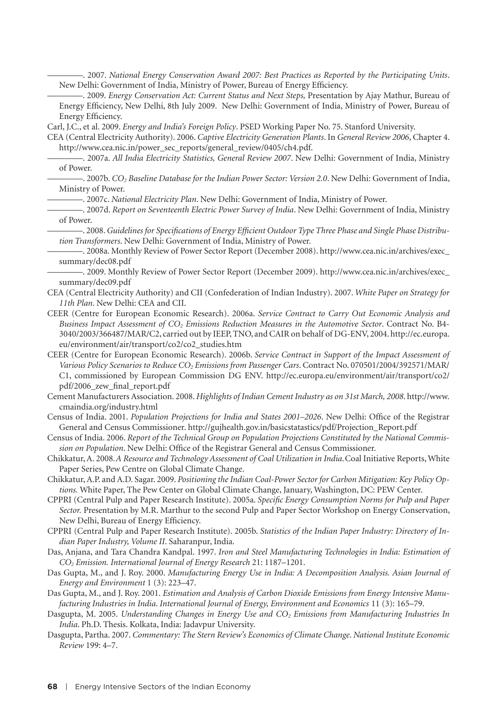————. 2007. *National Energy Conservation Award 2007: Best Practices as Reported by the Participating Units*. New Delhi: Government of India, Ministry of Power, Bureau of Energy Efficiency.

————. 2009. *Energy Conservation Act: Current Status and Next Steps,* Presentation by Ajay Mathur, Bureau of Energy Efficiency, New Delhi, 8th July 2009. New Delhi: Government of India, Ministry of Power, Bureau of Energy Efficiency.

Carl, J.C., et al. 2009. *Energy and India's Foreign Policy*. PSED Working Paper No. 75. Stanford University.

CEA (Central Electricity Authority). 2006. *Captive Electricity Generation Plants*. In *General Review 2006*, Chapter 4. http://www.cea.nic.in/power\_sec\_reports/general\_review/0405/ch4.pdf.

————. 2007a. *All India Electricity Statistics, General Review 2007*. New Delhi: Government of India, Ministry of Power.

————. 2007b. *CO2 Baseline Database for the Indian Power Sector: Version 2.0*. New Delhi: Government of India, Ministry of Power.

————. 2007c. *National Electricity Plan*. New Delhi: Government of India, Ministry of Power.

————. 2007d. *Report on Seventeenth Electric Power Survey of India*. New Delhi: Government of India, Ministry of Power.

————. 2008. *Guidelines for Specifi cations of Energy Effi cient Outdoor Type Three Phase and Single Phase Distribution Transformers*. New Delhi: Government of India, Ministry of Power.

————. 2008a. Monthly Review of Power Sector Report (December 2008). http://www.cea.nic.in/archives/exec\_ summary/dec08.pdf

————. 2009. Monthly Review of Power Sector Report (December 2009). http://www.cea.nic.in/archives/exec\_ summary/dec09.pdf

- CEA (Central Electricity Authority) and CII (Confederation of Indian Industry). 2007. *White Paper on Strategy for 11th Plan*. New Delhi: CEA and CII.
- CEER (Centre for European Economic Research). 2006a. *Service Contract to Carry Out Economic Analysis and Business Impact Assessment of CO2 Emissions Reduction Measures in the Automotive Sector*. Contract No. B4- 3040/2003/366487/MAR/C2, carried out by IEEP, TNO, and CAIR on behalf of DG-ENV, 2004. http://ec.europa. eu/environment/air/transport/co2/co2\_studies.htm
- CEER (Centre for European Economic Research). 2006b. *Service Contract in Support of the Impact Assessment of Various Policy Scenarios to Reduce CO2 Emissions from Passenger Cars*. Contract No. 070501/2004/392571/MAR/ C1, commissioned by European Commission DG ENV. http://ec.europa.eu/environment/air/transport/co2/ pdf/2006\_zew\_final\_report.pdf
- Cement Manufacturers Association. 2008. *Highlights of Indian Cement Industry as on 31st March, 2008*. http://www. cmaindia.org/industry.html
- Census of India. 2001. *Population Projections for India and States 2001–2026*. New Delhi: Office of the Registrar General and Census Commissioner. http://gujhealth.gov.in/basicstatastics/pdf/Projection\_Report.pdf
- Census of India. 2006. *Report of the Technical Group on Population Projections Constituted by the National Commis*sion on Population. New Delhi: Office of the Registrar General and Census Commissioner.
- Chikkatur, A. 2008.*A Resource and Technology Assessment of Coal Utilization in India*.Coal Initiative Reports, White Paper Series, Pew Centre on Global Climate Change.
- Chikkatur, A.P. and A.D. Sagar. 2009. *Positioning the Indian Coal-Power Sector for Carbon Mitigation: Key Policy Options.* White Paper, The Pew Center on Global Climate Change, January, Washington, DC: PEW Center.
- CPPRI (Central Pulp and Paper Research Institute). 2005a. *Specifi c Energy Consumption Norms for Pulp and Paper Sector.* Presentation by M.R. Marthur to the second Pulp and Paper Sector Workshop on Energy Conservation, New Delhi, Bureau of Energy Efficiency.
- CPPRI (Central Pulp and Paper Research Institute). 2005b. *Statistics of the Indian Paper Industry: Directory of Indian Paper Industry, Volume II*. Saharanpur, India.

Das, Anjana, and Tara Chandra Kandpal. 1997. *Iron and Steel Manufacturing Technologies in India: Estimation of CO2 Emission. International Journal of Energy Research* 21: 1187–1201.

- Das Gupta, M., and J. Roy. 2000. *Manufacturing Energy Use in India: A Decomposition Analysis. Asian Journal of Energy and Environment* 1 (3): 223–47.
- Das Gupta, M., and J. Roy. 2001. *Estimation and Analysis of Carbon Dioxide Emissions from Energy Intensive Manufacturing Industries in India*. *International Journal of Energy, Environment and Economics* 11 (3): 165–79.
- Dasgupta, M. 2005. *Understanding Changes in Energy Use and CO<sub>2</sub> Emissions from Manufacturing Industries In India*. Ph.D. Thesis. Kolkata, India: Jadavpur University.
- Dasgupta, Partha. 2007. *Commentary: The Stern Review's Economics of Climate Change*. *National Institute Economic Review* 199: 4–7.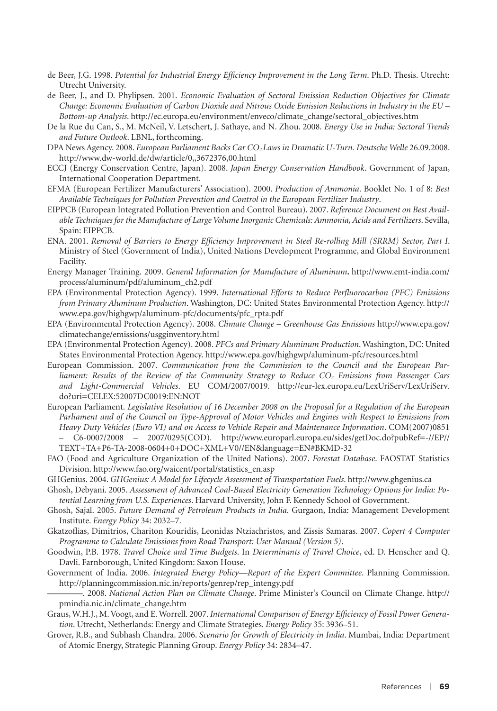- de Beer, J.G. 1998. Potential for Industrial Energy Efficiency Improvement in the Long Term. Ph.D. Thesis. Utrecht: Utrecht University.
- de Beer, J., and D. Phylipsen. 2001. *Economic Evaluation of Sectoral Emission Reduction Objectives for Climate Change: Economic Evaluation of Carbon Dioxide and Nitrous Oxide Emission Reductions in Industry in the EU – Bottom-up Analysis*. http://ec.europa.eu/environment/enveco/climate\_change/sectoral\_objectives.htm
- De la Rue du Can, S., M. McNeil, V. Letschert, J. Sathaye, and N. Zhou. 2008. *Energy Use in India: Sectoral Trends and Future Outlook*. LBNL, forthcoming.
- DPA News Agency. 2008. *European Parliament Backs Car CO2Laws in Dramatic U-Turn. Deutsche Welle* 26.09.2008. http://www.dw-world.de/dw/article/0,,3672376,00.html
- ECCJ (Energy Conservation Centre, Japan). 2008. *Japan Energy Conservation Handbook*. Government of Japan, International Cooperation Department.
- EFMA (European Fertilizer Manufacturers' Association). 2000. *Production of Ammonia*. Booklet No. 1 of 8: *Best Available Techniques for Pollution Prevention and Control in the European Fertilizer Industry*.
- EIPPCB (European Integrated Pollution Prevention and Control Bureau). 2007. *Reference Document on Best Available Techniques for the Manufacture of Large Volume Inorganic Chemicals: Ammonia, Acids and Fertilizers*. Sevilla, Spain: EIPPCB.
- ENA. 2001. Removal of Barriers to Energy Efficiency Improvement in Steel Re-rolling Mill (SRRM) Sector, Part I. Ministry of Steel (Government of India), United Nations Development Programme, and Global Environment Facility.
- Energy Manager Training. 2009. *General Information for Manufacture of Aluminum***.** http://www.emt-india.com/ process/aluminum/pdf/aluminum\_ch2.pdf
- EPA (Environmental Protection Agency). 1999. *International Efforts to Reduce Perfl uorocarbon (PFC) Emissions from Primary Aluminum Production*. Washington, DC: United States Environmental Protection Agency. http:// www.epa.gov/highgwp/aluminum-pfc/documents/pfc\_rpta.pdf
- EPA (Environmental Protection Agency). 2008. *Climate Change Greenhouse Gas Emissions* http://www.epa.gov/ climatechange/emissions/usgginventory.html
- EPA (Environmental Protection Agency). 2008. *PFCs and Primary Aluminum Production*. Washington, DC: United States Environmental Protection Agency. http://www.epa.gov/highgwp/aluminum-pfc/resources.html
- European Commission. 2007. *Communication from the Commission to the Council and the European Par*liament: Results of the Review of the Community Strategy to Reduce CO<sub>2</sub> Emissions from Passenger Cars *and Light-Commercial Vehicles*. EU COM/2007/0019. http://eur-lex.europa.eu/LexUriServ/LexUriServ. do?uri=CELEX:52007DC0019:EN:NOT
- European Parliament. *Legislative Resolution of 16 December 2008 on the Proposal for a Regulation of the European Parliament and of the Council on Type-Approval of Motor Vehicles and Engines with Respect to Emissions from Heavy Duty Vehicles (Euro VI) and on Access to Vehicle Repair and Maintenance Information*. COM(2007)0851 – C6-0007/2008 – 2007/0295(COD). http://www.europarl.europa.eu/sides/getDoc.do?pubRef=-//EP// TEXT+TA+P6-TA-2008-0604+0+DOC+XML+V0//EN&language=EN#BKMD-32
- FAO (Food and Agriculture Organization of the United Nations). 2007. *Forestat Database*. FAOSTAT Statistics Division. http://www.fao.org/waicent/portal/statistics\_en.asp
- GHGenius. 2004. *GHGenius: A Model for Lifecycle Assessment of Transportation Fuels*. http://www.ghgenius.ca
- Ghosh, Debyani. 2005. *Assessment of Advanced Coal-Based Electricity Generation Technology Options for India: Potential Learning from U.S. Experiences*. Harvard University, John F. Kennedy School of Government.
- Ghosh, Sajal. 2005. *Future Demand of Petroleum Products in India*. Gurgaon, India: Management Development Institute. *Energy Policy* 34: 2032–7.
- Gkatzoflias, Dimitrios, Chariton Kouridis, Leonidas Ntziachristos, and Zissis Samaras. 2007. *Copert 4 Computer Programme to Calculate Emissions from Road Transport: User Manual (Version 5)*.
- Goodwin, P.B. 1978. *Travel Choice and Time Budgets*. In *Determinants of Travel Choice*, ed. D. Henscher and Q. Davli. Farnborough, United Kingdom: Saxon House.
- Government of India. 2006. *Integrated Energy Policy—Report of the Expert Committee*. Planning Commission. http://planningcommission.nic.in/reports/genrep/rep\_intengy.pdf
- ————. 2008. *National Action Plan on Climate Change*. Prime Minister's Council on Climate Change. http:// pmindia.nic.in/climate\_change.htm
- Graus, W.H.J., M. Voogt, and E. Worrell. 2007. International Comparison of Energy Efficiency of Fossil Power Genera*tion*. Utrecht, Netherlands: Energy and Climate Strategies. *Energy Policy* 35: 3936–51.
- Grover, R.B., and Subhash Chandra. 2006. *Scenario for Growth of Electricity in India*. Mumbai, India: Department of Atomic Energy, Strategic Planning Group. *Energy Policy* 34: 2834–47.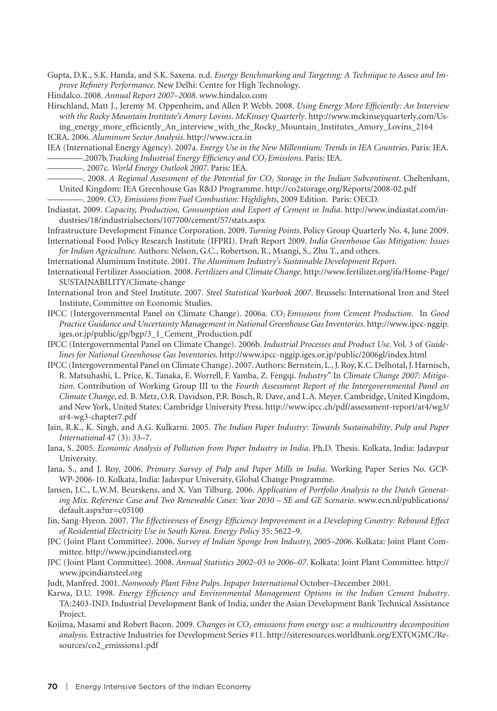Gupta, D.K., S.K. Handa, and S.K. Saxena. n.d. *Energy Benchmarking and Targeting: A Technique to Assess and Im*prove Refinery Performance. New Delhi: Centre for High Technology.

Hindalco. 2008. *Annual Report 2007–2008*. www.hindalco.com

Hirschland, Matt J., Jeremy M. Oppenheim, and Allen P. Webb. 2008. *Using Energy More Efficiently: An Interview with the Rocky Mountain Institute's Amory Lovins*. *McKinsey Quarterly*. http://www.mckinseyquarterly.com/Using\_energy\_more\_effi ciently\_An\_interview\_with\_the\_Rocky\_Mountain\_Institutes\_Amory\_Lovins\_2164 ICRA. 2006. *Aluminum Sector Analysis*. http://www.icra.in

IEA (International Energy Agency). 2007a. *Energy Use in the New Millennium: Trends in IEA Countries*. Paris: IEA. ————.2007b.*Tracking Industrial Energy Effi ciency and CO2Emissions*. Paris: IEA.

————. 2007c. *World Energy Outlook 2007*. Paris: IEA.

————. 2008. *A Regional Assessment of the Potential for CO2 Storage in the Indian Subcontinent*. Cheltenham, United Kingdom: IEA Greenhouse Gas R&D Programme. http://co2storage.org/Reports/2008-02.pdf

————. 2009. *CO2 Emissions from Fuel Combustion: Highlights*, 2009 Edition. Paris: OECD.

Indiastat. 2009. *Capacity, Production, Consumption and Export of Cement in India*. http://www.indiastat.com/industries/18/industrialsectors/107700/cement/57/stats.aspx

Infrastructure Development Finance Corporation. 2009. *Turning Points*. Policy Group Quarterly No. 4, June 2009. International Food Policy Research Institute (IFPRI). Draft Report 2009. *India Greenhouse Gas Mitigation: Issues* 

*for Indian Agriculture.* Authors: Nelson, G.C., Robertson, R., Msangi, S., Zhu T., and others.

International Aluminum Institute. 2001. *The Aluminum Industry's Sustainable Development Report*.

- International Fertilizer Association. 2008. *Fertilizers and Climate Change*. http://www.fertilizer.org/ifa/Home-Page/ SUSTAINABILITY/Climate-change
- International Iron and Steel Institute. 2007. *Steel Statistical Yearbook 2007*. Brussels: International Iron and Steel Institute, Committee on Economic Studies.
- IPCC (Intergovernmental Panel on Climate Change). 2006a. *CO2 Emissions from Cement Production.* In *Good Practice Guidance and Uncertainty Management in National Greenhouse Gas Inventories*. http://www.ipcc-nggip. iges.or.jp/public/gp/bgp/3\_1\_Cement\_Production.pdf

IPCC (Intergovernmental Panel on Climate Change). 2006b. *Industrial Processes and Product Use*. Vol. 3 of *Guidelines for National Greenhouse Gas Inventories*. http://www.ipcc-nggip.iges.or.jp/public/2006gl/index.html

- IPCC (Intergovernmental Panel on Climate Change). 2007. Authors: Bernstein, L., J. Roy, K.C. Delhotal, J. Harnisch, R. Matsuhashi, L. Price, K. Tanaka, E. Worrell, F. Yamba, Z. Fengqi. *Industry*" In *Climate Change 2007: Mitigation*. Contribution of Working Group III to the *Fourth Assessment Report of the Intergovernmental Panel on Climate Change*, ed. B. Metz, O.R. Davidson, P.R. Bosch, R. Dave, and L.A. Meyer. Cambridge, United Kingdom, and New York, United States: Cambridge University Press. http://www.ipcc.ch/pdf/assessment-report/ar4/wg3/ ar4-wg3-chapter7.pdf
- Jain, R.K., K. Singh, and A.G. Kulkarni. 2005. *The Indian Paper Industry: Towards Sustainability*. *Pulp and Paper International* 47 (3): 33–7.
- Jana, S. 2005. *Economic Analysis of Pollution from Paper Industry in India*. Ph.D. Thesis. Kolkata, India: Jadavpur University.
- Jana, S., and J. Roy. 2006. *Primary Survey of Pulp and Paper Mills in India*. Working Paper Series No. GCP-WP-2006-10. Kolkata, India: Jadavpur University, Global Change Programme.
- Jansen, J.C., L.W.M. Beurskens, and X. Van Tilburg. 2006. *Application of Portfolio Analysis to the Dutch Generating Mix. Reference Case and Two Renewable Cases: Year 2030 – SE and GE Scenario. www.ecn.nl/publications/* default.aspx?nr=c05100
- Jin, Sang-Hyeon. 2007. *The Effectiveness of Energy Efficiency Improvement in a Developing Country: Rebound Effect of Residential Electricity Use in South Korea. Energy Policy* 35: 5622–9.
- JPC (Joint Plant Committee). 2006. *Survey of Indian Sponge Iron Industry, 2005–2006*. Kolkata: Joint Plant Committee. http://www.jpcindiansteel.org
- JPC (Joint Plant Committee). 2008. *Annual Statistics 2002–03 to 2006–07*. Kolkata: Joint Plant Committee. http:// www.jpcindiansteel.org
- Judt, Manfred. 2001. *Nonwoody Plant Fibre Pulps*. *Inpaper International* October–December 2001.
- Karwa, D.U. 1998. *Energy Efficiency and Environmental Management Options in the Indian Cement Industry*. TA:2403-IND. Industrial Development Bank of India, under the Asian Development Bank Technical Assistance Project.
- Kojima, Masami and Robert Bacon. 2009. *Changes in CO<sub>2</sub> emissions from energy use: a multicountry decomposition analysis.* Extractive Industries for Development Series #11. http://siteresources.worldbank.org/EXTOGMC/Resources/co2\_emissions1.pdf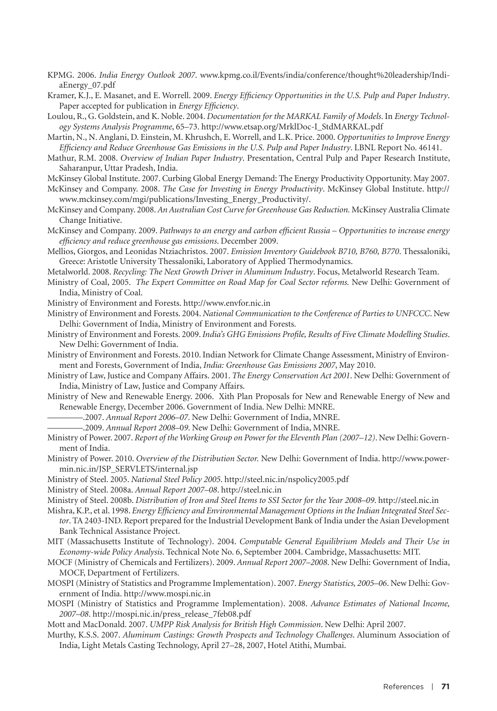- KPMG. 2006. *India Energy Outlook 2007*. www.kpmg.co.il/Events/india/conference/thought%20leadership/IndiaEnergy\_07.pdf
- Kramer, K.J., E. Masanet, and E. Worrell. 2009. *Energy Efficiency Opportunities in the U.S. Pulp and Paper Industry.* Paper accepted for publication in *Energy Efficiency*.

Loulou, R., G. Goldstein, and K. Noble. 2004. *Documentation for the MARKAL Family of Models*. In *Energy Technology Systems Analysis Programme*, 65–73. http://www.etsap.org/MrklDoc-I\_StdMARKAL.pdf

- Martin, N., N. Anglani, D. Einstein, M. Khrushch, E. Worrell, and L.K. Price. 2000. *Opportunities to Improve Energy Effi ciency and Reduce Greenhouse Gas Emissions in the U.S. Pulp and Paper Industry*. LBNL Report No. 46141.
- Mathur, R.M. 2008. *Overview of Indian Paper Industry*. Presentation, Central Pulp and Paper Research Institute, Saharanpur, Uttar Pradesh, India.
- McKinsey Global Institute. 2007. Curbing Global Energy Demand: The Energy Productivity Opportunity. May 2007.
- McKinsey and Company. 2008. *The Case for Investing in Energy Productivity*. McKinsey Global Institute. http:// www.mckinsey.com/mgi/publications/Investing\_Energy\_Productivity/.
- McKinsey and Company. 2008. *An Australian Cost Curve for Greenhouse Gas Reduction.* McKinsey Australia Climate Change Initiative.
- McKinsey and Company. 2009. *Pathways to an energy and carbon effi cient Russia Opportunities to increase energy effi ciency and reduce greenhouse gas emissions*. December 2009.
- Mellios, Giorgos, and Leonidas Ntziachristos. 2007. *Emission Inventory Guidebook B710, B760, B770*. Thessaloniki, Greece: Aristotle University Thessaloniki, Laboratory of Applied Thermodynamics.
- Metalworld. 2008. *Recycling: The Next Growth Driver in Aluminum Industry*. Focus, Metalworld Research Team.
- Ministry of Coal, 2005. *The Expert Committee on Road Map for Coal Sector reforms.* New Delhi: Government of India, Ministry of Coal.
- Ministry of Environment and Forests. http://www.envfor.nic.in
- Ministry of Environment and Forests. 2004. *National Communication to the Conference of Parties to UNFCCC*. New Delhi: Government of India, Ministry of Environment and Forests.
- Ministry of Environment and Forests. 2009. *India's GHG Emissions Profi le, Results of Five Climate Modelling Studies*. New Delhi: Government of India.
- Ministry of Environment and Forests. 2010. Indian Network for Climate Change Assessment, Ministry of Environment and Forests, Government of India, *India: Greenhouse Gas Emissions 2007*, May 2010.
- Ministry of Law, Justice and Company Affairs. 2001. *The Energy Conservation Act 2001*. New Delhi: Government of India, Ministry of Law, Justice and Company Affairs.
- Ministry of New and Renewable Energy. 2006. Xith Plan Proposals for New and Renewable Energy of New and Renewable Energy, December 2006. Government of India. New Delhi: MNRE.
	- ————.2007. *Annual Report 2006–07*. New Delhi: Government of India, MNRE.
	- ————.2009. *Annual Report 2008*–0*9*. New Delhi: Government of India, MNRE.
- Ministry of Power. 2007. *Report of the Working Group on Power for the Eleventh Plan (2007–12)*. New Delhi: Government of India.
- Ministry of Power. 2010. *Overview of the Distribution Sector.* New Delhi: Government of India. http://www.powermin.nic.in/JSP\_SERVLETS/internal.jsp
- Ministry of Steel. 2005. *National Steel Policy 2005*. http://steel.nic.in/nspolicy2005.pdf
- Ministry of Steel. 2008a. *Annual Report 2007–08*. http://steel.nic.in
- Ministry of Steel. 2008b. *Distribution of Iron and Steel Items to SSI Sector for the Year 2008–09*. http://steel.nic.in
- Mishra, K.P., et al. 1998. *Energy Efficiency and Environmental Management Options in the Indian Integrated Steel Sector*. TA 2403-IND. Report prepared for the Industrial Development Bank of India under the Asian Development Bank Technical Assistance Project.
- MIT (Massachusetts Institute of Technology). 2004. *Computable General Equilibrium Models and Their Use in Economy-wide Policy Analysis*. Technical Note No. 6, September 2004. Cambridge, Massachusetts: MIT.
- MOCF (Ministry of Chemicals and Fertilizers). 2009. *Annual Report 2007–2008*. New Delhi: Government of India, MOCF, Department of Fertilizers.
- MOSPI (Ministry of Statistics and Programme Implementation). 2007. *Energy Statistics, 2005–06*. New Delhi: Government of India. http://www.mospi.nic.in
- MOSPI (Ministry of Statistics and Programme Implementation). 2008. *Advance Estimates of National Income, 2007–08*. http://mospi.nic.in/press\_release\_7feb08.pdf
- Mott and MacDonald. 2007. *UMPP Risk Analysis for British High Commission*. New Delhi: April 2007.
- Murthy, K.S.S. 2007. *Aluminum Castings: Growth Prospects and Technology Challenges*. Aluminum Association of India, Light Metals Casting Technology, April 27–28, 2007, Hotel Atithi, Mumbai.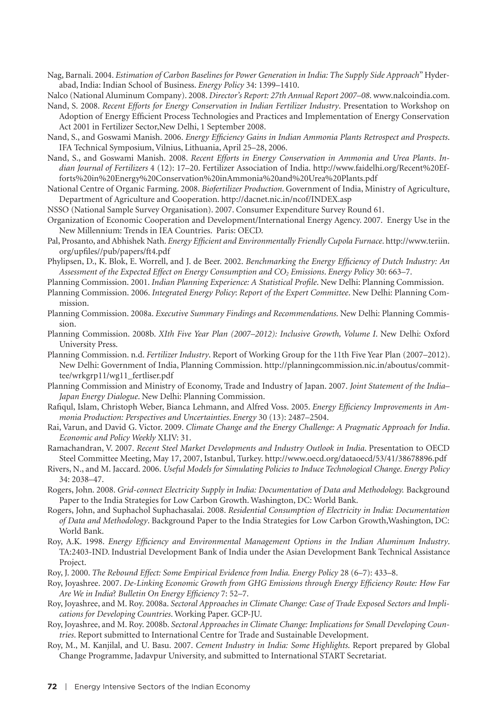- Nag, Barnali. 2004. *Estimation of Carbon Baselines for Power Generation in India: The Supply Side Approach*" Hyderabad, India: Indian School of Business. *Energy Policy* 34: 1399–1410.
- Nalco (National Aluminum Company). 2008. *Director's Report: 27th Annual Report 2007–08*. www.nalcoindia.com.
- Nand, S. 2008. *Recent Efforts for Energy Conservation in Indian Fertilizer Industry*. Presentation to Workshop on Adoption of Energy Efficient Process Technologies and Practices and Implementation of Energy Conservation Act 2001 in Fertilizer Sector,New Delhi, 1 September 2008.
- Nand, S., and Goswami Manish. 2006. *Energy Efficiency Gains in Indian Ammonia Plants Retrospect and Prospects*. IFA Technical Symposium, Vilnius, Lithuania, April 25–28, 2006.
- Nand, S., and Goswami Manish. 2008. *Recent Efforts in Energy Conservation in Ammonia and Urea Plants*. *Indian Journal of Fertilizers* 4 (12): 17–20. Fertilizer Association of India. http://www.faidelhi.org/Recent%20Efforts%20in%20Energy%20Conservation%20inAmmonia%20and%20Urea%20Plants.pdf
- National Centre of Organic Farming. 2008. *Biofertilizer Production*. Government of India, Ministry of Agriculture, Department of Agriculture and Cooperation. http://dacnet.nic.in/ncof/INDEX.asp
- NSSO (National Sample Survey Organisation). 2007. Consumer Expenditure Survey Round 61.
- Organization of Economic Cooperation and Development/International Energy Agency. 2007. Energy Use in the New Millennium: Trends in IEA Countries. Paris: OECD.
- Pal, Prosanto, and Abhishek Nath. *Energy Efficient and Environmentally Friendly Cupola Furnace*. http://www.teriin. org/upfiles//pub/papers/ft4.pdf
- Phylipsen, D., K. Blok, E. Worrell, and J. de Beer. 2002. *Benchmarking the Energy Efficiency of Dutch Industry: An Assessment of the Expected Effect on Energy Consumption and CO2 Emissions*. *Energy Policy* 30: 663–7.
- Planning Commission. 2001. *Indian Planning Experience: A Statistical Profile*. New Delhi: Planning Commission.
- Planning Commission. 2006. *Integrated Energy Policy*: *Report of the Expert Committee*. New Delhi: Planning Commission.
- Planning Commission. 2008a. *Executive Summary Findings and Recommendations*. New Delhi: Planning Commission.
- Planning Commission. 2008b. *XIth Five Year Plan (2007–2012): Inclusive Growth, Volume I*. New Delhi: Oxford University Press.
- Planning Commission. n.d. *Fertilizer Industry*. Report of Working Group for the 11th Five Year Plan (2007–2012). New Delhi: Government of India, Planning Commission. http://planningcommission.nic.in/aboutus/committee/wrkgrp11/wg11\_fertliser.pdf
- Planning Commission and Ministry of Economy, Trade and Industry of Japan. 2007. *Joint Statement of the India– Japan Energy Dialogue*. New Delhi: Planning Commission.
- Rafiqul, Islam, Christoph Weber, Bianca Lehmann, and Alfred Voss. 2005. *Energy Efficiency Improvements in Ammonia Production: Perspectives and Uncertainties*. *Energy* 30 (13): 2487–2504.
- Rai, Varun, and David G. Victor. 2009. *Climate Change and the Energy Challenge: A Pragmatic Approach for India*. *Economic and Policy Weekly* XLIV: 31.
- Ramachandran, V. 2007. *Recent Steel Market Developments and Industry Outlook in India*. Presentation to OECD Steel Committee Meeting, May 17, 2007, Istanbul, Turkey. http://www.oecd.org/dataoecd/53/41/38678896.pdf
- Rivers, N., and M. Jaccard. 2006. *Useful Models for Simulating Policies to Induce Technological Change*. *Energy Policy* 34: 2038–47.
- Rogers, John. 2008. *Grid-connect Electricity Supply in India: Documentation of Data and Methodology.* Background Paper to the India Strategies for Low Carbon Growth. Washington, DC: World Bank.
- Rogers, John, and Suphachol Suphachasalai. 2008. *Residential Consumption of Electricity in India: Documentation of Data and Methodology*. Background Paper to the India Strategies for Low Carbon Growth,Washington, DC: World Bank.
- Roy, A.K. 1998. *Energy Efficiency and Environmental Management Options in the Indian Aluminum Industry*. TA:2403-IND. Industrial Development Bank of India under the Asian Development Bank Technical Assistance Project.
- Roy, J. 2000. *The Rebound Effect: Some Empirical Evidence from India. Energy Policy* 28 (6–7): 433–8.
- Roy, Joyashree. 2007. *De-Linking Economic Growth from GHG Emissions through Energy Efficiency Route: How Far* Are We in India? Bulletin On Energy Efficiency 7: 52-7.
- Roy, Joyashree, and M. Roy. 2008a. *Sectoral Approaches in Climate Change: Case of Trade Exposed Sectors and Implications for Developing Countries*. Working Paper. GCP-JU.
- Roy, Joyashree, and M. Roy. 2008b. *Sectoral Approaches in Climate Change: Implications for Small Developing Countries*. Report submitted to International Centre for Trade and Sustainable Development.
- Roy, M., M. Kanjilal, and U. Basu. 2007. *Cement Industry in India: Some Highlights*. Report prepared by Global Change Programme, Jadavpur University, and submitted to International START Secretariat.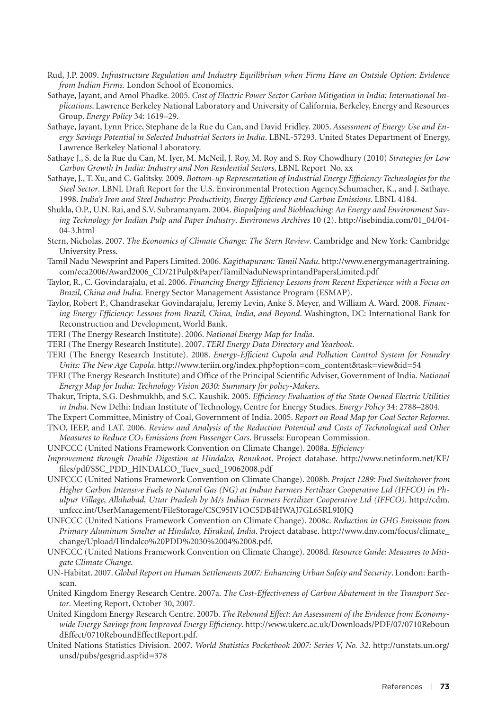- Rud, J.P. 2009. *Infrastructure Regulation and Industry Equilibrium when Firms Have an Outside Option: Evidence from Indian Firms.* London School of Economics.
- Sathaye, Jayant, and Amol Phadke. 2005. *Cost of Electric Power Sector Carbon Mitigation in India: International Implications*. Lawrence Berkeley National Laboratory and University of California, Berkeley, Energy and Resources Group. *Energy Policy* 34: 1619–29.
- Sathaye, Jayant, Lynn Price, Stephane de la Rue du Can, and David Fridley. 2005. *Assessment of Energy Use and Energy Savings Potential in Selected Industrial Sectors in India*. LBNL-57293. United States Department of Energy, Lawrence Berkeley National Laboratory.
- Sathaye J., S. de la Rue du Can, M. Iyer, M. McNeil, J. Roy, M. Roy and S. Roy Chowdhury (2010) *Strategies for Low Carbon Growth In India: Industry and Non Residential Sectors*, LBNL Report No. xx
- Sathaye, J., T. Xu, and C. Galitsky. 2009. *Bottom-up Representation of Industrial Energy Efficiency Technologies for the Steel Sector*. LBNL Draft Report for the U.S. Environmental Protection Agency.Schumacher, K., and J. Sathaye. 1998. India's Iron and Steel Industry: Productivity, Energy Efficiency and Carbon Emissions. LBNL 4184.
- Shukla, O.P., U.N. Rai, and S.V. Subramanyam. 2004. *Biopulping and Biobleaching: An Energy and Environment Saving Technology for Indian Pulp and Paper Industry*. *Environews Archives* 10 (2). http://isebindia.com/01\_04/04- 04-3.html
- Stern, Nicholas. 2007. *The Economics of Climate Change: The Stern Review*. Cambridge and New York: Cambridge University Press.
- Tamil Nadu Newsprint and Papers Limited. 2006. *Kagithapuram: Tamil Nadu*. http://www.energymanagertraining. com/eca2006/Award2006\_CD/21Pulp&Paper/TamilNaduNewsprintandPapersLimited.pdf
- Taylor, R., C. Govindarajalu, et al. 2006. Financing Energy Efficiency Lessons from Recent Experience with a Focus on *Brazil, China and India*. Energy Sector Management Assistance Program (ESMAP).
- Taylor, Robert P., Chandrasekar Govindarajalu, Jeremy Levin, Anke S. Meyer, and William A. Ward. 2008. *Financing Energy Effi ciency: Lessons from Brazil, China, India, and Beyond*. Washington, DC: International Bank for Reconstruction and Development, World Bank.
- TERI (The Energy Research Institute). 2006. *National Energy Map for India*.
- TERI (The Energy Research Institute). 2007. *TERI Energy Data Directory and Yearbook*.
- TERI (The Energy Research Institute). 2008. *Energy-Efficient Cupola and Pollution Control System for Foundry Units: The New Age Cupola*. http://www.teriin.org/index.php?option=com\_content&task=view&id=54
- TERI (The Energy Research Institute) and Office of the Principal Scientific Adviser, Government of India. *National Energy Map for India: Technology Vision 2030: Summary for policy-Makers*.
- Thakur, Tripta, S.G. Deshmukhb, and S.C. Kaushik. 2005. *Efficiency Evaluation of the State Owned Electric Utilities in India*. New Delhi: Indian Institute of Technology, Centre for Energy Studies. *Energy Policy* 34: 2788–2804.
- The Expert Committee, Ministry of Coal, Government of India. 2005. *Report on Road Map for Coal Sector Reforms*. TNO, IEEP, and LAT. 2006. *Review and Analysis of the Reduction Potential and Costs of Technological and Other*
- *Measures to Reduce CO2 Emissions from Passenger Cars*. Brussels: European Commission.
- UNFCCC (United Nations Framework Convention on Climate Change). 2008a. *Efficiency*
- *Improvement through Double Digestion at Hindalco, Renukoot*. Project database. http://www.netinform.net/KE/ files/pdf/SSC\_PDD\_HINDALCO\_Tuev\_sued\_19062008.pdf
- UNFCCC (United Nations Framework Convention on Climate Change). 2008b. *Project 1289: Fuel Switchover from Higher Carbon Intensive Fuels to Natural Gas (NG) at Indian Farmers Fertilizer Cooperative Ltd (IFFCO) in Phulpur Village, Allahabad, Uttar Pradesh by M/s Indian Farmers Fertilizer Cooperative Ltd (IFFCO)*. http://cdm. unfccc.int/UserManagement/FileStorage/CSC95IV1OC5DB4HWAJ7GL65RL9I0JQ
- UNFCCC (United Nations Framework Convention on Climate Change). 2008c. *Reduction in GHG Emission from Primary Aluminum Smelter at Hindalco, Hirakud, India*. Project database. http://www.dnv.com/focus/climate\_ change/Upload/Hindalco%20PDD%2030%2004%2008.pdf.
- UNFCCC (United Nations Framework Convention on Climate Change). 2008d. *Resource Guide: Measures to Mitigate Climate Change*.
- UN-Habitat. 2007. *Global Report on Human Settlements 2007: Enhancing Urban Safety and Security*. London: Earthscan.
- United Kingdom Energy Research Centre. 2007a. *The Cost-Effectiveness of Carbon Abatement in the Transport Sector*. Meeting Report, October 30, 2007.
- United Kingdom Energy Research Centre. 2007b. *The Rebound Effect: An Assessment of the Evidence from Economywide Energy Savings from Improved Energy Effi ciency*. http://www.ukerc.ac.uk/Downloads/PDF/07/0710Reboun dEffect/0710ReboundEffectReport.pdf.
- United Nations Statistics Division. 2007. *World Statistics Pocketbook 2007: Series V, No. 32*. http://unstats.un.org/ unsd/pubs/gesgrid.asp?id=378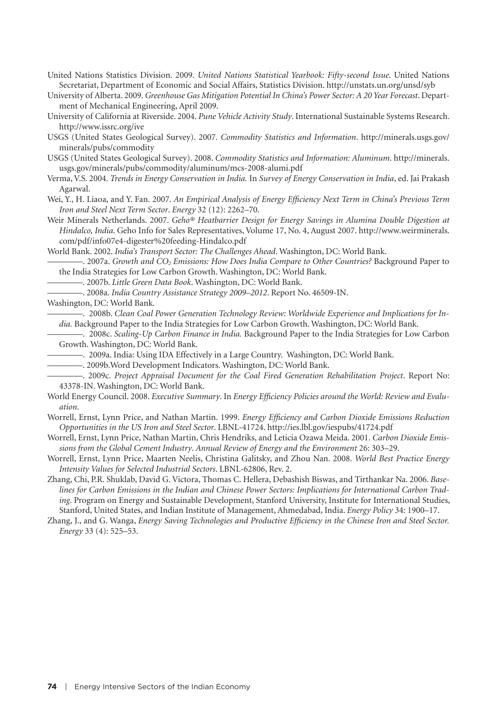United Nations Statistics Division. 2009. *United Nations Statistical Yearbook: Fifty-second Issue*. United Nations Secretariat, Department of Economic and Social Affairs, Statistics Division. http://unstats.un.org/unsd/syb

University of Alberta. 2009. *Greenhouse Gas Mitigation Potential In China's Power Sector: A 20 Year Forecast*. Department of Mechanical Engineering, April 2009.

University of California at Riverside. 2004. *Pune Vehicle Activity Study*. International Sustainable Systems Research. http://www.issrc.org/ive

USGS (United States Geological Survey). 2007*. Commodity Statistics and Information*. http://minerals.usgs.gov/ minerals/pubs/commodity

USGS (United States Geological Survey). 2008. *Commodity Statistics and Information: Aluminum*. http://minerals. usgs.gov/minerals/pubs/commodity/aluminum/mcs-2008-alumi.pdf

Verma, V.S. 2004. *Trends in Energy Conservation in India.* In *Survey of Energy Conservation in India*, ed. Jai Prakash Agarwal.

Wei, Y., H. Liaoa, and Y. Fan. 2007. An Empirical Analysis of Energy Efficiency Next Term in China's Previous Term *Iron and Steel Next Term Sector*. *Energy* 32 (12): 2262–70.

Weir Minerals Netherlands. 2007. *Geho® Heatbarrier Design for Energy Savings in Alumina Double Digestion at Hindalco, India*. Geho Info for Sales Representatives, Volume 17, No. 4, August 2007. http://www.weirminerals. com/pdf/info07e4-digester%20feeding-Hindalco.pdf

World Bank. 2002. *India's Transport Sector: The Challenges Ahead*. Washington, DC: World Bank.

————. 2007a. *Growth and CO2 Emissions: How Does India Compare to Other Countries?* Background Paper to the India Strategies for Low Carbon Growth. Washington, DC: World Bank.

————. 2007b. *Little Green Data Book*. Washington, DC: World Bank.

————. 2008a. *India Country Assistance Strategy 2009–2012*. Report No. 46509-IN.

Washington, DC: World Bank.

————. 2008b. *Clean Coal Power Generation Technology Review: Worldwide Experience and Implications for India.* Background Paper to the India Strategies for Low Carbon Growth. Washington, DC: World Bank.

————. 2008c. *Scaling-Up Carbon Finance in India.* Background Paper to the India Strategies for Low Carbon Growth. Washington, DC: World Bank.

————. 2009a. India: Using IDA Effectively in a Large Country. Washington, DC: World Bank.

————. 2009b.Word Development Indicators. Washington, DC: World Bank.

————. 2009c. *Project Appraisal Document for the Coal Fired Generation Rehabilitation Project*. Report No: 43378-IN. Washington, DC: World Bank.

World Energy Council. 2008. *Executive Summary*. In *Energy Efficiency Policies around the World: Review and Evaluation*.

Worrell, Ernst, Lynn Price, and Nathan Martin. 1999. *Energy Efficiency and Carbon Dioxide Emissions Reduction Opportunities in the US Iron and Steel Sector*. LBNL-41724. http://ies.lbl.gov/iespubs/41724.pdf

- Worrell, Ernst, Lynn Price, Nathan Martin, Chris Hendriks, and Leticia Ozawa Meida. 2001. *Carbon Dioxide Emissions from the Global Cement Industry*. *Annual Review of Energy and the Environment* 26: 303–29.
- Worrell, Ernst, Lynn Price, Maarten Neelis, Christina Galitsky, and Zhou Nan. 2008. *World Best Practice Energy Intensity Values for Selected Industrial Sectors*. LBNL-62806, Rev. 2.
- Zhang, Chi, P.R. Shuklab, David G. Victora, Thomas C. Hellera, Debashish Biswas, and Tirthankar Na. 2006. *Baselines for Carbon Emissions in the Indian and Chinese Power Sectors: Implications for International Carbon Trading*. Program on Energy and Sustainable Development, Stanford University, Institute for International Studies, Stanford, United States, and Indian Institute of Management, Ahmedabad, India. *Energy Policy* 34: 1900–17.

Zhang, J., and G. Wanga, *Energy Saving Technologies and Productive Effi ciency in the Chinese Iron and Steel Sector. Energy* 33 (4): 525–53.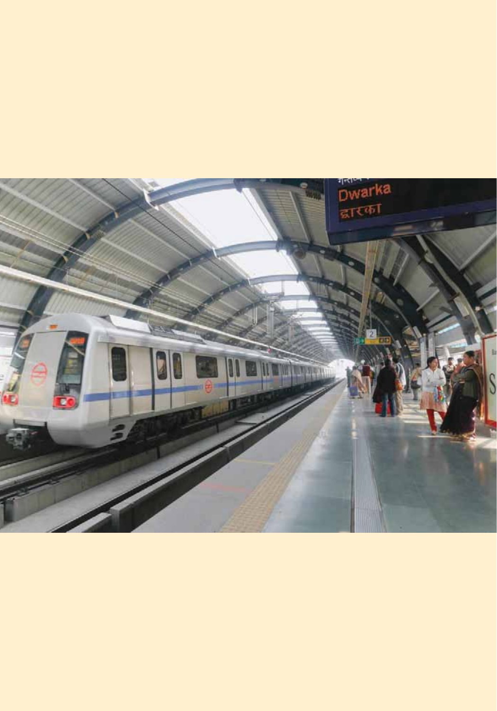